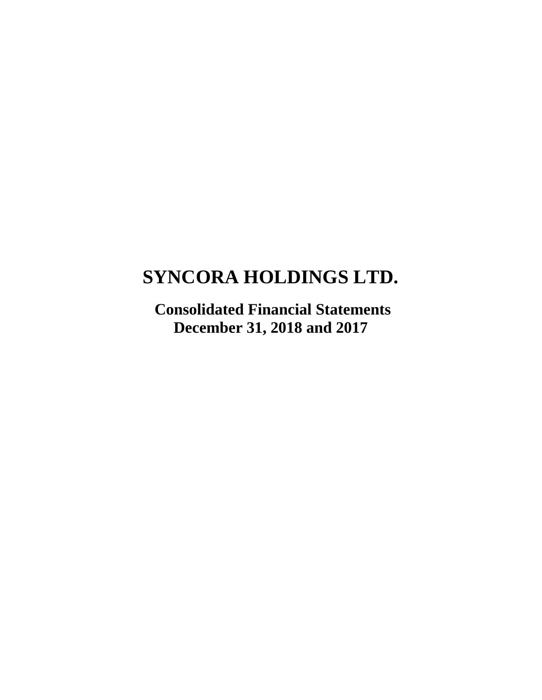# **SYNCORA HOLDINGS LTD.**

**Consolidated Financial Statements December 31, 2018 and 2017**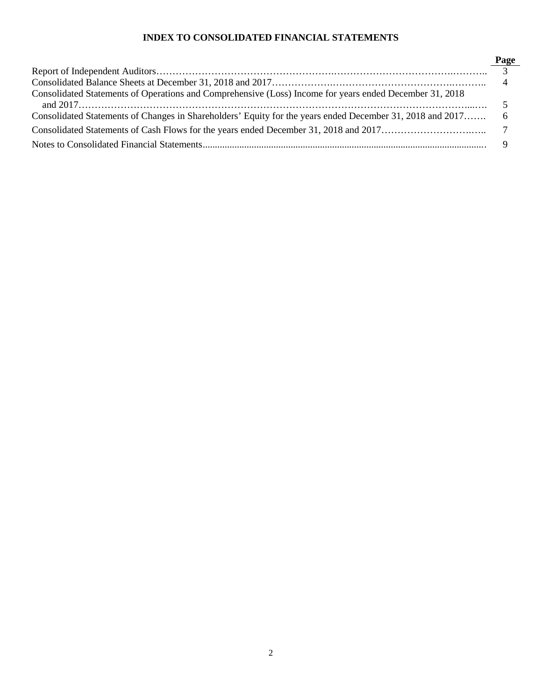# **INDEX TO CONSOLIDATED FINANCIAL STATEMENTS**

|                                                                                                           | Page |
|-----------------------------------------------------------------------------------------------------------|------|
|                                                                                                           |      |
|                                                                                                           |      |
| Consolidated Statements of Operations and Comprehensive (Loss) Income for years ended December 31, 2018   |      |
|                                                                                                           |      |
| Consolidated Statements of Changes in Shareholders' Equity for the years ended December 31, 2018 and 2017 | -6   |
|                                                                                                           |      |
|                                                                                                           |      |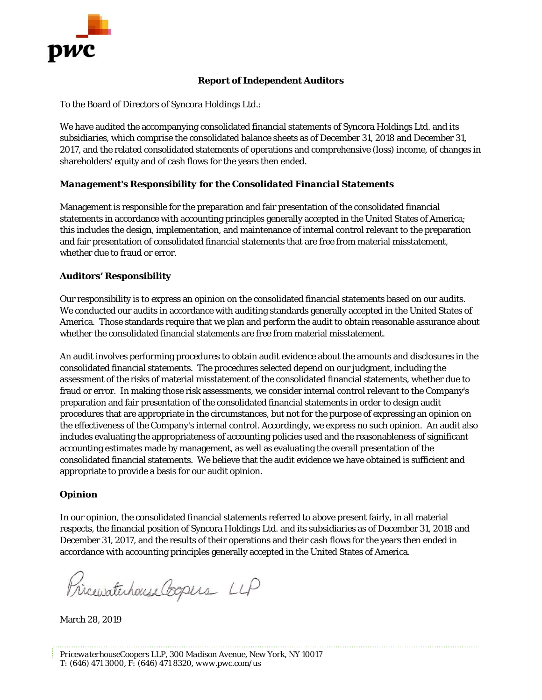

# **Report of Independent Auditors**

To the Board of Directors of Syncora Holdings Ltd.:

We have audited the accompanying consolidated financial statements of Syncora Holdings Ltd. and its subsidiaries, which comprise the consolidated balance sheets as of December 31, 2018 and December 31, 2017, and the related consolidated statements of operations and comprehensive (loss) income, of changes in shareholders' equity and of cash flows for the years then ended.

# *Management's Responsibility for the Consolidated Financial Statements*

Management is responsible for the preparation and fair presentation of the consolidated financial statements in accordance with accounting principles generally accepted in the United States of America; this includes the design, implementation, and maintenance of internal control relevant to the preparation and fair presentation of consolidated financial statements that are free from material misstatement, whether due to fraud or error.

# *Auditors' Responsibility*

Our responsibility is to express an opinion on the consolidated financial statements based on our audits. We conducted our audits in accordance with auditing standards generally accepted in the United States of America. Those standards require that we plan and perform the audit to obtain reasonable assurance about whether the consolidated financial statements are free from material misstatement.

An audit involves performing procedures to obtain audit evidence about the amounts and disclosures in the consolidated financial statements. The procedures selected depend on our judgment, including the assessment of the risks of material misstatement of the consolidated financial statements, whether due to fraud or error. In making those risk assessments, we consider internal control relevant to the Company's preparation and fair presentation of the consolidated financial statements in order to design audit procedures that are appropriate in the circumstances, but not for the purpose of expressing an opinion on the effectiveness of the Company's internal control. Accordingly, we express no such opinion. An audit also includes evaluating the appropriateness of accounting policies used and the reasonableness of significant accounting estimates made by management, as well as evaluating the overall presentation of the consolidated financial statements. We believe that the audit evidence we have obtained is sufficient and appropriate to provide a basis for our audit opinion.

# *Opinion*

In our opinion, the consolidated financial statements referred to above present fairly, in all material respects, the financial position of Syncora Holdings Ltd. and its subsidiaries as of December 31, 2018 and December 31, 2017, and the results of their operations and their cash flows for the years then ended in accordance with accounting principles generally accepted in the United States of America.

Pricewaterhouse Copers LLP

March 28, 2019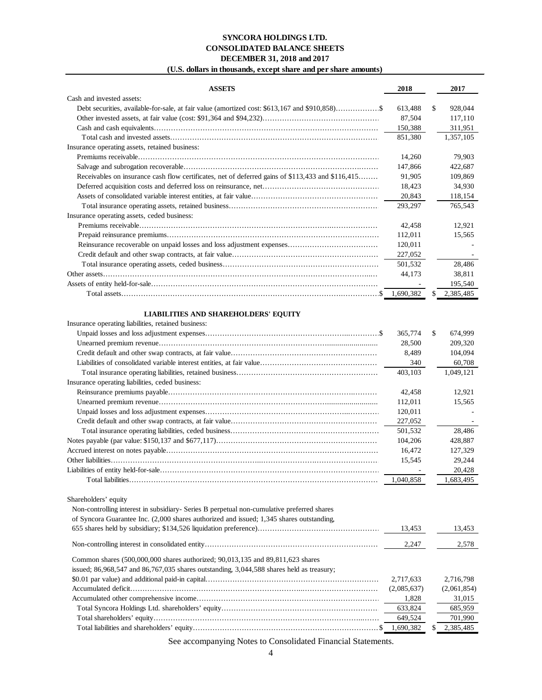# **SYNCORA HOLDINGS LTD. CONSOLIDATED BALANCE SHEETS DECEMBER 31, 2018 and 2017 (U.S. dollars in thousands, except share and per share amounts)**

| <b>ASSETS</b>                                                                                     | 2018      |     | 2017      |
|---------------------------------------------------------------------------------------------------|-----------|-----|-----------|
| Cash and invested assets:                                                                         |           |     |           |
|                                                                                                   | 613.488   | \$. | 928,044   |
|                                                                                                   | 87,504    |     | 117,110   |
|                                                                                                   | 150,388   |     | 311.951   |
|                                                                                                   | 851,380   |     | 1,357,105 |
| Insurance operating assets, retained business:                                                    |           |     |           |
|                                                                                                   | 14.260    |     | 79,903    |
|                                                                                                   | 147.866   |     | 422.687   |
| Receivables on insurance cash flow certificates, net of deferred gains of \$113,433 and \$116,415 | 91.905    |     | 109.869   |
|                                                                                                   | 18.423    |     | 34.930    |
|                                                                                                   | 20,843    |     | 118,154   |
|                                                                                                   | 293.297   |     | 765.543   |
| Insurance operating assets, ceded business:                                                       |           |     |           |
| Premiums receivable                                                                               | 42,458    |     | 12,921    |
|                                                                                                   | 112.011   |     | 15.565    |
|                                                                                                   | 120,011   |     |           |
|                                                                                                   | 227,052   |     |           |
|                                                                                                   | 501.532   |     | 28,486    |
|                                                                                                   | 44,173    |     | 38,811    |
|                                                                                                   |           |     | 195,540   |
|                                                                                                   | 1,690,382 | S.  | 2,385,485 |
|                                                                                                   |           |     |           |

# **LIABILITIES AND SHAREHOLDERS' EQUITY**

| Insurance operating liabilities, retained business:                                        |             |                 |
|--------------------------------------------------------------------------------------------|-------------|-----------------|
|                                                                                            | 365,774     | \$<br>674,999   |
|                                                                                            | 28,500      | 209,320         |
|                                                                                            | 8,489       | 104,094         |
|                                                                                            | 340         | 60,708          |
|                                                                                            | 403,103     | 1,049,121       |
| Insurance operating liabilities, ceded business:                                           |             |                 |
|                                                                                            | 42,458      | 12,921          |
|                                                                                            | 112,011     | 15,565          |
|                                                                                            | 120,011     |                 |
|                                                                                            | 227,052     |                 |
|                                                                                            | 501,532     | 28,486          |
|                                                                                            | 104,206     | 428,887         |
|                                                                                            | 16,472      | 127,329         |
|                                                                                            | 15,545      | 29,244          |
|                                                                                            |             | 20,428          |
|                                                                                            | 1,040,858   | 1,683,495       |
| Shareholders' equity                                                                       |             |                 |
| Non-controlling interest in subsidiary- Series B perpetual non-cumulative preferred shares |             |                 |
| of Syncora Guarantee Inc. (2,000 shares authorized and issued; 1,345 shares outstanding,   |             |                 |
|                                                                                            | 13,453      | 13,453          |
|                                                                                            | 2,247       | 2,578           |
| Common shares (500,000,000 shares authorized; 90,013,135 and 89,811,623 shares             |             |                 |
| issued; 86,968,547 and 86,767,035 shares outstanding, 3,044,588 shares held as treasury;   |             |                 |
|                                                                                            | 2,717,633   | 2,716,798       |
|                                                                                            | (2,085,637) | (2,061,854)     |
|                                                                                            | 1,828       | 31,015          |
|                                                                                            | 633,824     | 685,959         |
|                                                                                            | 649,524     | 701,990         |
|                                                                                            | 1,690,382   | \$<br>2,385,485 |

See accompanying Notes to Consolidated Financial Statements.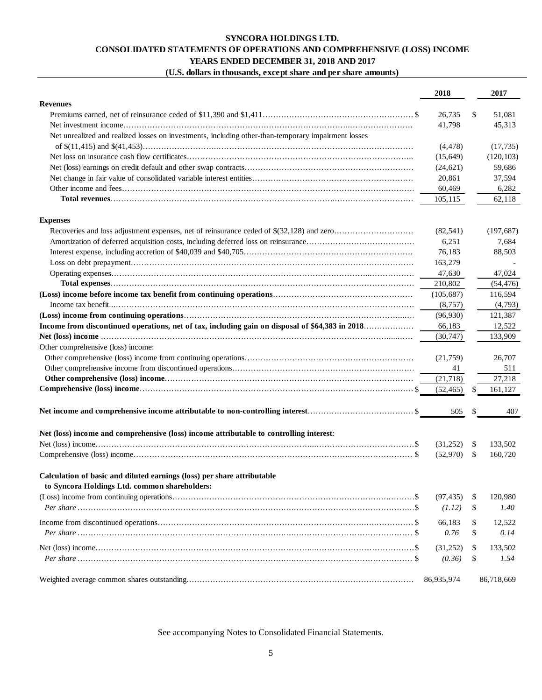# **SYNCORA HOLDINGS LTD. CONSOLIDATED STATEMENTS OF OPERATIONS AND COMPREHENSIVE (LOSS) INCOME YEARS ENDED DECEMBER 31, 2018 AND 2017**

**(U.S. dollars in thousands, except share and per share amounts)**

|                                                                                                                          | 2018       | 2017              |
|--------------------------------------------------------------------------------------------------------------------------|------------|-------------------|
| <b>Revenues</b>                                                                                                          |            |                   |
|                                                                                                                          | 26,735     | \$<br>51,081      |
|                                                                                                                          | 41,798     | 45,313            |
| Net unrealized and realized losses on investments, including other-than-temporary impairment losses                      |            |                   |
|                                                                                                                          | (4, 478)   | (17, 735)         |
|                                                                                                                          | (15, 649)  | (120, 103)        |
|                                                                                                                          | (24, 621)  | 59,686            |
|                                                                                                                          | 20,861     | 37,594            |
|                                                                                                                          | 60,469     | 6,282             |
|                                                                                                                          | 105,115    | 62,118            |
| <b>Expenses</b>                                                                                                          |            |                   |
|                                                                                                                          | (82, 541)  | (197, 687)        |
|                                                                                                                          | 6,251      | 7,684             |
|                                                                                                                          | 76,183     | 88,503            |
|                                                                                                                          | 163,279    |                   |
|                                                                                                                          | 47,630     | 47,024            |
|                                                                                                                          | 210,802    | (54, 476)         |
|                                                                                                                          | (105, 687) | 116,594           |
|                                                                                                                          | (8,757)    | (4,793)           |
|                                                                                                                          | (96, 930)  | 121,387           |
| Income from discontinued operations, net of tax, including gain on disposal of \$64,383 in 2018                          | 66,183     | 12,522            |
|                                                                                                                          | (30, 747)  | 133,909           |
| Other comprehensive (loss) income:                                                                                       |            |                   |
|                                                                                                                          | (21,759)   | 26,707            |
|                                                                                                                          | 41         | 511               |
|                                                                                                                          | (21, 718)  | 27,218            |
|                                                                                                                          | (52, 465)  | \$<br>161,127     |
|                                                                                                                          | 505        | \$<br>407         |
| Net (loss) income and comprehensive (loss) income attributable to controlling interest:                                  |            |                   |
|                                                                                                                          | (31,252)   | \$<br>133,502     |
|                                                                                                                          | (52.970)   | \$<br>160,720     |
| Calculation of basic and diluted earnings (loss) per share attributable<br>to Syncora Holdings Ltd. common shareholders: |            |                   |
|                                                                                                                          | (97, 435)  | \$<br>120,980     |
|                                                                                                                          | (1.12)     | \$<br><i>1.40</i> |
|                                                                                                                          |            |                   |
|                                                                                                                          | 66,183     | \$<br>12,522      |
|                                                                                                                          | 0.76       | \$<br>0.14        |
|                                                                                                                          | (31,252)   | \$<br>133,502     |
|                                                                                                                          | (0.36)     | \$<br>1.54        |
|                                                                                                                          | 86,935,974 | 86,718,669        |

See accompanying Notes to Consolidated Financial Statements.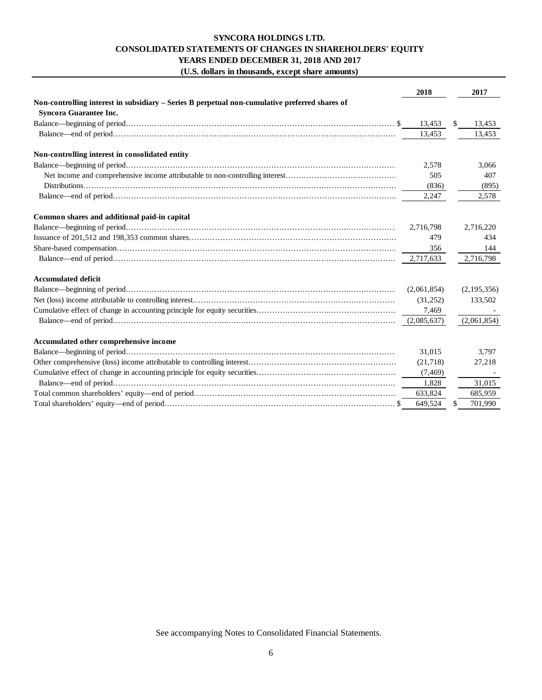# **SYNCORA HOLDINGS LTD. CONSOLIDATED STATEMENTS OF CHANGES IN SHAREHOLDERS' EQUITY YEARS ENDED DECEMBER 31, 2018 AND 2017**

**(U.S. dollars in thousands, except share amounts)**

|                                                                                                                                 | 2018        |              | 2017        |
|---------------------------------------------------------------------------------------------------------------------------------|-------------|--------------|-------------|
| Non-controlling interest in subsidiary – Series B perpetual non-cumulative preferred shares of<br><b>Syncora Guarantee Inc.</b> |             |              |             |
|                                                                                                                                 | 13,453      | $\mathbb{S}$ | 13.453      |
|                                                                                                                                 | 13,453      |              | 13,453      |
| Non-controlling interest in consolidated entity                                                                                 |             |              |             |
|                                                                                                                                 | 2,578       |              | 3,066       |
|                                                                                                                                 | 505         |              | 407         |
|                                                                                                                                 | (836)       |              | (895)       |
|                                                                                                                                 | 2,247       |              | 2,578       |
| Common shares and additional paid-in capital                                                                                    |             |              |             |
|                                                                                                                                 | 2,716,798   |              | 2,716,220   |
|                                                                                                                                 | 479         |              | 434         |
|                                                                                                                                 | 356         |              | 144         |
|                                                                                                                                 | 2,717,633   |              | 2,716,798   |
| <b>Accumulated deficit</b>                                                                                                      |             |              |             |
|                                                                                                                                 | (2,061,854) |              | (2,195,356) |
|                                                                                                                                 | (31,252)    |              | 133,502     |
|                                                                                                                                 | 7,469       |              |             |
|                                                                                                                                 | (2,085,637) |              | (2,061,854) |
| Accumulated other comprehensive income                                                                                          |             |              |             |
|                                                                                                                                 | 31,015      |              | 3,797       |
|                                                                                                                                 | (21,718)    |              | 27,218      |
|                                                                                                                                 | (7, 469)    |              |             |
|                                                                                                                                 | 1.828       |              | 31,015      |
|                                                                                                                                 | 633,824     |              | 685,959     |
|                                                                                                                                 | 649.524     |              | 701,990     |

See accompanying Notes to Consolidated Financial Statements.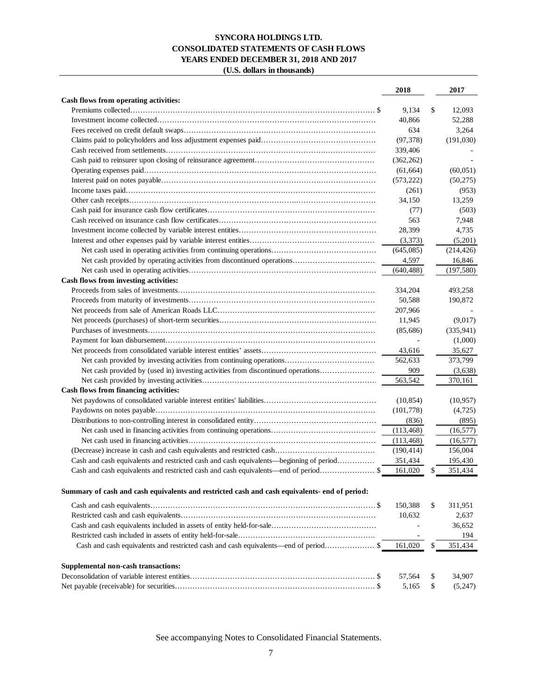# **SYNCORA HOLDINGS LTD. CONSOLIDATED STATEMENTS OF CASH FLOWS YEARS ENDED DECEMBER 31, 2018 AND 2017 (U.S. dollars in thousands)**

| Cash flows from operating activities:<br>9,134<br>\$<br>12,093<br>52.288<br>40,866<br>3,264<br>634<br>(97, 378)<br>(191,030)<br>339,406<br>(362, 262)<br>(61, 664)<br>(60, 051)<br>(573, 222)<br>(50, 275)<br>(261)<br>(953)<br>34,150<br>13,259<br>(503)<br>(77)<br>563<br>7,948<br>28,399<br>4,735<br>(3,373)<br>(5,201)<br>(645,085)<br>(214, 426)<br>4,597<br>16,846<br>(640, 488)<br>(197, 580)<br>Cash flows from investing activities:<br>334,204<br>493,258<br>50,588<br>190,872<br>207,966<br>11,945<br>(9,017)<br>(85,686)<br>(335, 941)<br>(1,000)<br>43,616<br>35,627<br>Net cash provided by investing activities from continuing operations<br>562,633<br>373,799<br>Net cash provided by (used in) investing activities from discontinued operations<br>909<br>(3,638)<br>563,542<br>370,161<br>Cash flows from financing activities:<br>(10, 854)<br>(10, 957)<br>(101,778)<br>(4, 725)<br>(836)<br>(895)<br>(113, 468)<br>(16, 577)<br>(113, 468)<br>(16, 577)<br>(190, 414)<br>156,004<br>Cash and cash equivalents and restricted cash and cash equivalents—beginning of period<br>351,434<br>195,430<br>\$<br>161,020<br>351,434<br>Cash and cash equivalents and restricted cash and cash equivalents—end of period<br>Summary of cash and cash equivalents and restricted cash and cash equivalents- end of period:<br>150,388<br>\$<br>311,951<br>10,632<br>2,637<br>36,652 | 2018 | 2017 |
|----------------------------------------------------------------------------------------------------------------------------------------------------------------------------------------------------------------------------------------------------------------------------------------------------------------------------------------------------------------------------------------------------------------------------------------------------------------------------------------------------------------------------------------------------------------------------------------------------------------------------------------------------------------------------------------------------------------------------------------------------------------------------------------------------------------------------------------------------------------------------------------------------------------------------------------------------------------------------------------------------------------------------------------------------------------------------------------------------------------------------------------------------------------------------------------------------------------------------------------------------------------------------------------------------------------------------------------------------------------------------------------------------|------|------|
|                                                                                                                                                                                                                                                                                                                                                                                                                                                                                                                                                                                                                                                                                                                                                                                                                                                                                                                                                                                                                                                                                                                                                                                                                                                                                                                                                                                                    |      |      |
|                                                                                                                                                                                                                                                                                                                                                                                                                                                                                                                                                                                                                                                                                                                                                                                                                                                                                                                                                                                                                                                                                                                                                                                                                                                                                                                                                                                                    |      |      |
|                                                                                                                                                                                                                                                                                                                                                                                                                                                                                                                                                                                                                                                                                                                                                                                                                                                                                                                                                                                                                                                                                                                                                                                                                                                                                                                                                                                                    |      |      |
|                                                                                                                                                                                                                                                                                                                                                                                                                                                                                                                                                                                                                                                                                                                                                                                                                                                                                                                                                                                                                                                                                                                                                                                                                                                                                                                                                                                                    |      |      |
|                                                                                                                                                                                                                                                                                                                                                                                                                                                                                                                                                                                                                                                                                                                                                                                                                                                                                                                                                                                                                                                                                                                                                                                                                                                                                                                                                                                                    |      |      |
|                                                                                                                                                                                                                                                                                                                                                                                                                                                                                                                                                                                                                                                                                                                                                                                                                                                                                                                                                                                                                                                                                                                                                                                                                                                                                                                                                                                                    |      |      |
|                                                                                                                                                                                                                                                                                                                                                                                                                                                                                                                                                                                                                                                                                                                                                                                                                                                                                                                                                                                                                                                                                                                                                                                                                                                                                                                                                                                                    |      |      |
|                                                                                                                                                                                                                                                                                                                                                                                                                                                                                                                                                                                                                                                                                                                                                                                                                                                                                                                                                                                                                                                                                                                                                                                                                                                                                                                                                                                                    |      |      |
|                                                                                                                                                                                                                                                                                                                                                                                                                                                                                                                                                                                                                                                                                                                                                                                                                                                                                                                                                                                                                                                                                                                                                                                                                                                                                                                                                                                                    |      |      |
|                                                                                                                                                                                                                                                                                                                                                                                                                                                                                                                                                                                                                                                                                                                                                                                                                                                                                                                                                                                                                                                                                                                                                                                                                                                                                                                                                                                                    |      |      |
|                                                                                                                                                                                                                                                                                                                                                                                                                                                                                                                                                                                                                                                                                                                                                                                                                                                                                                                                                                                                                                                                                                                                                                                                                                                                                                                                                                                                    |      |      |
|                                                                                                                                                                                                                                                                                                                                                                                                                                                                                                                                                                                                                                                                                                                                                                                                                                                                                                                                                                                                                                                                                                                                                                                                                                                                                                                                                                                                    |      |      |
|                                                                                                                                                                                                                                                                                                                                                                                                                                                                                                                                                                                                                                                                                                                                                                                                                                                                                                                                                                                                                                                                                                                                                                                                                                                                                                                                                                                                    |      |      |
|                                                                                                                                                                                                                                                                                                                                                                                                                                                                                                                                                                                                                                                                                                                                                                                                                                                                                                                                                                                                                                                                                                                                                                                                                                                                                                                                                                                                    |      |      |
|                                                                                                                                                                                                                                                                                                                                                                                                                                                                                                                                                                                                                                                                                                                                                                                                                                                                                                                                                                                                                                                                                                                                                                                                                                                                                                                                                                                                    |      |      |
|                                                                                                                                                                                                                                                                                                                                                                                                                                                                                                                                                                                                                                                                                                                                                                                                                                                                                                                                                                                                                                                                                                                                                                                                                                                                                                                                                                                                    |      |      |
|                                                                                                                                                                                                                                                                                                                                                                                                                                                                                                                                                                                                                                                                                                                                                                                                                                                                                                                                                                                                                                                                                                                                                                                                                                                                                                                                                                                                    |      |      |
|                                                                                                                                                                                                                                                                                                                                                                                                                                                                                                                                                                                                                                                                                                                                                                                                                                                                                                                                                                                                                                                                                                                                                                                                                                                                                                                                                                                                    |      |      |
|                                                                                                                                                                                                                                                                                                                                                                                                                                                                                                                                                                                                                                                                                                                                                                                                                                                                                                                                                                                                                                                                                                                                                                                                                                                                                                                                                                                                    |      |      |
|                                                                                                                                                                                                                                                                                                                                                                                                                                                                                                                                                                                                                                                                                                                                                                                                                                                                                                                                                                                                                                                                                                                                                                                                                                                                                                                                                                                                    |      |      |
|                                                                                                                                                                                                                                                                                                                                                                                                                                                                                                                                                                                                                                                                                                                                                                                                                                                                                                                                                                                                                                                                                                                                                                                                                                                                                                                                                                                                    |      |      |
|                                                                                                                                                                                                                                                                                                                                                                                                                                                                                                                                                                                                                                                                                                                                                                                                                                                                                                                                                                                                                                                                                                                                                                                                                                                                                                                                                                                                    |      |      |
|                                                                                                                                                                                                                                                                                                                                                                                                                                                                                                                                                                                                                                                                                                                                                                                                                                                                                                                                                                                                                                                                                                                                                                                                                                                                                                                                                                                                    |      |      |
|                                                                                                                                                                                                                                                                                                                                                                                                                                                                                                                                                                                                                                                                                                                                                                                                                                                                                                                                                                                                                                                                                                                                                                                                                                                                                                                                                                                                    |      |      |
|                                                                                                                                                                                                                                                                                                                                                                                                                                                                                                                                                                                                                                                                                                                                                                                                                                                                                                                                                                                                                                                                                                                                                                                                                                                                                                                                                                                                    |      |      |
|                                                                                                                                                                                                                                                                                                                                                                                                                                                                                                                                                                                                                                                                                                                                                                                                                                                                                                                                                                                                                                                                                                                                                                                                                                                                                                                                                                                                    |      |      |
|                                                                                                                                                                                                                                                                                                                                                                                                                                                                                                                                                                                                                                                                                                                                                                                                                                                                                                                                                                                                                                                                                                                                                                                                                                                                                                                                                                                                    |      |      |
|                                                                                                                                                                                                                                                                                                                                                                                                                                                                                                                                                                                                                                                                                                                                                                                                                                                                                                                                                                                                                                                                                                                                                                                                                                                                                                                                                                                                    |      |      |
|                                                                                                                                                                                                                                                                                                                                                                                                                                                                                                                                                                                                                                                                                                                                                                                                                                                                                                                                                                                                                                                                                                                                                                                                                                                                                                                                                                                                    |      |      |
|                                                                                                                                                                                                                                                                                                                                                                                                                                                                                                                                                                                                                                                                                                                                                                                                                                                                                                                                                                                                                                                                                                                                                                                                                                                                                                                                                                                                    |      |      |
|                                                                                                                                                                                                                                                                                                                                                                                                                                                                                                                                                                                                                                                                                                                                                                                                                                                                                                                                                                                                                                                                                                                                                                                                                                                                                                                                                                                                    |      |      |
|                                                                                                                                                                                                                                                                                                                                                                                                                                                                                                                                                                                                                                                                                                                                                                                                                                                                                                                                                                                                                                                                                                                                                                                                                                                                                                                                                                                                    |      |      |
|                                                                                                                                                                                                                                                                                                                                                                                                                                                                                                                                                                                                                                                                                                                                                                                                                                                                                                                                                                                                                                                                                                                                                                                                                                                                                                                                                                                                    |      |      |
|                                                                                                                                                                                                                                                                                                                                                                                                                                                                                                                                                                                                                                                                                                                                                                                                                                                                                                                                                                                                                                                                                                                                                                                                                                                                                                                                                                                                    |      |      |
|                                                                                                                                                                                                                                                                                                                                                                                                                                                                                                                                                                                                                                                                                                                                                                                                                                                                                                                                                                                                                                                                                                                                                                                                                                                                                                                                                                                                    |      |      |
|                                                                                                                                                                                                                                                                                                                                                                                                                                                                                                                                                                                                                                                                                                                                                                                                                                                                                                                                                                                                                                                                                                                                                                                                                                                                                                                                                                                                    |      |      |
|                                                                                                                                                                                                                                                                                                                                                                                                                                                                                                                                                                                                                                                                                                                                                                                                                                                                                                                                                                                                                                                                                                                                                                                                                                                                                                                                                                                                    |      |      |
|                                                                                                                                                                                                                                                                                                                                                                                                                                                                                                                                                                                                                                                                                                                                                                                                                                                                                                                                                                                                                                                                                                                                                                                                                                                                                                                                                                                                    |      |      |
|                                                                                                                                                                                                                                                                                                                                                                                                                                                                                                                                                                                                                                                                                                                                                                                                                                                                                                                                                                                                                                                                                                                                                                                                                                                                                                                                                                                                    |      |      |
|                                                                                                                                                                                                                                                                                                                                                                                                                                                                                                                                                                                                                                                                                                                                                                                                                                                                                                                                                                                                                                                                                                                                                                                                                                                                                                                                                                                                    |      |      |
|                                                                                                                                                                                                                                                                                                                                                                                                                                                                                                                                                                                                                                                                                                                                                                                                                                                                                                                                                                                                                                                                                                                                                                                                                                                                                                                                                                                                    |      |      |
|                                                                                                                                                                                                                                                                                                                                                                                                                                                                                                                                                                                                                                                                                                                                                                                                                                                                                                                                                                                                                                                                                                                                                                                                                                                                                                                                                                                                    |      |      |

See accompanying Notes to Consolidated Financial Statements.

Deconsolidation of variable interest entities………………………………………………………………… Net payable (receivable) for securities………………………………………………………………………

**Supplemental non-cash transactions:**

Restricted cash included in assets of entity held-for-sale………………………………………………. - 194 Cash and cash equivalents and restricted cash and cash equivalents—end of period…………………\$ 161,020 \$ 351,434

> \$ 57,564 \$ 34,907 \$ 5,165 \$ (5,247)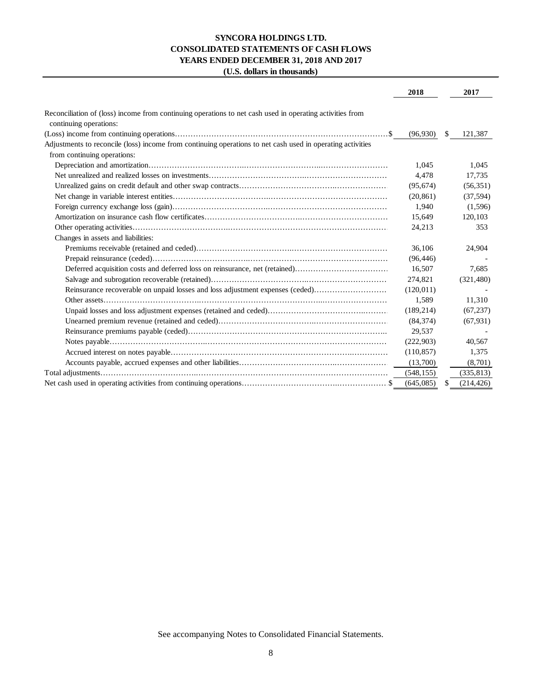# **SYNCORA HOLDINGS LTD. CONSOLIDATED STATEMENTS OF CASH FLOWS YEARS ENDED DECEMBER 31, 2018 AND 2017**

**(U.S. dollars in thousands)**

|                                                                                                                                    | 2018       |               | 2017       |
|------------------------------------------------------------------------------------------------------------------------------------|------------|---------------|------------|
| Reconciliation of (loss) income from continuing operations to net cash used in operating activities from<br>continuing operations: |            |               |            |
|                                                                                                                                    | (96, 930)  | <sup>\$</sup> | 121,387    |
| Adjustments to reconcile (loss) income from continuing operations to net cash used in operating activities                         |            |               |            |
| from continuing operations:                                                                                                        |            |               |            |
|                                                                                                                                    | 1.045      |               | 1.045      |
|                                                                                                                                    | 4,478      |               | 17,735     |
|                                                                                                                                    | (95, 674)  |               | (56, 351)  |
|                                                                                                                                    | (20, 861)  |               | (37, 594)  |
|                                                                                                                                    | 1,940      |               | (1,596)    |
|                                                                                                                                    | 15,649     |               | 120,103    |
|                                                                                                                                    | 24,213     |               | 353        |
| Changes in assets and liabilities:                                                                                                 |            |               |            |
|                                                                                                                                    | 36,106     |               | 24,904     |
|                                                                                                                                    | (96, 446)  |               |            |
| Deferred acquisition costs and deferred loss on reinsurance, net (retained)                                                        | 16,507     |               | 7.685      |
|                                                                                                                                    | 274,821    |               | (321, 480) |
| Reinsurance recoverable on unpaid losses and loss adjustment expenses (ceded)                                                      | (120, 011) |               |            |
|                                                                                                                                    | 1,589      |               | 11,310     |
|                                                                                                                                    | (189, 214) |               | (67, 237)  |
|                                                                                                                                    | (84, 374)  |               | (67, 931)  |
|                                                                                                                                    | 29,537     |               |            |
|                                                                                                                                    | (222, 903) |               | 40,567     |
|                                                                                                                                    | (110, 857) |               | 1.375      |
|                                                                                                                                    | (13,700)   |               | (8,701)    |
|                                                                                                                                    | (548, 155) |               | (335, 813) |
|                                                                                                                                    | (645,085)  | \$            | (214, 426) |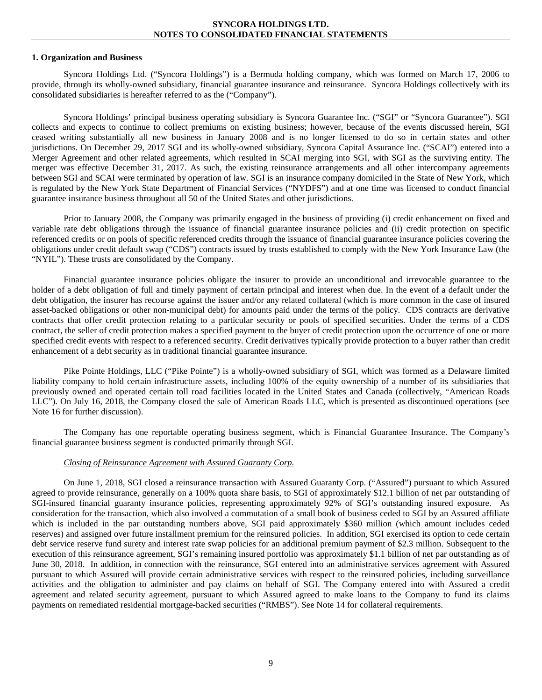# **1. Organization and Business**

Syncora Holdings Ltd. ("Syncora Holdings") is a Bermuda holding company, which was formed on March 17, 2006 to provide, through its wholly-owned subsidiary, financial guarantee insurance and reinsurance. Syncora Holdings collectively with its consolidated subsidiaries is hereafter referred to as the ("Company").

Syncora Holdings' principal business operating subsidiary is Syncora Guarantee Inc. ("SGI" or "Syncora Guarantee"). SGI collects and expects to continue to collect premiums on existing business; however, because of the events discussed herein, SGI ceased writing substantially all new business in January 2008 and is no longer licensed to do so in certain states and other jurisdictions. On December 29, 2017 SGI and its wholly-owned subsidiary, Syncora Capital Assurance Inc. ("SCAI") entered into a Merger Agreement and other related agreements, which resulted in SCAI merging into SGI, with SGI as the surviving entity. The merger was effective December 31, 2017. As such, the existing reinsurance arrangements and all other intercompany agreements between SGI and SCAI were terminated by operation of law. SGI is an insurance company domiciled in the State of New York, which is regulated by the New York State Department of Financial Services ("NYDFS") and at one time was licensed to conduct financial guarantee insurance business throughout all 50 of the United States and other jurisdictions.

Prior to January 2008, the Company was primarily engaged in the business of providing (i) credit enhancement on fixed and variable rate debt obligations through the issuance of financial guarantee insurance policies and (ii) credit protection on specific referenced credits or on pools of specific referenced credits through the issuance of financial guarantee insurance policies covering the obligations under credit default swap ("CDS") contracts issued by trusts established to comply with the New York Insurance Law (the "NYIL"). These trusts are consolidated by the Company.

Financial guarantee insurance policies obligate the insurer to provide an unconditional and irrevocable guarantee to the holder of a debt obligation of full and timely payment of certain principal and interest when due. In the event of a default under the debt obligation, the insurer has recourse against the issuer and/or any related collateral (which is more common in the case of insured asset-backed obligations or other non-municipal debt) for amounts paid under the terms of the policy. CDS contracts are derivative contracts that offer credit protection relating to a particular security or pools of specified securities. Under the terms of a CDS contract, the seller of credit protection makes a specified payment to the buyer of credit protection upon the occurrence of one or more specified credit events with respect to a referenced security. Credit derivatives typically provide protection to a buyer rather than credit enhancement of a debt security as in traditional financial guarantee insurance.

Pike Pointe Holdings, LLC ("Pike Pointe") is a wholly-owned subsidiary of SGI, which was formed as a Delaware limited liability company to hold certain infrastructure assets, including 100% of the equity ownership of a number of its subsidiaries that previously owned and operated certain toll road facilities located in the United States and Canada (collectively, "American Roads LLC"). On July 16, 2018, the Company closed the sale of American Roads LLC, which is presented as discontinued operations (see Note 16 for further discussion).

The Company has one reportable operating business segment, which is Financial Guarantee Insurance. The Company's financial guarantee business segment is conducted primarily through SGI.

# *Closing of Reinsurance Agreement with Assured Guaranty Corp.*

On June 1, 2018, SGI closed a reinsurance transaction with Assured Guaranty Corp. ("Assured") pursuant to which Assured agreed to provide reinsurance, generally on a 100% quota share basis, to SGI of approximately \$12.1 billion of net par outstanding of SGI-insured financial guaranty insurance policies, representing approximately 92% of SGI's outstanding insured exposure. As consideration for the transaction, which also involved a commutation of a small book of business ceded to SGI by an Assured affiliate which is included in the par outstanding numbers above, SGI paid approximately \$360 million (which amount includes ceded reserves) and assigned over future installment premium for the reinsured policies. In addition, SGI exercised its option to cede certain debt service reserve fund surety and interest rate swap policies for an additional premium payment of \$2.3 million. Subsequent to the execution of this reinsurance agreement, SGI's remaining insured portfolio was approximately \$1.1 billion of net par outstanding as of June 30, 2018. In addition, in connection with the reinsurance, SGI entered into an administrative services agreement with Assured pursuant to which Assured will provide certain administrative services with respect to the reinsured policies, including surveillance activities and the obligation to administer and pay claims on behalf of SGI. The Company entered into with Assured a credit agreement and related security agreement, pursuant to which Assured agreed to make loans to the Company to fund its claims payments on remediated residential mortgage-backed securities ("RMBS"). See Note 14 for collateral requirements.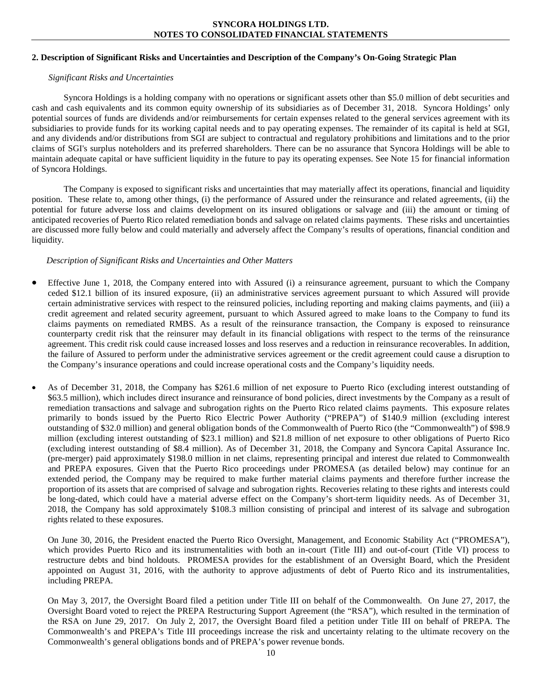# **2. Description of Significant Risks and Uncertainties and Description of the Company's On-Going Strategic Plan**

# *Significant Risks and Uncertainties*

Syncora Holdings is a holding company with no operations or significant assets other than \$5.0 million of debt securities and cash and cash equivalents and its common equity ownership of its subsidiaries as of December 31, 2018. Syncora Holdings' only potential sources of funds are dividends and/or reimbursements for certain expenses related to the general services agreement with its subsidiaries to provide funds for its working capital needs and to pay operating expenses. The remainder of its capital is held at SGI, and any dividends and/or distributions from SGI are subject to contractual and regulatory prohibitions and limitations and to the prior claims of SGI's surplus noteholders and its preferred shareholders. There can be no assurance that Syncora Holdings will be able to maintain adequate capital or have sufficient liquidity in the future to pay its operating expenses. See Note 15 for financial information of Syncora Holdings.

The Company is exposed to significant risks and uncertainties that may materially affect its operations, financial and liquidity position. These relate to, among other things, (i) the performance of Assured under the reinsurance and related agreements, (ii) the potential for future adverse loss and claims development on its insured obligations or salvage and (iii) the amount or timing of anticipated recoveries of Puerto Rico related remediation bonds and salvage on related claims payments. These risks and uncertainties are discussed more fully below and could materially and adversely affect the Company's results of operations, financial condition and liquidity.

# *Description of Significant Risks and Uncertainties and Other Matters*

- Effective June 1, 2018, the Company entered into with Assured (i) a reinsurance agreement, pursuant to which the Company ceded \$12.1 billion of its insured exposure, (ii) an administrative services agreement pursuant to which Assured will provide certain administrative services with respect to the reinsured policies, including reporting and making claims payments, and (iii) a credit agreement and related security agreement, pursuant to which Assured agreed to make loans to the Company to fund its claims payments on remediated RMBS. As a result of the reinsurance transaction, the Company is exposed to reinsurance counterparty credit risk that the reinsurer may default in its financial obligations with respect to the terms of the reinsurance agreement. This credit risk could cause increased losses and loss reserves and a reduction in reinsurance recoverables. In addition, the failure of Assured to perform under the administrative services agreement or the credit agreement could cause a disruption to the Company's insurance operations and could increase operational costs and the Company's liquidity needs.
- As of December 31, 2018, the Company has \$261.6 million of net exposure to Puerto Rico (excluding interest outstanding of \$63.5 million), which includes direct insurance and reinsurance of bond policies, direct investments by the Company as a result of remediation transactions and salvage and subrogation rights on the Puerto Rico related claims payments. This exposure relates primarily to bonds issued by the Puerto Rico Electric Power Authority ("PREPA") of \$140.9 million (excluding interest outstanding of \$32.0 million) and general obligation bonds of the Commonwealth of Puerto Rico (the "Commonwealth") of \$98.9 million (excluding interest outstanding of \$23.1 million) and \$21.8 million of net exposure to other obligations of Puerto Rico (excluding interest outstanding of \$8.4 million). As of December 31, 2018, the Company and Syncora Capital Assurance Inc. (pre-merger) paid approximately \$198.0 million in net claims, representing principal and interest due related to Commonwealth and PREPA exposures. Given that the Puerto Rico proceedings under PROMESA (as detailed below) may continue for an extended period, the Company may be required to make further material claims payments and therefore further increase the proportion of its assets that are comprised of salvage and subrogation rights. Recoveries relating to these rights and interests could be long-dated, which could have a material adverse effect on the Company's short-term liquidity needs. As of December 31, 2018, the Company has sold approximately \$108.3 million consisting of principal and interest of its salvage and subrogation rights related to these exposures.

On June 30, 2016, the President enacted the Puerto Rico Oversight, Management, and Economic Stability Act ("PROMESA"), which provides Puerto Rico and its instrumentalities with both an in-court (Title III) and out-of-court (Title VI) process to restructure debts and bind holdouts. PROMESA provides for the establishment of an Oversight Board, which the President appointed on August 31, 2016, with the authority to approve adjustments of debt of Puerto Rico and its instrumentalities, including PREPA.

On May 3, 2017, the Oversight Board filed a petition under Title III on behalf of the Commonwealth. On June 27, 2017, the Oversight Board voted to reject the PREPA Restructuring Support Agreement (the "RSA"), which resulted in the termination of the RSA on June 29, 2017. On July 2, 2017, the Oversight Board filed a petition under Title III on behalf of PREPA. The Commonwealth's and PREPA's Title III proceedings increase the risk and uncertainty relating to the ultimate recovery on the Commonwealth's general obligations bonds and of PREPA's power revenue bonds.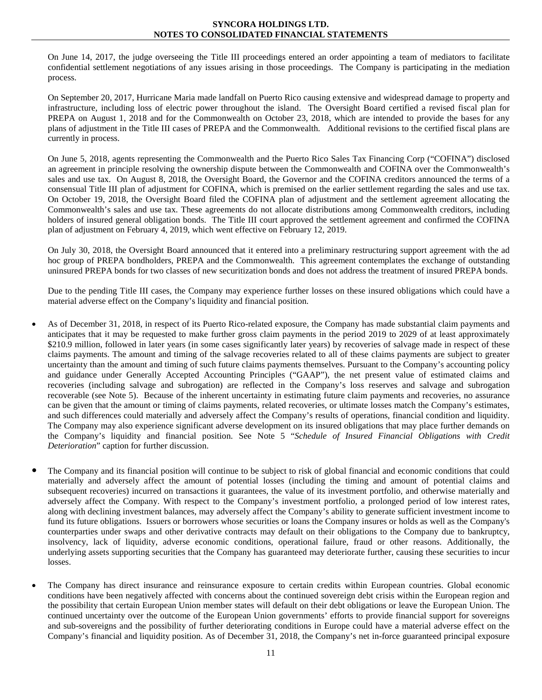On June 14, 2017, the judge overseeing the Title III proceedings entered an order appointing a team of mediators to facilitate confidential settlement negotiations of any issues arising in those proceedings. The Company is participating in the mediation process.

On September 20, 2017, Hurricane Maria made landfall on Puerto Rico causing extensive and widespread damage to property and infrastructure, including loss of electric power throughout the island. The Oversight Board certified a revised fiscal plan for PREPA on August 1, 2018 and for the Commonwealth on October 23, 2018, which are intended to provide the bases for any plans of adjustment in the Title III cases of PREPA and the Commonwealth. Additional revisions to the certified fiscal plans are currently in process.

On June 5, 2018, agents representing the Commonwealth and the Puerto Rico Sales Tax Financing Corp ("COFINA") disclosed an agreement in principle resolving the ownership dispute between the Commonwealth and COFINA over the Commonwealth's sales and use tax. On August 8, 2018, the Oversight Board, the Governor and the COFINA creditors announced the terms of a consensual Title III plan of adjustment for COFINA, which is premised on the earlier settlement regarding the sales and use tax. On October 19, 2018, the Oversight Board filed the COFINA plan of adjustment and the settlement agreement allocating the Commonwealth's sales and use tax. These agreements do not allocate distributions among Commonwealth creditors, including holders of insured general obligation bonds. The Title III court approved the settlement agreement and confirmed the COFINA plan of adjustment on February 4, 2019, which went effective on February 12, 2019.

On July 30, 2018, the Oversight Board announced that it entered into a preliminary restructuring support agreement with the ad hoc group of PREPA bondholders, PREPA and the Commonwealth. This agreement contemplates the exchange of outstanding uninsured PREPA bonds for two classes of new securitization bonds and does not address the treatment of insured PREPA bonds.

Due to the pending Title III cases, the Company may experience further losses on these insured obligations which could have a material adverse effect on the Company's liquidity and financial position.

- As of December 31, 2018, in respect of its Puerto Rico-related exposure, the Company has made substantial claim payments and anticipates that it may be requested to make further gross claim payments in the period 2019 to 2029 of at least approximately \$210.9 million, followed in later years (in some cases significantly later years) by recoveries of salvage made in respect of these claims payments. The amount and timing of the salvage recoveries related to all of these claims payments are subject to greater uncertainty than the amount and timing of such future claims payments themselves. Pursuant to the Company's accounting policy and guidance under Generally Accepted Accounting Principles ("GAAP"), the net present value of estimated claims and recoveries (including salvage and subrogation) are reflected in the Company's loss reserves and salvage and subrogation recoverable (see Note 5). Because of the inherent uncertainty in estimating future claim payments and recoveries, no assurance can be given that the amount or timing of claims payments, related recoveries, or ultimate losses match the Company's estimates, and such differences could materially and adversely affect the Company's results of operations, financial condition and liquidity. The Company may also experience significant adverse development on its insured obligations that may place further demands on the Company's liquidity and financial position. See Note 5 "*Schedule of Insured Financial Obligations with Credit Deterioration*" caption for further discussion.
- The Company and its financial position will continue to be subject to risk of global financial and economic conditions that could materially and adversely affect the amount of potential losses (including the timing and amount of potential claims and subsequent recoveries) incurred on transactions it guarantees, the value of its investment portfolio, and otherwise materially and adversely affect the Company. With respect to the Company's investment portfolio, a prolonged period of low interest rates, along with declining investment balances, may adversely affect the Company's ability to generate sufficient investment income to fund its future obligations. Issuers or borrowers whose securities or loans the Company insures or holds as well as the Company's counterparties under swaps and other derivative contracts may default on their obligations to the Company due to bankruptcy, insolvency, lack of liquidity, adverse economic conditions, operational failure, fraud or other reasons. Additionally, the underlying assets supporting securities that the Company has guaranteed may deteriorate further, causing these securities to incur losses.
- The Company has direct insurance and reinsurance exposure to certain credits within European countries. Global economic conditions have been negatively affected with concerns about the continued sovereign debt crisis within the European region and the possibility that certain European Union member states will default on their debt obligations or leave the European Union. The continued uncertainty over the outcome of the European Union governments' efforts to provide financial support for sovereigns and sub-sovereigns and the possibility of further deteriorating conditions in Europe could have a material adverse effect on the Company's financial and liquidity position. As of December 31, 2018, the Company's net in-force guaranteed principal exposure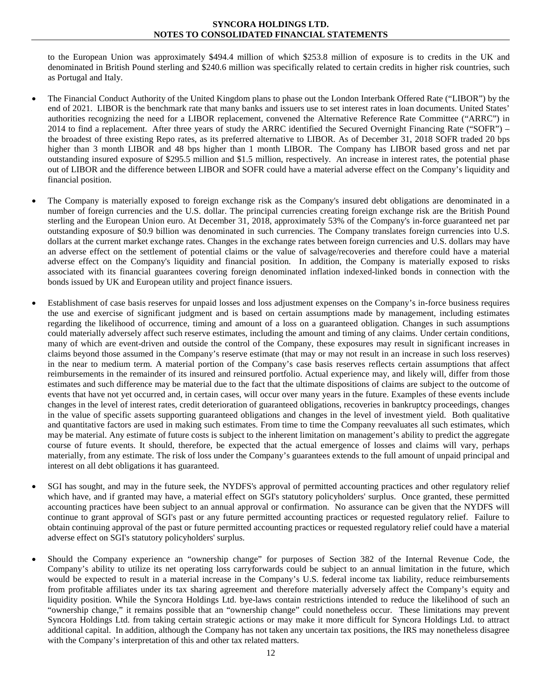to the European Union was approximately \$494.4 million of which \$253.8 million of exposure is to credits in the UK and denominated in British Pound sterling and \$240.6 million was specifically related to certain credits in higher risk countries, such as Portugal and Italy.

- The Financial Conduct Authority of the United Kingdom plans to phase out the London Interbank Offered Rate ("LIBOR") by the end of 2021. LIBOR is the benchmark rate that many banks and issuers use to set interest rates in loan documents. United States' authorities recognizing the need for a LIBOR replacement, convened the Alternative Reference Rate Committee ("ARRC") in 2014 to find a replacement. After three years of study the ARRC identified the Secured Overnight Financing Rate ("SOFR") – the broadest of three existing Repo rates, as its preferred alternative to LIBOR. As of December 31, 2018 SOFR traded 20 bps higher than 3 month LIBOR and 48 bps higher than 1 month LIBOR. The Company has LIBOR based gross and net par outstanding insured exposure of \$295.5 million and \$1.5 million, respectively. An increase in interest rates, the potential phase out of LIBOR and the difference between LIBOR and SOFR could have a material adverse effect on the Company's liquidity and financial position.
- The Company is materially exposed to foreign exchange risk as the Company's insured debt obligations are denominated in a number of foreign currencies and the U.S. dollar. The principal currencies creating foreign exchange risk are the British Pound sterling and the European Union euro. At December 31, 2018, approximately 53% of the Company's in-force guaranteed net par outstanding exposure of \$0.9 billion was denominated in such currencies. The Company translates foreign currencies into U.S. dollars at the current market exchange rates. Changes in the exchange rates between foreign currencies and U.S. dollars may have an adverse effect on the settlement of potential claims or the value of salvage/recoveries and therefore could have a material adverse effect on the Company's liquidity and financial position. In addition, the Company is materially exposed to risks associated with its financial guarantees covering foreign denominated inflation indexed-linked bonds in connection with the bonds issued by UK and European utility and project finance issuers.
- Establishment of case basis reserves for unpaid losses and loss adjustment expenses on the Company's in-force business requires the use and exercise of significant judgment and is based on certain assumptions made by management, including estimates regarding the likelihood of occurrence, timing and amount of a loss on a guaranteed obligation. Changes in such assumptions could materially adversely affect such reserve estimates, including the amount and timing of any claims. Under certain conditions, many of which are event-driven and outside the control of the Company, these exposures may result in significant increases in claims beyond those assumed in the Company's reserve estimate (that may or may not result in an increase in such loss reserves) in the near to medium term. A material portion of the Company's case basis reserves reflects certain assumptions that affect reimbursements in the remainder of its insured and reinsured portfolio. Actual experience may, and likely will, differ from those estimates and such difference may be material due to the fact that the ultimate dispositions of claims are subject to the outcome of events that have not yet occurred and, in certain cases, will occur over many years in the future. Examples of these events include changes in the level of interest rates, credit deterioration of guaranteed obligations, recoveries in bankruptcy proceedings, changes in the value of specific assets supporting guaranteed obligations and changes in the level of investment yield. Both qualitative and quantitative factors are used in making such estimates. From time to time the Company reevaluates all such estimates, which may be material. Any estimate of future costs is subject to the inherent limitation on management's ability to predict the aggregate course of future events. It should, therefore, be expected that the actual emergence of losses and claims will vary, perhaps materially, from any estimate. The risk of loss under the Company's guarantees extends to the full amount of unpaid principal and interest on all debt obligations it has guaranteed.
- SGI has sought, and may in the future seek, the NYDFS's approval of permitted accounting practices and other regulatory relief which have, and if granted may have, a material effect on SGI's statutory policyholders' surplus. Once granted, these permitted accounting practices have been subject to an annual approval or confirmation. No assurance can be given that the NYDFS will continue to grant approval of SGI's past or any future permitted accounting practices or requested regulatory relief. Failure to obtain continuing approval of the past or future permitted accounting practices or requested regulatory relief could have a material adverse effect on SGI's statutory policyholders' surplus.
- Should the Company experience an "ownership change" for purposes of Section 382 of the Internal Revenue Code, the Company's ability to utilize its net operating loss carryforwards could be subject to an annual limitation in the future, which would be expected to result in a material increase in the Company's U.S. federal income tax liability, reduce reimbursements from profitable affiliates under its tax sharing agreement and therefore materially adversely affect the Company's equity and liquidity position. While the Syncora Holdings Ltd. bye-laws contain restrictions intended to reduce the likelihood of such an "ownership change," it remains possible that an "ownership change" could nonetheless occur. These limitations may prevent Syncora Holdings Ltd. from taking certain strategic actions or may make it more difficult for Syncora Holdings Ltd. to attract additional capital. In addition, although the Company has not taken any uncertain tax positions, the IRS may nonetheless disagree with the Company's interpretation of this and other tax related matters.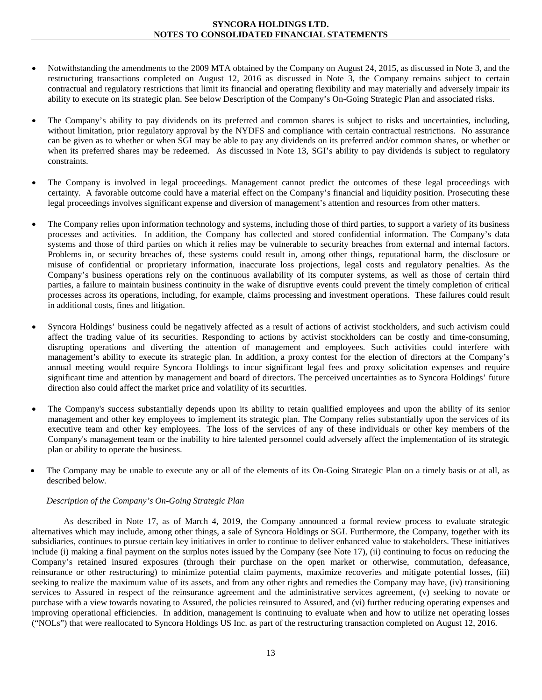- Notwithstanding the amendments to the 2009 MTA obtained by the Company on August 24, 2015, as discussed in Note 3, and the restructuring transactions completed on August 12, 2016 as discussed in Note 3, the Company remains subject to certain contractual and regulatory restrictions that limit its financial and operating flexibility and may materially and adversely impair its ability to execute on its strategic plan. See below Description of the Company's On-Going Strategic Plan and associated risks.
- The Company's ability to pay dividends on its preferred and common shares is subject to risks and uncertainties, including, without limitation, prior regulatory approval by the NYDFS and compliance with certain contractual restrictions. No assurance can be given as to whether or when SGI may be able to pay any dividends on its preferred and/or common shares, or whether or when its preferred shares may be redeemed. As discussed in Note 13, SGI's ability to pay dividends is subject to regulatory constraints.
- The Company is involved in legal proceedings. Management cannot predict the outcomes of these legal proceedings with certainty. A favorable outcome could have a material effect on the Company's financial and liquidity position. Prosecuting these legal proceedings involves significant expense and diversion of management's attention and resources from other matters.
- The Company relies upon information technology and systems, including those of third parties, to support a variety of its business processes and activities. In addition, the Company has collected and stored confidential information. The Company's data systems and those of third parties on which it relies may be vulnerable to security breaches from external and internal factors. Problems in, or security breaches of, these systems could result in, among other things, reputational harm, the disclosure or misuse of confidential or proprietary information, inaccurate loss projections, legal costs and regulatory penalties. As the Company's business operations rely on the continuous availability of its computer systems, as well as those of certain third parties, a failure to maintain business continuity in the wake of disruptive events could prevent the timely completion of critical processes across its operations, including, for example, claims processing and investment operations. These failures could result in additional costs, fines and litigation.
- Syncora Holdings' business could be negatively affected as a result of actions of activist stockholders, and such activism could affect the trading value of its securities. Responding to actions by activist stockholders can be costly and time-consuming, disrupting operations and diverting the attention of management and employees. Such activities could interfere with management's ability to execute its strategic plan. In addition, a proxy contest for the election of directors at the Company's annual meeting would require Syncora Holdings to incur significant legal fees and proxy solicitation expenses and require significant time and attention by management and board of directors. The perceived uncertainties as to Syncora Holdings' future direction also could affect the market price and volatility of its securities.
- The Company's success substantially depends upon its ability to retain qualified employees and upon the ability of its senior management and other key employees to implement its strategic plan. The Company relies substantially upon the services of its executive team and other key employees. The loss of the services of any of these individuals or other key members of the Company's management team or the inability to hire talented personnel could adversely affect the implementation of its strategic plan or ability to operate the business.
- The Company may be unable to execute any or all of the elements of its On-Going Strategic Plan on a timely basis or at all, as described below.

# *Description of the Company's On-Going Strategic Plan*

As described in Note 17, as of March 4, 2019, the Company announced a formal review process to evaluate strategic alternatives which may include, among other things, a sale of Syncora Holdings or SGI. Furthermore, the Company, together with its subsidiaries, continues to pursue certain key initiatives in order to continue to deliver enhanced value to stakeholders. These initiatives include (i) making a final payment on the surplus notes issued by the Company (see Note 17), (ii) continuing to focus on reducing the Company's retained insured exposures (through their purchase on the open market or otherwise, commutation, defeasance, reinsurance or other restructuring) to minimize potential claim payments, maximize recoveries and mitigate potential losses, (iii) seeking to realize the maximum value of its assets, and from any other rights and remedies the Company may have, (iv) transitioning services to Assured in respect of the reinsurance agreement and the administrative services agreement, (v) seeking to novate or purchase with a view towards novating to Assured, the policies reinsured to Assured, and (vi) further reducing operating expenses and improving operational efficiencies. In addition, management is continuing to evaluate when and how to utilize net operating losses ("NOLs") that were reallocated to Syncora Holdings US Inc. as part of the restructuring transaction completed on August 12, 2016.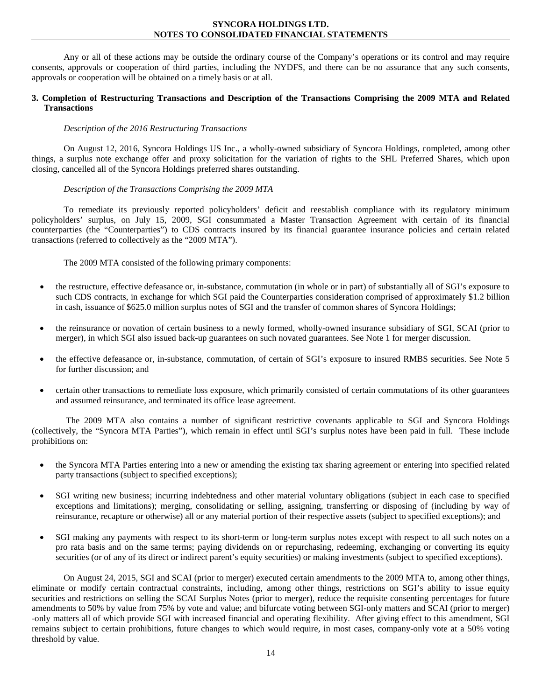Any or all of these actions may be outside the ordinary course of the Company's operations or its control and may require consents, approvals or cooperation of third parties, including the NYDFS, and there can be no assurance that any such consents, approvals or cooperation will be obtained on a timely basis or at all.

# **3. Completion of Restructuring Transactions and Description of the Transactions Comprising the 2009 MTA and Related Transactions**

# *Description of the 2016 Restructuring Transactions*

On August 12, 2016, Syncora Holdings US Inc., a wholly-owned subsidiary of Syncora Holdings, completed, among other things, a surplus note exchange offer and proxy solicitation for the variation of rights to the SHL Preferred Shares, which upon closing, cancelled all of the Syncora Holdings preferred shares outstanding.

# *Description of the Transactions Comprising the 2009 MTA*

To remediate its previously reported policyholders' deficit and reestablish compliance with its regulatory minimum policyholders' surplus, on July 15, 2009, SGI consummated a Master Transaction Agreement with certain of its financial counterparties (the "Counterparties") to CDS contracts insured by its financial guarantee insurance policies and certain related transactions (referred to collectively as the "2009 MTA").

The 2009 MTA consisted of the following primary components:

- the restructure, effective defeasance or, in-substance, commutation (in whole or in part) of substantially all of SGI's exposure to such CDS contracts, in exchange for which SGI paid the Counterparties consideration comprised of approximately \$1.2 billion in cash, issuance of \$625.0 million surplus notes of SGI and the transfer of common shares of Syncora Holdings;
- the reinsurance or novation of certain business to a newly formed, wholly-owned insurance subsidiary of SGI, SCAI (prior to merger), in which SGI also issued back-up guarantees on such novated guarantees. See Note 1 for merger discussion.
- the effective defeasance or, in-substance, commutation, of certain of SGI's exposure to insured RMBS securities. See Note 5 for further discussion; and
- certain other transactions to remediate loss exposure, which primarily consisted of certain commutations of its other guarantees and assumed reinsurance, and terminated its office lease agreement.

The 2009 MTA also contains a number of significant restrictive covenants applicable to SGI and Syncora Holdings (collectively, the "Syncora MTA Parties"), which remain in effect until SGI's surplus notes have been paid in full. These include prohibitions on:

- the Syncora MTA Parties entering into a new or amending the existing tax sharing agreement or entering into specified related party transactions (subject to specified exceptions);
- SGI writing new business; incurring indebtedness and other material voluntary obligations (subject in each case to specified exceptions and limitations); merging, consolidating or selling, assigning, transferring or disposing of (including by way of reinsurance, recapture or otherwise) all or any material portion of their respective assets (subject to specified exceptions); and
- SGI making any payments with respect to its short-term or long-term surplus notes except with respect to all such notes on a pro rata basis and on the same terms; paying dividends on or repurchasing, redeeming, exchanging or converting its equity securities (or of any of its direct or indirect parent's equity securities) or making investments (subject to specified exceptions).

On August 24, 2015, SGI and SCAI (prior to merger) executed certain amendments to the 2009 MTA to, among other things, eliminate or modify certain contractual constraints, including, among other things, restrictions on SGI's ability to issue equity securities and restrictions on selling the SCAI Surplus Notes (prior to merger), reduce the requisite consenting percentages for future amendments to 50% by value from 75% by vote and value; and bifurcate voting between SGI-only matters and SCAI (prior to merger) -only matters all of which provide SGI with increased financial and operating flexibility. After giving effect to this amendment, SGI remains subject to certain prohibitions, future changes to which would require, in most cases, company-only vote at a 50% voting threshold by value.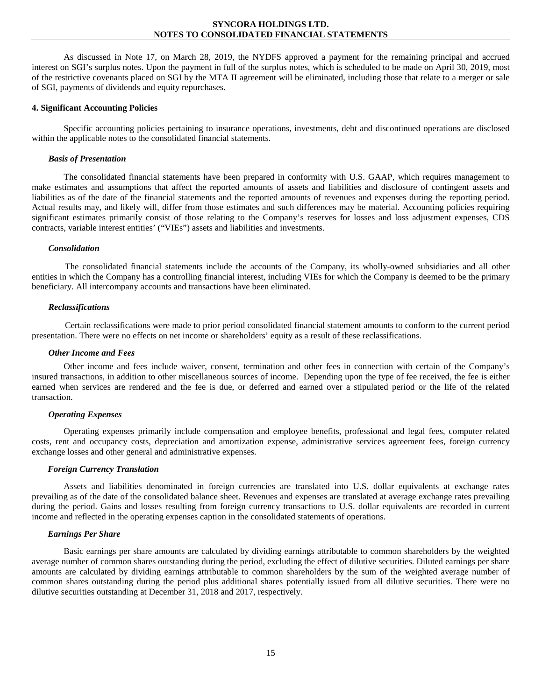As discussed in Note 17, on March 28, 2019, the NYDFS approved a payment for the remaining principal and accrued interest on SGI's surplus notes. Upon the payment in full of the surplus notes, which is scheduled to be made on April 30, 2019, most of the restrictive covenants placed on SGI by the MTA II agreement will be eliminated, including those that relate to a merger or sale of SGI, payments of dividends and equity repurchases.

## **4. Significant Accounting Policies**

Specific accounting policies pertaining to insurance operations, investments, debt and discontinued operations are disclosed within the applicable notes to the consolidated financial statements.

## *Basis of Presentation*

The consolidated financial statements have been prepared in conformity with U.S. GAAP, which requires management to make estimates and assumptions that affect the reported amounts of assets and liabilities and disclosure of contingent assets and liabilities as of the date of the financial statements and the reported amounts of revenues and expenses during the reporting period. Actual results may, and likely will, differ from those estimates and such differences may be material. Accounting policies requiring significant estimates primarily consist of those relating to the Company's reserves for losses and loss adjustment expenses, CDS contracts, variable interest entities' ("VIEs") assets and liabilities and investments.

#### *Consolidation*

The consolidated financial statements include the accounts of the Company, its wholly-owned subsidiaries and all other entities in which the Company has a controlling financial interest, including VIEs for which the Company is deemed to be the primary beneficiary. All intercompany accounts and transactions have been eliminated.

#### *Reclassifications*

Certain reclassifications were made to prior period consolidated financial statement amounts to conform to the current period presentation. There were no effects on net income or shareholders' equity as a result of these reclassifications.

#### *Other Income and Fees*

Other income and fees include waiver, consent, termination and other fees in connection with certain of the Company's insured transactions, in addition to other miscellaneous sources of income. Depending upon the type of fee received, the fee is either earned when services are rendered and the fee is due, or deferred and earned over a stipulated period or the life of the related transaction.

# *Operating Expenses*

Operating expenses primarily include compensation and employee benefits, professional and legal fees, computer related costs, rent and occupancy costs, depreciation and amortization expense, administrative services agreement fees, foreign currency exchange losses and other general and administrative expenses.

#### *Foreign Currency Translation*

Assets and liabilities denominated in foreign currencies are translated into U.S. dollar equivalents at exchange rates prevailing as of the date of the consolidated balance sheet. Revenues and expenses are translated at average exchange rates prevailing during the period. Gains and losses resulting from foreign currency transactions to U.S. dollar equivalents are recorded in current income and reflected in the operating expenses caption in the consolidated statements of operations.

#### *Earnings Per Share*

Basic earnings per share amounts are calculated by dividing earnings attributable to common shareholders by the weighted average number of common shares outstanding during the period, excluding the effect of dilutive securities. Diluted earnings per share amounts are calculated by dividing earnings attributable to common shareholders by the sum of the weighted average number of common shares outstanding during the period plus additional shares potentially issued from all dilutive securities. There were no dilutive securities outstanding at December 31, 2018 and 2017, respectively.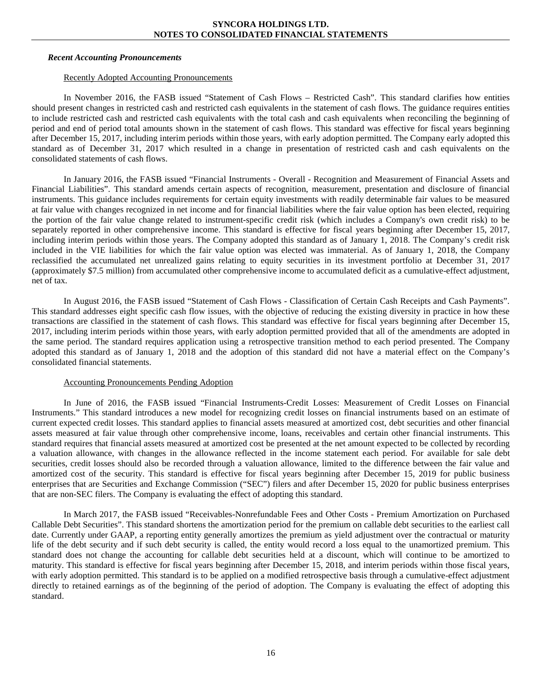#### *Recent Accounting Pronouncements*

# Recently Adopted Accounting Pronouncements

In November 2016, the FASB issued "Statement of Cash Flows – Restricted Cash". This standard clarifies how entities should present changes in restricted cash and restricted cash equivalents in the statement of cash flows. The guidance requires entities to include restricted cash and restricted cash equivalents with the total cash and cash equivalents when reconciling the beginning of period and end of period total amounts shown in the statement of cash flows. This standard was effective for fiscal years beginning after December 15, 2017, including interim periods within those years, with early adoption permitted. The Company early adopted this standard as of December 31, 2017 which resulted in a change in presentation of restricted cash and cash equivalents on the consolidated statements of cash flows.

In January 2016, the FASB issued "Financial Instruments - Overall - Recognition and Measurement of Financial Assets and Financial Liabilities". This standard amends certain aspects of recognition, measurement, presentation and disclosure of financial instruments. This guidance includes requirements for certain equity investments with readily determinable fair values to be measured at fair value with changes recognized in net income and for financial liabilities where the fair value option has been elected, requiring the portion of the fair value change related to instrument-specific credit risk (which includes a Company's own credit risk) to be separately reported in other comprehensive income. This standard is effective for fiscal years beginning after December 15, 2017, including interim periods within those years. The Company adopted this standard as of January 1, 2018. The Company's credit risk included in the VIE liabilities for which the fair value option was elected was immaterial. As of January 1, 2018, the Company reclassified the accumulated net unrealized gains relating to equity securities in its investment portfolio at December 31, 2017 (approximately \$7.5 million) from accumulated other comprehensive income to accumulated deficit as a cumulative-effect adjustment, net of tax.

In August 2016, the FASB issued "Statement of Cash Flows - Classification of Certain Cash Receipts and Cash Payments". This standard addresses eight specific cash flow issues, with the objective of reducing the existing diversity in practice in how these transactions are classified in the statement of cash flows. This standard was effective for fiscal years beginning after December 15, 2017, including interim periods within those years, with early adoption permitted provided that all of the amendments are adopted in the same period. The standard requires application using a retrospective transition method to each period presented. The Company adopted this standard as of January 1, 2018 and the adoption of this standard did not have a material effect on the Company's consolidated financial statements.

# Accounting Pronouncements Pending Adoption

In June of 2016, the FASB issued "Financial Instruments-Credit Losses: Measurement of Credit Losses on Financial Instruments." This standard introduces a new model for recognizing credit losses on financial instruments based on an estimate of current expected credit losses. This standard applies to financial assets measured at amortized cost, debt securities and other financial assets measured at fair value through other comprehensive income, loans, receivables and certain other financial instruments. This standard requires that financial assets measured at amortized cost be presented at the net amount expected to be collected by recording a valuation allowance, with changes in the allowance reflected in the income statement each period. For available for sale debt securities, credit losses should also be recorded through a valuation allowance, limited to the difference between the fair value and amortized cost of the security. This standard is effective for fiscal years beginning after December 15, 2019 for public business enterprises that are Securities and Exchange Commission ("SEC") filers and after December 15, 2020 for public business enterprises that are non-SEC filers. The Company is evaluating the effect of adopting this standard.

In March 2017, the FASB issued "Receivables-Nonrefundable Fees and Other Costs - Premium Amortization on Purchased Callable Debt Securities". This standard shortens the amortization period for the premium on callable debt securities to the earliest call date. Currently under GAAP, a reporting entity generally amortizes the premium as yield adjustment over the contractual or maturity life of the debt security and if such debt security is called, the entity would record a loss equal to the unamortized premium. This standard does not change the accounting for callable debt securities held at a discount, which will continue to be amortized to maturity. This standard is effective for fiscal years beginning after December 15, 2018, and interim periods within those fiscal years, with early adoption permitted. This standard is to be applied on a modified retrospective basis through a cumulative-effect adjustment directly to retained earnings as of the beginning of the period of adoption. The Company is evaluating the effect of adopting this standard.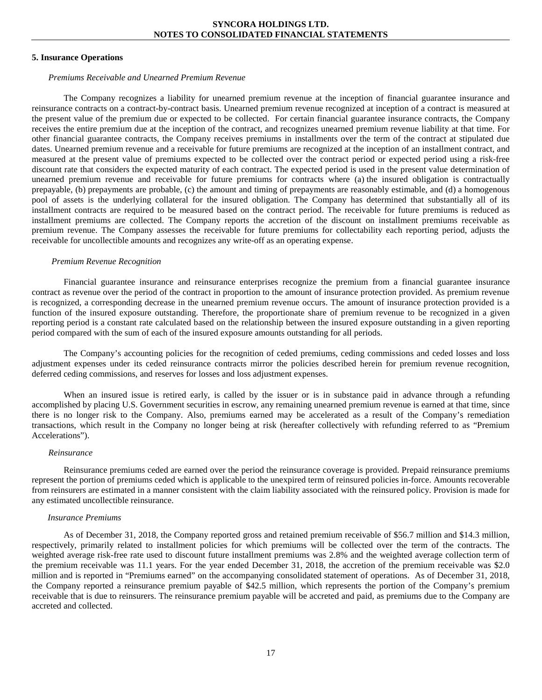# **5. Insurance Operations**

# *Premiums Receivable and Unearned Premium Revenue*

The Company recognizes a liability for unearned premium revenue at the inception of financial guarantee insurance and reinsurance contracts on a contract-by-contract basis. Unearned premium revenue recognized at inception of a contract is measured at the present value of the premium due or expected to be collected. For certain financial guarantee insurance contracts, the Company receives the entire premium due at the inception of the contract, and recognizes unearned premium revenue liability at that time. For other financial guarantee contracts, the Company receives premiums in installments over the term of the contract at stipulated due dates. Unearned premium revenue and a receivable for future premiums are recognized at the inception of an installment contract, and measured at the present value of premiums expected to be collected over the contract period or expected period using a risk-free discount rate that considers the expected maturity of each contract. The expected period is used in the present value determination of unearned premium revenue and receivable for future premiums for contracts where (a) the insured obligation is contractually prepayable, (b) prepayments are probable, (c) the amount and timing of prepayments are reasonably estimable, and (d) a homogenous pool of assets is the underlying collateral for the insured obligation. The Company has determined that substantially all of its installment contracts are required to be measured based on the contract period. The receivable for future premiums is reduced as installment premiums are collected. The Company reports the accretion of the discount on installment premiums receivable as premium revenue. The Company assesses the receivable for future premiums for collectability each reporting period, adjusts the receivable for uncollectible amounts and recognizes any write-off as an operating expense.

## *Premium Revenue Recognition*

Financial guarantee insurance and reinsurance enterprises recognize the premium from a financial guarantee insurance contract as revenue over the period of the contract in proportion to the amount of insurance protection provided. As premium revenue is recognized, a corresponding decrease in the unearned premium revenue occurs. The amount of insurance protection provided is a function of the insured exposure outstanding. Therefore, the proportionate share of premium revenue to be recognized in a given reporting period is a constant rate calculated based on the relationship between the insured exposure outstanding in a given reporting period compared with the sum of each of the insured exposure amounts outstanding for all periods.

The Company's accounting policies for the recognition of ceded premiums, ceding commissions and ceded losses and loss adjustment expenses under its ceded reinsurance contracts mirror the policies described herein for premium revenue recognition, deferred ceding commissions, and reserves for losses and loss adjustment expenses.

When an insured issue is retired early, is called by the issuer or is in substance paid in advance through a refunding accomplished by placing U.S. Government securities in escrow, any remaining unearned premium revenue is earned at that time, since there is no longer risk to the Company. Also, premiums earned may be accelerated as a result of the Company's remediation transactions, which result in the Company no longer being at risk (hereafter collectively with refunding referred to as "Premium Accelerations").

#### *Reinsurance*

Reinsurance premiums ceded are earned over the period the reinsurance coverage is provided. Prepaid reinsurance premiums represent the portion of premiums ceded which is applicable to the unexpired term of reinsured policies in-force. Amounts recoverable from reinsurers are estimated in a manner consistent with the claim liability associated with the reinsured policy. Provision is made for any estimated uncollectible reinsurance.

#### *Insurance Premiums*

As of December 31, 2018, the Company reported gross and retained premium receivable of \$56.7 million and \$14.3 million, respectively, primarily related to installment policies for which premiums will be collected over the term of the contracts. The weighted average risk-free rate used to discount future installment premiums was 2.8% and the weighted average collection term of the premium receivable was 11.1 years. For the year ended December 31, 2018, the accretion of the premium receivable was \$2.0 million and is reported in "Premiums earned" on the accompanying consolidated statement of operations. As of December 31, 2018, the Company reported a reinsurance premium payable of \$42.5 million, which represents the portion of the Company's premium receivable that is due to reinsurers. The reinsurance premium payable will be accreted and paid, as premiums due to the Company are accreted and collected.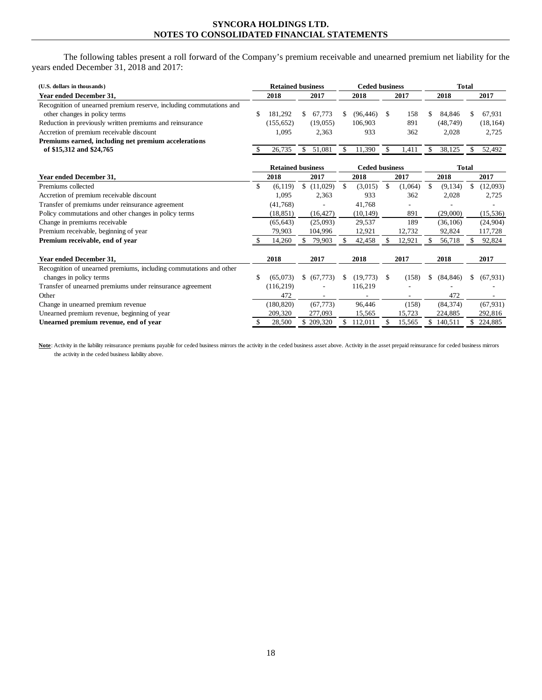The following tables present a roll forward of the Company's premium receivable and unearned premium net liability for the years ended December 31, 2018 and 2017:

| (U.S. dollars in thousands)                                         |    | <b>Retained business</b> |                 | <b>Ceded business</b> |                       |               |         | <b>Total</b> |              |     |           |
|---------------------------------------------------------------------|----|--------------------------|-----------------|-----------------------|-----------------------|---------------|---------|--------------|--------------|-----|-----------|
| Year ended December 31,                                             |    | 2018                     | 2017            | 2018                  |                       | 2017          |         | 2018         |              |     | 2017      |
| Recognition of unearned premium reserve, including commutations and |    |                          |                 |                       |                       |               |         |              |              |     |           |
| other changes in policy terms                                       | \$ | 181,292                  | 67,773<br>S     |                       | (96, 446)             | <sup>\$</sup> | 158     | S            | 84,846       | \$. | 67,931    |
| Reduction in previously written premiums and reinsurance            |    | (155, 652)               | (19,055)        |                       | 106,903               |               | 891     |              | (48, 749)    |     | (18, 164) |
| Accretion of premium receivable discount                            |    | 1,095                    | 2,363           |                       | 933                   |               | 362     |              | 2,028        |     | 2,725     |
| Premiums earned, including net premium accelerations                |    |                          |                 |                       |                       |               |         |              |              |     |           |
| of \$15,312 and \$24,765                                            | -S | 26,735                   | 51,081<br>\$.   | S.                    | 11,390                | <sup>\$</sup> | 1,411   | \$.          | 38,125       | \$  | 52,492    |
|                                                                     |    | <b>Retained business</b> |                 |                       | <b>Ceded business</b> |               |         |              | <b>Total</b> |     |           |
| Year ended December 31,                                             |    | 2018                     | 2017            |                       | 2018                  |               | 2017    |              | 2018         |     | 2017      |
| Premiums collected                                                  | \$ | (6, 119)                 | \$<br>(11,029)  | -S                    | (3,015)               | $\mathbb{S}$  | (1,064) | \$.          | (9, 134)     | \$  | (12,093)  |
| Accretion of premium receivable discount                            |    | 1,095                    | 2,363           |                       | 933                   |               | 362     |              | 2,028        |     | 2,725     |
| Transfer of premiums under reinsurance agreement                    |    | (41,768)                 |                 |                       | 41.768                |               |         |              |              |     |           |
| Policy commutations and other changes in policy terms               |    | (18, 851)                | (16, 427)       |                       | (10, 149)             |               | 891     |              | (29,000)     |     | (15, 536) |
| Change in premiums receivable                                       |    | (65, 643)                | (25,093)        |                       | 29,537                |               | 189     |              | (36, 106)    |     | (24,904)  |
| Premium receivable, beginning of year                               |    | 79,903                   | 104,996         |                       | 12,921                |               | 12,732  |              | 92,824       |     | 117,728   |
| Premium receivable, end of year                                     | \$ | 14,260                   | 79,903<br>S     |                       | 42,458                | \$            | 12,921  | \$           | 56,718       | \$  | 92,824    |
| Year ended December 31,                                             |    | 2018                     | 2017            |                       | 2018                  |               | 2017    |              | 2018         |     | 2017      |
| Recognition of unearned premiums, including commutations and other  |    |                          |                 |                       |                       |               |         |              |              |     |           |
| changes in policy terms                                             | \$ | (65,073)                 | (67, 773)<br>\$ |                       | (19,773)              | -S            | (158)   | \$.          | (84, 846)    | \$  | (67, 931) |
| Transfer of unearned premiums under reinsurance agreement           |    | (116, 219)               |                 |                       | 116,219               |               |         |              |              |     |           |
| Other                                                               |    | 472                      |                 |                       |                       |               |         |              | 472          |     |           |
| Change in unearned premium revenue                                  |    | (180, 820)               | (67, 773)       |                       | 96.446                |               | (158)   |              | (84, 374)    |     | (67, 931) |
| Unearned premium revenue, beginning of year                         |    | 209,320                  | 277,093         |                       | 15,565                |               | 15,723  |              | 224,885      |     | 292,816   |
| Unearned premium revenue, end of year                               | \$ | 28,500                   | \$209,320       |                       | \$112,011             | \$            | 15,565  |              | \$140,511    |     | \$224,885 |

Note: Activity in the liability reinsurance premiums payable for ceded business mirrors the activity in the ceded business asset above. Activity in the asset prepaid reinsurance for ceded business mirrors the activity in the ceded business liability above.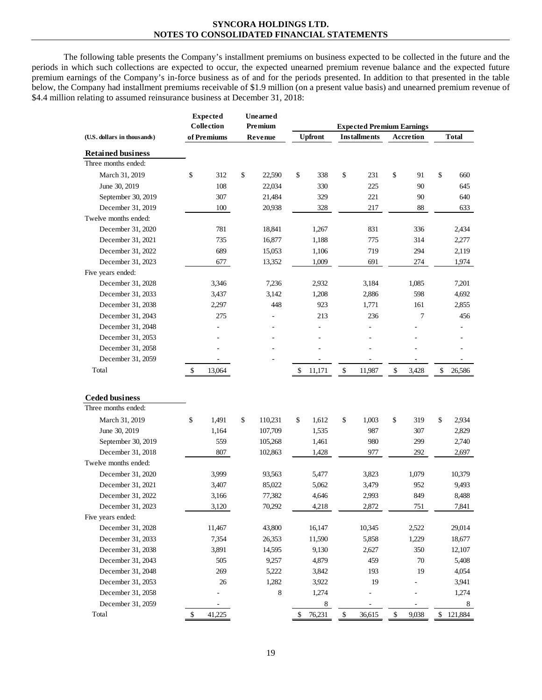The following table presents the Company's installment premiums on business expected to be collected in the future and the periods in which such collections are expected to occur, the expected unearned premium revenue balance and the expected future premium earnings of the Company's in-force business as of and for the periods presented. In addition to that presented in the table below, the Company had installment premiums receivable of \$1.9 million (on a present value basis) and unearned premium revenue of \$4.4 million relating to assumed reinsurance business at December 31, 2018:

|                             | <b>Expected</b><br>Collection | Unearned<br>Premium | <b>Expected Premium Earnings</b> |                                       |    |        |    |                  |    |              |  |  |  |
|-----------------------------|-------------------------------|---------------------|----------------------------------|---------------------------------------|----|--------|----|------------------|----|--------------|--|--|--|
| (U.S. dollars in thousands) | of Premiums                   | Revenue             |                                  | <b>Upfront</b><br><b>Installments</b> |    |        |    | <b>Accretion</b> |    | <b>Total</b> |  |  |  |
|                             |                               |                     |                                  |                                       |    |        |    |                  |    |              |  |  |  |
| <b>Retained business</b>    |                               |                     |                                  |                                       |    |        |    |                  |    |              |  |  |  |
| Three months ended:         |                               |                     |                                  |                                       |    |        |    |                  |    |              |  |  |  |
| March 31, 2019              | \$<br>312                     | \$<br>22,590        | \$                               | 338                                   | \$ | 231    | \$ | 91               | \$ | 660          |  |  |  |
| June 30, 2019               | 108                           | 22,034              |                                  | 330                                   |    | 225    |    | 90               |    | 645          |  |  |  |
| September 30, 2019          | 307                           | 21,484              |                                  | 329                                   |    | 221    |    | 90               |    | 640          |  |  |  |
| December 31, 2019           | 100                           | 20,938              |                                  | 328                                   |    | 217    |    | 88               |    | 633          |  |  |  |
| Twelve months ended:        |                               |                     |                                  |                                       |    |        |    |                  |    |              |  |  |  |
| December 31, 2020           | 781                           | 18,841              |                                  | 1,267                                 |    | 831    |    | 336              |    | 2,434        |  |  |  |
| December 31, 2021           | 735                           | 16,877              |                                  | 1,188                                 |    | 775    |    | 314              |    | 2,277        |  |  |  |
| December 31, 2022           | 689                           | 15,053              |                                  | 1,106                                 |    | 719    |    | 294              |    | 2,119        |  |  |  |
| December 31, 2023           | 677                           | 13,352              |                                  | 1,009                                 |    | 691    |    | 274              |    | 1,974        |  |  |  |
| Five years ended:           |                               |                     |                                  |                                       |    |        |    |                  |    |              |  |  |  |
| December 31, 2028           | 3,346                         | 7,236               |                                  | 2,932                                 |    | 3,184  |    | 1,085            |    | 7,201        |  |  |  |
| December 31, 2033           | 3,437                         | 3,142               |                                  | 1,208                                 |    | 2,886  |    | 598              |    | 4,692        |  |  |  |
| December 31, 2038           | 2,297                         | 448                 |                                  | 923                                   |    | 1,771  |    | 161              |    | 2,855        |  |  |  |
| December 31, 2043           | 275                           |                     |                                  | 213                                   |    | 236    |    | 7                |    | 456          |  |  |  |
| December 31, 2048           |                               |                     |                                  |                                       |    |        |    |                  |    |              |  |  |  |
| December 31, 2053           |                               |                     |                                  |                                       |    |        |    |                  |    |              |  |  |  |
| December 31, 2058           |                               |                     |                                  |                                       |    |        |    |                  |    |              |  |  |  |
| December 31, 2059           |                               |                     |                                  |                                       |    |        |    |                  |    |              |  |  |  |
| Total                       | \$<br>13,064                  |                     | \$                               | 11,171                                | \$ | 11,987 | \$ | 3,428            | \$ | 26,586       |  |  |  |
|                             |                               |                     |                                  |                                       |    |        |    |                  |    |              |  |  |  |
| <b>Ceded business</b>       |                               |                     |                                  |                                       |    |        |    |                  |    |              |  |  |  |
| Three months ended:         |                               |                     |                                  |                                       |    |        |    |                  |    |              |  |  |  |
| March 31, 2019              | \$<br>1,491                   | \$<br>110,231       | \$                               | 1,612                                 | \$ | 1,003  | \$ | 319              | \$ | 2,934        |  |  |  |
| June 30, 2019               | 1,164                         | 107,709             |                                  | 1,535                                 |    | 987    |    | 307              |    | 2,829        |  |  |  |
| September 30, 2019          | 559                           | 105,268             |                                  | 1,461                                 |    | 980    |    | 299              |    | 2,740        |  |  |  |
| December 31, 2018           | 807                           | 102,863             |                                  | 1,428                                 |    | 977    |    | 292              |    | 2,697        |  |  |  |
| Twelve months ended:        |                               |                     |                                  |                                       |    |        |    |                  |    |              |  |  |  |
| December 31, 2020           | 3,999                         | 93,563              |                                  | 5,477                                 |    | 3,823  |    | 1,079            |    | 10,379       |  |  |  |
| December 31, 2021           | 3,407                         | 85,022              |                                  | 5,062                                 |    | 3,479  |    | 952              |    | 9,493        |  |  |  |
| December 31, 2022           | 3,166                         | 77,382              |                                  | 4,646                                 |    | 2,993  |    | 849              |    | 8,488        |  |  |  |
| December 31, 2023           | 3,120                         | 70,292              |                                  | 4,218                                 |    | 2,872  |    | 751              |    | 7,841        |  |  |  |
| Five years ended:           |                               |                     |                                  |                                       |    |        |    |                  |    |              |  |  |  |
| December 31, 2028           | 11,467                        | 43,800              |                                  | 16,147                                |    | 10,345 |    | 2,522            |    | 29,014       |  |  |  |
| December 31, 2033           | 7,354                         | 26,353              |                                  | 11,590                                |    | 5,858  |    | 1,229            |    | 18,677       |  |  |  |
| December 31, 2038           | 3,891                         | 14,595              |                                  | 9,130                                 |    | 2,627  |    | 350              |    | 12,107       |  |  |  |
| December 31, 2043           | 505                           | 9,257               |                                  | 4,879                                 |    | 459    |    | 70               |    | 5,408        |  |  |  |
| December 31, 2048           | 269                           | 5,222               |                                  | 3,842                                 |    | 193    |    | 19               |    | 4,054        |  |  |  |
| December 31, 2053           | 26                            | 1,282               |                                  | 3,922                                 |    | 19     |    |                  |    | 3,941        |  |  |  |
| December 31, 2058           |                               | 8                   |                                  | 1,274                                 |    |        |    |                  |    | 1,274        |  |  |  |
| December 31, 2059           | $\overline{\phantom{a}}$      |                     |                                  | 8                                     |    |        |    |                  |    | 8            |  |  |  |
| Total                       | \$<br>41,225                  |                     | \$                               | 76,231                                | \$ | 36,615 | \$ | 9,038            |    | \$121,884    |  |  |  |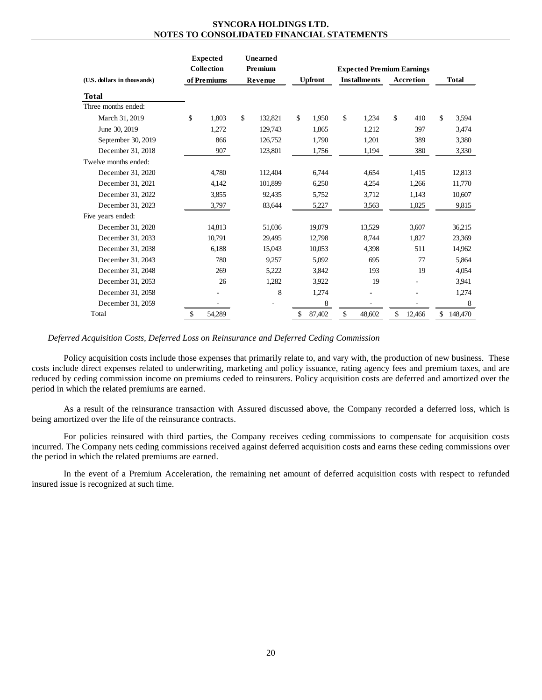|                             | <b>Expected</b> |             |    | Unearned |                                  |                |    |                     |    |                  |              |
|-----------------------------|-----------------|-------------|----|----------|----------------------------------|----------------|----|---------------------|----|------------------|--------------|
|                             | Collection      |             |    | Premium  | <b>Expected Premium Earnings</b> |                |    |                     |    |                  |              |
| (U.S. dollars in thousands) |                 | of Premiums |    | Revenue  |                                  | <b>Upfront</b> |    | <b>Installments</b> |    | <b>Accretion</b> | <b>Total</b> |
| <b>Total</b>                |                 |             |    |          |                                  |                |    |                     |    |                  |              |
| Three months ended:         |                 |             |    |          |                                  |                |    |                     |    |                  |              |
| March 31, 2019              | \$              | 1,803       | \$ | 132,821  | \$                               | 1,950          | \$ | 1,234               | \$ | 410              | \$<br>3,594  |
| June 30, 2019               |                 | 1,272       |    | 129,743  |                                  | 1,865          |    | 1,212               |    | 397              | 3,474        |
| September 30, 2019          |                 | 866         |    | 126,752  |                                  | 1,790          |    | 1,201               |    | 389              | 3,380        |
| December 31, 2018           |                 | 907         |    | 123,801  |                                  | 1,756          |    | 1,194               |    | 380              | 3,330        |
| Twelve months ended:        |                 |             |    |          |                                  |                |    |                     |    |                  |              |
| December 31, 2020           |                 | 4,780       |    | 112,404  |                                  | 6,744          |    | 4,654               |    | 1,415            | 12,813       |
| December 31, 2021           |                 | 4,142       |    | 101,899  |                                  | 6,250          |    | 4,254               |    | 1,266            | 11,770       |
| December 31, 2022           |                 | 3,855       |    | 92,435   |                                  | 5,752          |    | 3,712               |    | 1,143            | 10,607       |
| December 31, 2023           |                 | 3,797       |    | 83,644   |                                  | 5,227          |    | 3,563               |    | 1,025            | 9,815        |
| Five years ended:           |                 |             |    |          |                                  |                |    |                     |    |                  |              |
| December 31, 2028           |                 | 14,813      |    | 51,036   |                                  | 19,079         |    | 13,529              |    | 3,607            | 36,215       |
| December 31, 2033           |                 | 10,791      |    | 29,495   |                                  | 12,798         |    | 8,744               |    | 1,827            | 23,369       |
| December 31, 2038           |                 | 6,188       |    | 15,043   |                                  | 10,053         |    | 4,398               |    | 511              | 14,962       |
| December 31, 2043           |                 | 780         |    | 9,257    |                                  | 5,092          |    | 695                 |    | 77               | 5,864        |
| December 31, 2048           |                 | 269         |    | 5,222    |                                  | 3,842          |    | 193                 |    | 19               | 4,054        |
| December 31, 2053           |                 | 26          |    | 1,282    |                                  | 3,922          |    | 19                  |    |                  | 3,941        |
| December 31, 2058           |                 |             |    | 8        |                                  | 1,274          |    |                     |    |                  | 1,274        |
| December 31, 2059           |                 | ٠           |    |          |                                  | 8              |    |                     |    |                  | 8            |
| Total                       | \$              | 54,289      |    |          | \$                               | 87,402         | \$ | 48,602              | \$ | 12,466           | \$148,470    |

#### *Deferred Acquisition Costs, Deferred Loss on Reinsurance and Deferred Ceding Commission*

Policy acquisition costs include those expenses that primarily relate to, and vary with, the production of new business. These costs include direct expenses related to underwriting, marketing and policy issuance, rating agency fees and premium taxes, and are reduced by ceding commission income on premiums ceded to reinsurers. Policy acquisition costs are deferred and amortized over the period in which the related premiums are earned.

As a result of the reinsurance transaction with Assured discussed above, the Company recorded a deferred loss, which is being amortized over the life of the reinsurance contracts.

For policies reinsured with third parties, the Company receives ceding commissions to compensate for acquisition costs incurred. The Company nets ceding commissions received against deferred acquisition costs and earns these ceding commissions over the period in which the related premiums are earned.

In the event of a Premium Acceleration, the remaining net amount of deferred acquisition costs with respect to refunded insured issue is recognized at such time.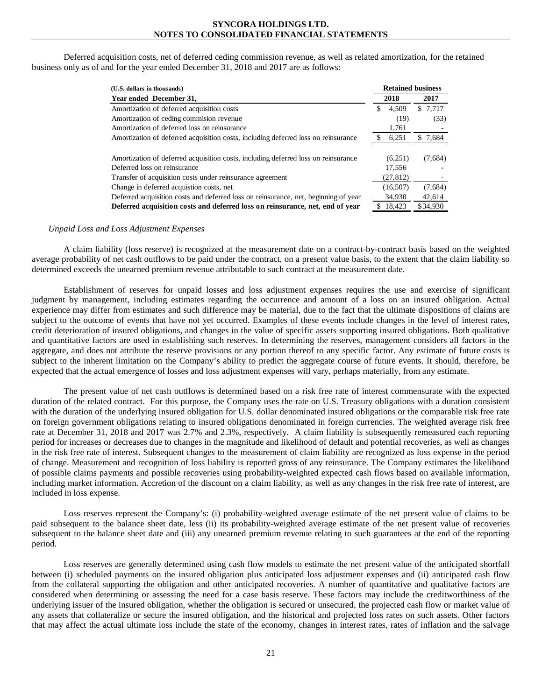Deferred acquisition costs, net of deferred ceding commission revenue, as well as related amortization, for the retained business only as of and for the year ended December 31, 2018 and 2017 are as follows:

| (U.S. dollars in thousands)                                                         |    |           | <b>Retained business</b> |
|-------------------------------------------------------------------------------------|----|-----------|--------------------------|
| Year ended December 31,                                                             |    | 2018      | 2017                     |
| Amortization of deferred acquisition costs                                          | S. | 4,509     | \$7,717                  |
| Amortization of ceding commision revenue                                            |    | (19)      | (33)                     |
| Amortization of deferred loss on reinsurance                                        |    | 1,761     |                          |
| Amortization of deferred acquisition costs, including deferred loss on reinsurance  |    | 6,251     | \$ 7,684                 |
|                                                                                     |    |           |                          |
| Amortization of deferred acquisition costs, including deferred loss on reinsurance  |    | (6,251)   | (7,684)                  |
| Deferred loss on reinsurance                                                        |    | 17,556    |                          |
| Transfer of acquisition costs under reinsurance agreement                           |    | (27, 812) |                          |
| Change in deferred acquistion costs, net                                            |    | (16, 507) | (7,684)                  |
| Deferred acquisition costs and deferred loss on reinsurance, net, beginning of year |    | 34,930    | 42,614                   |
| Deferred acquisition costs and deferred loss on reinsurance, net, end of year       |    | 18,423    | \$34,930                 |

#### *Unpaid Loss and Loss Adjustment Expenses*

A claim liability (loss reserve) is recognized at the measurement date on a contract-by-contract basis based on the weighted average probability of net cash outflows to be paid under the contract, on a present value basis, to the extent that the claim liability so determined exceeds the unearned premium revenue attributable to such contract at the measurement date.

Establishment of reserves for unpaid losses and loss adjustment expenses requires the use and exercise of significant judgment by management, including estimates regarding the occurrence and amount of a loss on an insured obligation. Actual experience may differ from estimates and such difference may be material, due to the fact that the ultimate dispositions of claims are subject to the outcome of events that have not yet occurred. Examples of these events include changes in the level of interest rates, credit deterioration of insured obligations, and changes in the value of specific assets supporting insured obligations. Both qualitative and quantitative factors are used in establishing such reserves. In determining the reserves, management considers all factors in the aggregate, and does not attribute the reserve provisions or any portion thereof to any specific factor. Any estimate of future costs is subject to the inherent limitation on the Company's ability to predict the aggregate course of future events. It should, therefore, be expected that the actual emergence of losses and loss adjustment expenses will vary, perhaps materially, from any estimate.

The present value of net cash outflows is determined based on a risk free rate of interest commensurate with the expected duration of the related contract. For this purpose, the Company uses the rate on U.S. Treasury obligations with a duration consistent with the duration of the underlying insured obligation for U.S. dollar denominated insured obligations or the comparable risk free rate on foreign government obligations relating to insured obligations denominated in foreign currencies. The weighted average risk free rate at December 31, 2018 and 2017 was 2.7% and 2.3%, respectively. A claim liability is subsequently remeasured each reporting period for increases or decreases due to changes in the magnitude and likelihood of default and potential recoveries, as well as changes in the risk free rate of interest. Subsequent changes to the measurement of claim liability are recognized as loss expense in the period of change. Measurement and recognition of loss liability is reported gross of any reinsurance. The Company estimates the likelihood of possible claims payments and possible recoveries using probability-weighted expected cash flows based on available information, including market information. Accretion of the discount on a claim liability, as well as any changes in the risk free rate of interest, are included in loss expense.

Loss reserves represent the Company's: (i) probability-weighted average estimate of the net present value of claims to be paid subsequent to the balance sheet date, less (ii) its probability-weighted average estimate of the net present value of recoveries subsequent to the balance sheet date and (iii) any unearned premium revenue relating to such guarantees at the end of the reporting period.

Loss reserves are generally determined using cash flow models to estimate the net present value of the anticipated shortfall between (i) scheduled payments on the insured obligation plus anticipated loss adjustment expenses and (ii) anticipated cash flow from the collateral supporting the obligation and other anticipated recoveries. A number of quantitative and qualitative factors are considered when determining or assessing the need for a case basis reserve. These factors may include the creditworthiness of the underlying issuer of the insured obligation, whether the obligation is secured or unsecured, the projected cash flow or market value of any assets that collateralize or secure the insured obligation, and the historical and projected loss rates on such assets. Other factors that may affect the actual ultimate loss include the state of the economy, changes in interest rates, rates of inflation and the salvage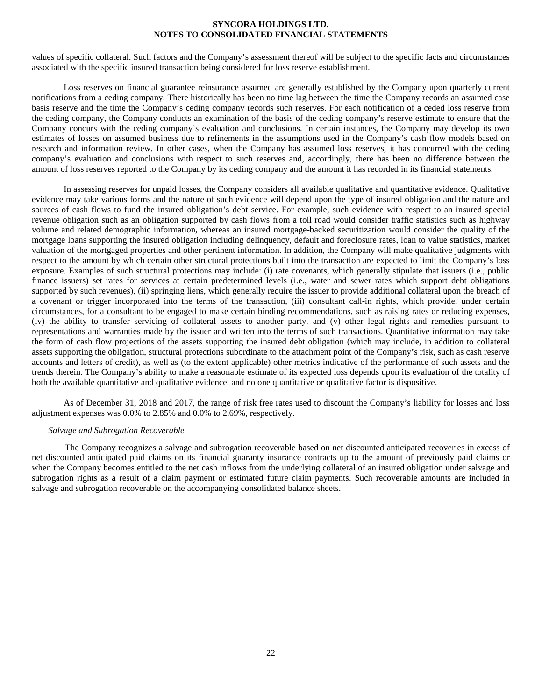values of specific collateral. Such factors and the Company's assessment thereof will be subject to the specific facts and circumstances associated with the specific insured transaction being considered for loss reserve establishment.

Loss reserves on financial guarantee reinsurance assumed are generally established by the Company upon quarterly current notifications from a ceding company. There historically has been no time lag between the time the Company records an assumed case basis reserve and the time the Company's ceding company records such reserves. For each notification of a ceded loss reserve from the ceding company, the Company conducts an examination of the basis of the ceding company's reserve estimate to ensure that the Company concurs with the ceding company's evaluation and conclusions. In certain instances, the Company may develop its own estimates of losses on assumed business due to refinements in the assumptions used in the Company's cash flow models based on research and information review. In other cases, when the Company has assumed loss reserves, it has concurred with the ceding company's evaluation and conclusions with respect to such reserves and, accordingly, there has been no difference between the amount of loss reserves reported to the Company by its ceding company and the amount it has recorded in its financial statements.

In assessing reserves for unpaid losses, the Company considers all available qualitative and quantitative evidence. Qualitative evidence may take various forms and the nature of such evidence will depend upon the type of insured obligation and the nature and sources of cash flows to fund the insured obligation's debt service. For example, such evidence with respect to an insured special revenue obligation such as an obligation supported by cash flows from a toll road would consider traffic statistics such as highway volume and related demographic information, whereas an insured mortgage-backed securitization would consider the quality of the mortgage loans supporting the insured obligation including delinquency, default and foreclosure rates, loan to value statistics, market valuation of the mortgaged properties and other pertinent information. In addition, the Company will make qualitative judgments with respect to the amount by which certain other structural protections built into the transaction are expected to limit the Company's loss exposure. Examples of such structural protections may include: (i) rate covenants, which generally stipulate that issuers (i.e., public finance issuers) set rates for services at certain predetermined levels (i.e., water and sewer rates which support debt obligations supported by such revenues), (ii) springing liens, which generally require the issuer to provide additional collateral upon the breach of a covenant or trigger incorporated into the terms of the transaction, (iii) consultant call-in rights, which provide, under certain circumstances, for a consultant to be engaged to make certain binding recommendations, such as raising rates or reducing expenses, (iv) the ability to transfer servicing of collateral assets to another party, and (v) other legal rights and remedies pursuant to representations and warranties made by the issuer and written into the terms of such transactions. Quantitative information may take the form of cash flow projections of the assets supporting the insured debt obligation (which may include, in addition to collateral assets supporting the obligation, structural protections subordinate to the attachment point of the Company's risk, such as cash reserve accounts and letters of credit), as well as (to the extent applicable) other metrics indicative of the performance of such assets and the trends therein. The Company's ability to make a reasonable estimate of its expected loss depends upon its evaluation of the totality of both the available quantitative and qualitative evidence, and no one quantitative or qualitative factor is dispositive.

As of December 31, 2018 and 2017, the range of risk free rates used to discount the Company's liability for losses and loss adjustment expenses was 0.0% to 2.85% and 0.0% to 2.69%, respectively.

# *Salvage and Subrogation Recoverable*

The Company recognizes a salvage and subrogation recoverable based on net discounted anticipated recoveries in excess of net discounted anticipated paid claims on its financial guaranty insurance contracts up to the amount of previously paid claims or when the Company becomes entitled to the net cash inflows from the underlying collateral of an insured obligation under salvage and subrogation rights as a result of a claim payment or estimated future claim payments. Such recoverable amounts are included in salvage and subrogation recoverable on the accompanying consolidated balance sheets.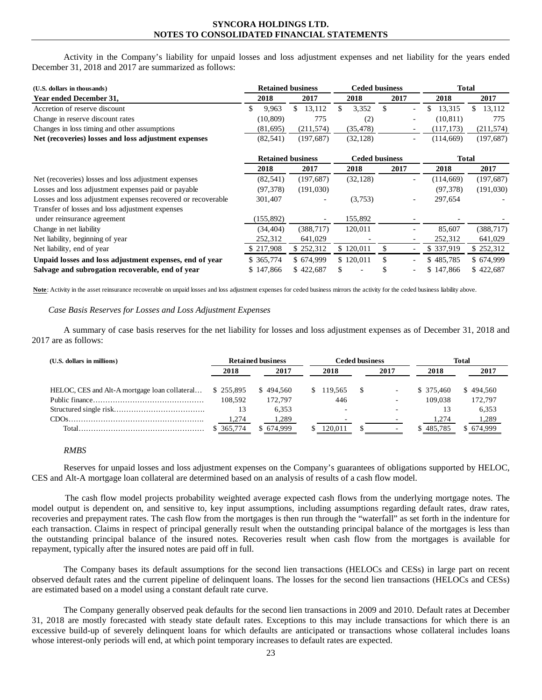Activity in the Company's liability for unpaid losses and loss adjustment expenses and net liability for the years ended December 31, 2018 and 2017 are summarized as follows:

| (U.S. dollars in thousands)                                  |             | <b>Retained business</b> |            |     | <b>Ceded business</b> |      | <b>Total</b> |              |               |  |
|--------------------------------------------------------------|-------------|--------------------------|------------|-----|-----------------------|------|--------------|--------------|---------------|--|
| <b>Year ended December 31,</b>                               | 2018        |                          | 2017       |     | 2018                  | 2017 |              | 2018         | 2017          |  |
| Accretion of reserve discount                                | \$<br>9,963 | \$.                      | 13,112     | \$. | 3,352                 | \$   |              | \$<br>13,315 | 13,112<br>\$. |  |
| Change in reserve discount rates                             | (10, 809)   |                          | 775        |     | (2)                   |      |              | (10, 811)    | 775           |  |
| Changes in loss timing and other assumptions                 | (81,695)    |                          | (211, 574) |     | (35, 478)             |      |              | (117, 173)   | (211, 574)    |  |
| Net (recoveries) losses and loss adjustment expenses         | (82, 541)   |                          | (197, 687) |     | (32, 128)             |      |              | (114, 669)   | (197, 687)    |  |
|                                                              |             | <b>Retained business</b> |            |     | <b>Ceded business</b> |      |              | <b>Total</b> |               |  |
|                                                              | 2018        |                          | 2017       |     | 2018                  | 2017 |              | 2018         | 2017          |  |
| Net (recoveries) losses and loss adjustment expenses         | (82, 541)   |                          | (197, 687) |     | (32, 128)             |      |              | (114, 669)   | (197, 687)    |  |
| Losses and loss adjustment expenses paid or payable          | (97, 378)   |                          | (191,030)  |     |                       |      |              | (97, 378)    | (191,030)     |  |
| Losses and loss adjustment expenses recovered or recoverable | 301,407     |                          |            |     | (3,753)               |      |              | 297,654      |               |  |
| Transfer of losses and loss adjustment expenses              |             |                          |            |     |                       |      |              |              |               |  |
| under reinsurance agreement                                  | (155, 892)  |                          |            |     | 155,892               |      |              |              |               |  |
| Change in net liability                                      | (34, 404)   |                          | (388, 717) |     | 120,011               |      |              | 85,607       | (388, 717)    |  |
| Net liability, beginning of year                             | 252,312     |                          | 641,029    |     |                       |      |              | 252,312      | 641,029       |  |
| Net liability, end of year                                   | \$217,908   |                          | \$252,312  |     | \$120,011             |      |              | \$337,919    | \$252,312     |  |
| Unpaid losses and loss adjustment expenses, end of year      | \$ 365,774  |                          | \$674,999  |     | \$120,011             | \$   |              | \$485,785    | \$674,999     |  |
| Salvage and subrogation recoverable, end of year             | \$147,866   |                          | \$422,687  | \$  |                       |      |              | \$147,866    | \$422,687     |  |

**Note**: Activity in the asset reinsurance recoverable on unpaid losses and loss adjustment expenses for ceded business mirrors the activity for the ceded business liability above.

#### *Case Basis Reserves for Losses and Loss Adjustment Expenses*

A summary of case basis reserves for the net liability for losses and loss adjustment expenses as of December 31, 2018 and 2017 are as follows:

| (U.S. dollars in millions)                    |            | <b>Retained business</b> |               | <b>Ceded business</b> |            | Total     |  |  |
|-----------------------------------------------|------------|--------------------------|---------------|-----------------------|------------|-----------|--|--|
|                                               | 2018       | 2017                     | 2018          | 2017                  | 2018       | 2017      |  |  |
|                                               |            |                          |               |                       |            |           |  |  |
| HELOC, CES and Alt-A mortgage loan collateral | \$255.895  | \$494.560                | 119.565<br>S. |                       | \$ 375,460 | \$494.560 |  |  |
|                                               | 108.592    | 172.797                  | 446           |                       | 109.038    | 172.797   |  |  |
|                                               |            | 6.353                    |               |                       |            | 6.353     |  |  |
|                                               | 1.274      | 1.289                    |               |                       | 1,274      | 1,289     |  |  |
|                                               | \$ 365,774 | \$674.999                | 120.011       |                       | \$485.785  | \$674.999 |  |  |

#### *RMBS*

Reserves for unpaid losses and loss adjustment expenses on the Company's guarantees of obligations supported by HELOC, CES and Alt-A mortgage loan collateral are determined based on an analysis of results of a cash flow model.

The cash flow model projects probability weighted average expected cash flows from the underlying mortgage notes. The model output is dependent on, and sensitive to, key input assumptions, including assumptions regarding default rates, draw rates, recoveries and prepayment rates. The cash flow from the mortgages is then run through the "waterfall" as set forth in the indenture for each transaction. Claims in respect of principal generally result when the outstanding principal balance of the mortgages is less than the outstanding principal balance of the insured notes. Recoveries result when cash flow from the mortgages is available for repayment, typically after the insured notes are paid off in full.

The Company bases its default assumptions for the second lien transactions (HELOCs and CESs) in large part on recent observed default rates and the current pipeline of delinquent loans. The losses for the second lien transactions (HELOCs and CESs) are estimated based on a model using a constant default rate curve.

The Company generally observed peak defaults for the second lien transactions in 2009 and 2010. Default rates at December 31, 2018 are mostly forecasted with steady state default rates. Exceptions to this may include transactions for which there is an excessive build-up of severely delinquent loans for which defaults are anticipated or transactions whose collateral includes loans whose interest-only periods will end, at which point temporary increases to default rates are expected.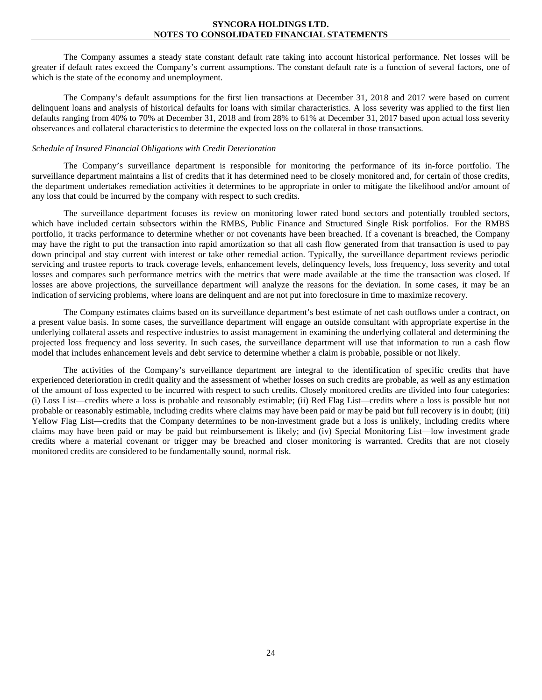The Company assumes a steady state constant default rate taking into account historical performance. Net losses will be greater if default rates exceed the Company's current assumptions. The constant default rate is a function of several factors, one of which is the state of the economy and unemployment.

The Company's default assumptions for the first lien transactions at December 31, 2018 and 2017 were based on current delinquent loans and analysis of historical defaults for loans with similar characteristics. A loss severity was applied to the first lien defaults ranging from 40% to 70% at December 31, 2018 and from 28% to 61% at December 31, 2017 based upon actual loss severity observances and collateral characteristics to determine the expected loss on the collateral in those transactions.

# *Schedule of Insured Financial Obligations with Credit Deterioration*

The Company's surveillance department is responsible for monitoring the performance of its in-force portfolio. The surveillance department maintains a list of credits that it has determined need to be closely monitored and, for certain of those credits, the department undertakes remediation activities it determines to be appropriate in order to mitigate the likelihood and/or amount of any loss that could be incurred by the company with respect to such credits.

The surveillance department focuses its review on monitoring lower rated bond sectors and potentially troubled sectors, which have included certain subsectors within the RMBS, Public Finance and Structured Single Risk portfolios. For the RMBS portfolio, it tracks performance to determine whether or not covenants have been breached. If a covenant is breached, the Company may have the right to put the transaction into rapid amortization so that all cash flow generated from that transaction is used to pay down principal and stay current with interest or take other remedial action. Typically, the surveillance department reviews periodic servicing and trustee reports to track coverage levels, enhancement levels, delinquency levels, loss frequency, loss severity and total losses and compares such performance metrics with the metrics that were made available at the time the transaction was closed. If losses are above projections, the surveillance department will analyze the reasons for the deviation. In some cases, it may be an indication of servicing problems, where loans are delinquent and are not put into foreclosure in time to maximize recovery.

The Company estimates claims based on its surveillance department's best estimate of net cash outflows under a contract, on a present value basis. In some cases, the surveillance department will engage an outside consultant with appropriate expertise in the underlying collateral assets and respective industries to assist management in examining the underlying collateral and determining the projected loss frequency and loss severity. In such cases, the surveillance department will use that information to run a cash flow model that includes enhancement levels and debt service to determine whether a claim is probable, possible or not likely.

The activities of the Company's surveillance department are integral to the identification of specific credits that have experienced deterioration in credit quality and the assessment of whether losses on such credits are probable, as well as any estimation of the amount of loss expected to be incurred with respect to such credits. Closely monitored credits are divided into four categories: (i) Loss List—credits where a loss is probable and reasonably estimable; (ii) Red Flag List—credits where a loss is possible but not probable or reasonably estimable, including credits where claims may have been paid or may be paid but full recovery is in doubt; (iii) Yellow Flag List—credits that the Company determines to be non-investment grade but a loss is unlikely, including credits where claims may have been paid or may be paid but reimbursement is likely; and (iv) Special Monitoring List—low investment grade credits where a material covenant or trigger may be breached and closer monitoring is warranted. Credits that are not closely monitored credits are considered to be fundamentally sound, normal risk.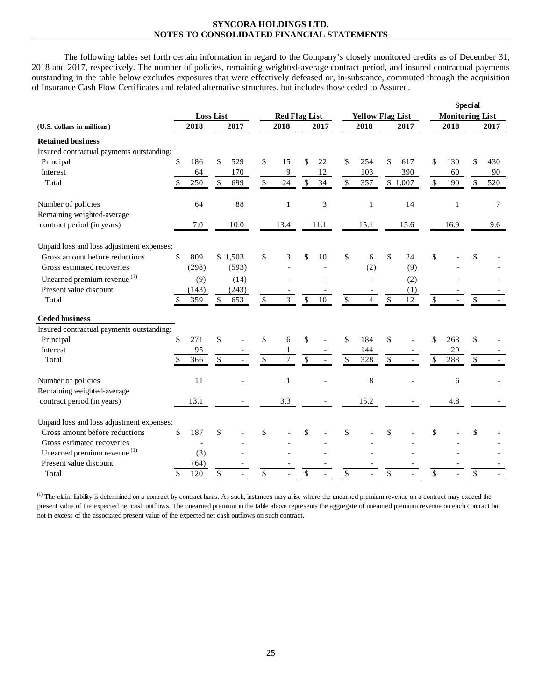The following tables set forth certain information in regard to the Company's closely monitored credits as of December 31, 2018 and 2017, respectively. The number of policies, remaining weighted-average contract period, and insured contractual payments outstanding in the table below excludes exposures that were effectively defeased or, in-substance, commuted through the acquisition of Insurance Cash Flow Certificates and related alternative structures, but includes those ceded to Assured.

|                                           |     |           |                          |         |                 |                      |              |        |               |                         |               |         |               |                        | <b>Special</b>           |      |
|-------------------------------------------|-----|-----------|--------------------------|---------|-----------------|----------------------|--------------|--------|---------------|-------------------------|---------------|---------|---------------|------------------------|--------------------------|------|
|                                           |     | Loss List |                          |         |                 | <b>Red Flag List</b> |              |        |               | <b>Yellow Flag List</b> |               |         |               | <b>Monitoring List</b> |                          |      |
| (U.S. dollars in millions)                |     | 2018      |                          | 2017    |                 | 2018                 |              | 2017   |               | 2018                    |               | 2017    |               | 2018                   |                          | 2017 |
| <b>Retained business</b>                  |     |           |                          |         |                 |                      |              |        |               |                         |               |         |               |                        |                          |      |
| Insured contractual payments outstanding: |     |           |                          |         |                 |                      |              |        |               |                         |               |         |               |                        |                          |      |
| Principal                                 | \$  | 186       | \$                       | 529     | \$              | 15                   | \$           | 22     | \$            | 254                     | \$            | 617     | \$            | 130                    | \$                       | 430  |
| Interest                                  |     | 64        |                          | 170     |                 | 9                    |              | 12     |               | 103                     |               | 390     |               | 60                     |                          | 90   |
| Total                                     | \$  | 250       | \$                       | 699     | \$              | 24                   | \$           | 34     | \$            | 357                     |               | \$1,007 | \$            | 190                    | \$                       | 520  |
| Number of policies                        |     | 64        |                          | 88      |                 | $\mathbf{1}$         |              | 3      |               | $\mathbf{1}$            |               | 14      |               | $\mathbf{1}$           |                          | 7    |
| Remaining weighted-average                |     |           |                          |         |                 |                      |              |        |               |                         |               |         |               |                        |                          |      |
| contract period (in years)                |     | $7.0\,$   |                          | 10.0    |                 | 13.4                 |              | 11.1   |               | 15.1                    |               | 15.6    |               | 16.9                   |                          | 9.6  |
| Unpaid loss and loss adjustment expenses: |     |           |                          |         |                 |                      |              |        |               |                         |               |         |               |                        |                          |      |
| Gross amount before reductions            | \$  | 809       |                          | \$1,503 | \$              | 3                    | \$           | 10     | \$            | 6                       | \$            | 24      | \$            |                        | \$                       |      |
| Gross estimated recoveries                |     | (298)     |                          | (593)   |                 |                      |              |        |               | (2)                     |               | (9)     |               |                        |                          |      |
| Unearned premium revenue $(1)$            |     | (9)       |                          | (14)    |                 |                      |              |        |               |                         |               | (2)     |               |                        |                          |      |
| Present value discount                    |     | (143)     |                          | (243)   |                 |                      |              |        |               |                         |               | (1)     |               |                        |                          |      |
| Total                                     | \$. | 359       | \$                       | 653     | $\mathbb{S}$    | $\overline{3}$       | $\mathbb{S}$ | $10\,$ | $\mathsf{\$}$ | $\overline{4}$          | $\mathcal{S}$ | 12      | $\mathsf{\$}$ |                        | $\mathcal{S}$            |      |
| <b>Ceded business</b>                     |     |           |                          |         |                 |                      |              |        |               |                         |               |         |               |                        |                          |      |
| Insured contractual payments outstanding: |     |           |                          |         |                 |                      |              |        |               |                         |               |         |               |                        |                          |      |
| Principal                                 | \$  | 271       | \$                       |         | \$              | 6                    | \$           |        | \$            | 184                     | \$            |         | \$            | 268                    | \$                       |      |
| Interest                                  |     | 95        |                          |         |                 |                      |              |        |               | 144                     |               |         |               | 20                     |                          |      |
| Total                                     | \$  | 366       | $\overline{\mathcal{S}}$ |         | $\overline{\$}$ | $\overline{7}$       | \$           |        | \$            | 328                     | \$            |         | \$            | 288                    | $\overline{\mathcal{S}}$ |      |
| Number of policies                        |     | 11        |                          |         |                 | $\mathbf{1}$         |              |        |               | $\,$ 8 $\,$             |               |         |               | 6                      |                          |      |
| Remaining weighted-average                |     |           |                          |         |                 |                      |              |        |               |                         |               |         |               |                        |                          |      |
| contract period (in years)                |     | 13.1      |                          |         |                 | 3.3                  |              |        |               | 15.2                    |               |         |               | 4.8                    |                          |      |
| Unpaid loss and loss adjustment expenses: |     |           |                          |         |                 |                      |              |        |               |                         |               |         |               |                        |                          |      |
| Gross amount before reductions            | \$  | 187       | \$                       |         | \$              |                      | \$           |        | \$            |                         | \$            |         | \$            |                        | \$                       |      |
| Gross estimated recoveries                |     |           |                          |         |                 |                      |              |        |               |                         |               |         |               |                        |                          |      |
| Unearned premium revenue <sup>(1)</sup>   |     | (3)       |                          |         |                 |                      |              |        |               |                         |               |         |               |                        |                          |      |
| Present value discount                    |     | (64)      |                          |         |                 |                      |              |        |               |                         |               |         |               |                        |                          |      |
| Total                                     | \$  | 120       | \$                       |         | \$              |                      | \$           |        | \$            |                         | \$            |         | \$            |                        | \$                       |      |

(1) The claim liability is determined on a contract by contract basis. As such, instances may arise where the unearned premium revenue on a contract may exceed the present value of the expected net cash outflows. The unearned premium in the table above represents the aggregate of unearned premium revenue on each contract but not in excess of the associated present value of the expected net cash outflows on such contract.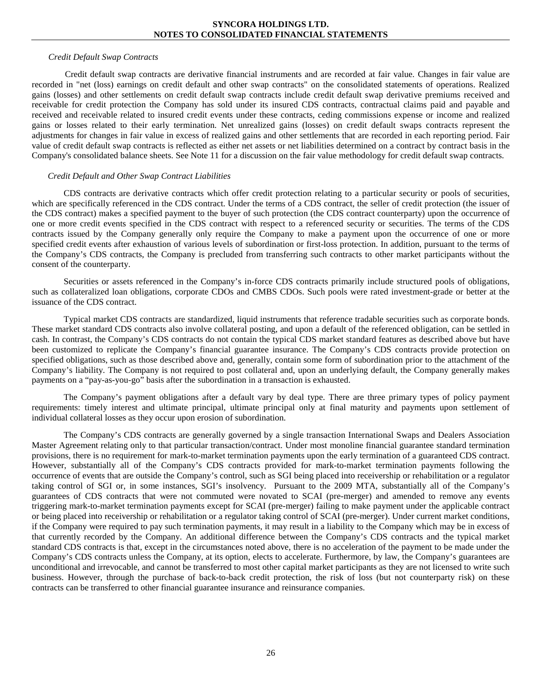# *Credit Default Swap Contracts*

Credit default swap contracts are derivative financial instruments and are recorded at fair value. Changes in fair value are recorded in "net (loss) earnings on credit default and other swap contracts" on the consolidated statements of operations. Realized gains (losses) and other settlements on credit default swap contracts include credit default swap derivative premiums received and receivable for credit protection the Company has sold under its insured CDS contracts, contractual claims paid and payable and received and receivable related to insured credit events under these contracts, ceding commissions expense or income and realized gains or losses related to their early termination. Net unrealized gains (losses) on credit default swaps contracts represent the adjustments for changes in fair value in excess of realized gains and other settlements that are recorded in each reporting period. Fair value of credit default swap contracts is reflected as either net assets or net liabilities determined on a contract by contract basis in the Company's consolidated balance sheets. See Note 11 for a discussion on the fair value methodology for credit default swap contracts.

## *Credit Default and Other Swap Contract Liabilities*

CDS contracts are derivative contracts which offer credit protection relating to a particular security or pools of securities, which are specifically referenced in the CDS contract. Under the terms of a CDS contract, the seller of credit protection (the issuer of the CDS contract) makes a specified payment to the buyer of such protection (the CDS contract counterparty) upon the occurrence of one or more credit events specified in the CDS contract with respect to a referenced security or securities. The terms of the CDS contracts issued by the Company generally only require the Company to make a payment upon the occurrence of one or more specified credit events after exhaustion of various levels of subordination or first-loss protection. In addition, pursuant to the terms of the Company's CDS contracts, the Company is precluded from transferring such contracts to other market participants without the consent of the counterparty.

Securities or assets referenced in the Company's in-force CDS contracts primarily include structured pools of obligations, such as collateralized loan obligations, corporate CDOs and CMBS CDOs. Such pools were rated investment-grade or better at the issuance of the CDS contract.

Typical market CDS contracts are standardized, liquid instruments that reference tradable securities such as corporate bonds. These market standard CDS contracts also involve collateral posting, and upon a default of the referenced obligation, can be settled in cash. In contrast, the Company's CDS contracts do not contain the typical CDS market standard features as described above but have been customized to replicate the Company's financial guarantee insurance. The Company's CDS contracts provide protection on specified obligations, such as those described above and, generally, contain some form of subordination prior to the attachment of the Company's liability. The Company is not required to post collateral and, upon an underlying default, the Company generally makes payments on a "pay-as-you-go" basis after the subordination in a transaction is exhausted.

The Company's payment obligations after a default vary by deal type. There are three primary types of policy payment requirements: timely interest and ultimate principal, ultimate principal only at final maturity and payments upon settlement of individual collateral losses as they occur upon erosion of subordination.

The Company's CDS contracts are generally governed by a single transaction International Swaps and Dealers Association Master Agreement relating only to that particular transaction/contract. Under most monoline financial guarantee standard termination provisions, there is no requirement for mark-to-market termination payments upon the early termination of a guaranteed CDS contract. However, substantially all of the Company's CDS contracts provided for mark-to-market termination payments following the occurrence of events that are outside the Company's control, such as SGI being placed into receivership or rehabilitation or a regulator taking control of SGI or, in some instances, SGI's insolvency. Pursuant to the 2009 MTA, substantially all of the Company's guarantees of CDS contracts that were not commuted were novated to SCAI (pre-merger) and amended to remove any events triggering mark-to-market termination payments except for SCAI (pre-merger) failing to make payment under the applicable contract or being placed into receivership or rehabilitation or a regulator taking control of SCAI (pre-merger). Under current market conditions, if the Company were required to pay such termination payments, it may result in a liability to the Company which may be in excess of that currently recorded by the Company. An additional difference between the Company's CDS contracts and the typical market standard CDS contracts is that, except in the circumstances noted above, there is no acceleration of the payment to be made under the Company's CDS contracts unless the Company, at its option, elects to accelerate. Furthermore, by law, the Company's guarantees are unconditional and irrevocable, and cannot be transferred to most other capital market participants as they are not licensed to write such business. However, through the purchase of back-to-back credit protection, the risk of loss (but not counterparty risk) on these contracts can be transferred to other financial guarantee insurance and reinsurance companies.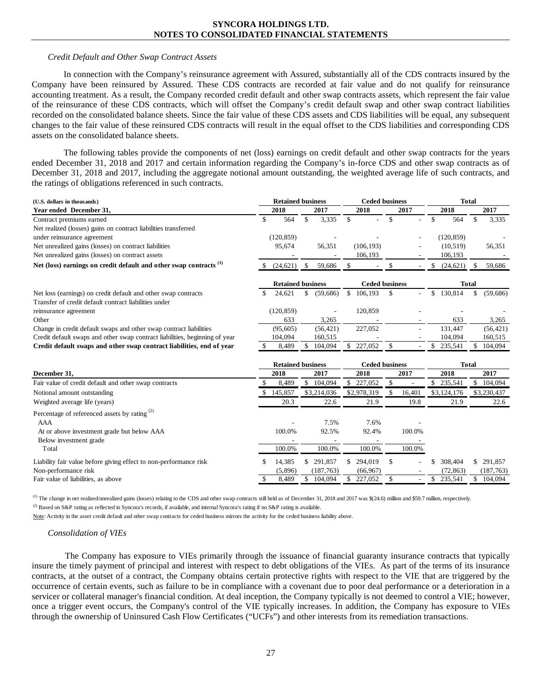# *Credit Default and Other Swap Contract Assets*

In connection with the Company's reinsurance agreement with Assured, substantially all of the CDS contracts insured by the Company have been reinsured by Assured. These CDS contracts are recorded at fair value and do not qualify for reinsurance accounting treatment. As a result, the Company recorded credit default and other swap contracts assets, which represent the fair value of the reinsurance of these CDS contracts, which will offset the Company's credit default swap and other swap contract liabilities recorded on the consolidated balance sheets. Since the fair value of these CDS assets and CDS liabilities will be equal, any subsequent changes to the fair value of these reinsured CDS contracts will result in the equal offset to the CDS liabilities and corresponding CDS assets on the consolidated balance sheets.

The following tables provide the components of net (loss) earnings on credit default and other swap contracts for the years ended December 31, 2018 and 2017 and certain information regarding the Company's in-force CDS and other swap contracts as of December 31, 2018 and 2017, including the aggregate notional amount outstanding, the weighted average life of such contracts, and the ratings of obligations referenced in such contracts.

| (U.S. dollars in thousands)                                                   |              | <b>Retained business</b> |    | <b>Ceded business</b> |    |                          |            | <b>Total</b> |     |              |      |             |
|-------------------------------------------------------------------------------|--------------|--------------------------|----|-----------------------|----|--------------------------|------------|--------------|-----|--------------|------|-------------|
| Year ended December 31,                                                       |              | 2018                     |    | 2017                  |    | 2018                     |            | 2017         |     | 2018         |      | 2017        |
| Contract premiums earned                                                      | \$           | 564                      | \$ | 3,335                 | \$ |                          | \$         |              | \$  | 564          | \$   | 3,335       |
| Net realized (losses) gains on contract liabilities transferred               |              |                          |    |                       |    |                          |            |              |     |              |      |             |
| under reinsurance agreement                                                   |              | (120, 859)               |    |                       |    |                          |            |              |     | (120, 859)   |      |             |
| Net unrealized gains (losses) on contract liabilities                         |              | 95,674                   |    | 56,351                |    | (106, 193)               |            |              |     | (10, 519)    |      | 56,351      |
| Net unrealized gains (losses) on contract assets                              |              |                          |    |                       |    | 106,193                  |            |              |     | 106,193      |      |             |
| Net (loss) earnings on credit default and other swap contracts <sup>(1)</sup> | -SI          | (24, 621)                | -S | 59,686                | \$ | $\overline{\phantom{a}}$ | \$         |              | \$  | (24, 621)    | - \$ | 59,686      |
|                                                                               |              | <b>Retained business</b> |    |                       |    | <b>Ceded business</b>    |            |              |     | <b>Total</b> |      |             |
| Net loss (earnings) on credit default and other swap contracts                |              | 24,621                   |    | (59,686)              | \$ | 106,193                  | \$         |              | \$  | 130,814      | \$   | (59,686)    |
| Transfer of credit default contract liabilities under                         |              |                          |    |                       |    |                          |            |              |     |              |      |             |
| reinsurance agreement                                                         |              | (120, 859)               |    |                       |    | 120,859                  |            |              |     |              |      |             |
| Other                                                                         |              | 633                      |    | 3,265                 |    |                          |            |              |     | 633          |      | 3,265       |
| Change in credit default swaps and other swap contract liabilities            |              | (95, 605)                |    | (56, 421)             |    | 227,052                  |            |              |     | 131,447      |      | (56, 421)   |
| Credit default swaps and other swap contract liabilities, beginning of year   |              | 104,094                  |    | 160,515               |    |                          |            |              |     | 104,094      |      | 160,515     |
| Credit default swaps and other swap contract liabilities, end of year         | S.           | 8,489                    |    | \$104,094             |    | \$227,052                | $\sqrt{3}$ |              |     | \$ 235,541   |      | \$104,094   |
|                                                                               |              | <b>Retained business</b> |    |                       |    | <b>Ceded business</b>    |            |              |     | <b>Total</b> |      |             |
| December 31,                                                                  |              | 2018                     |    | 2017                  |    | 2018                     |            | 2017         |     | 2018         |      | 2017        |
| Fair value of credit default and other swap contracts                         | \$           | 8,489                    |    | \$104,094             | \$ | 227,052                  | \$         |              | \$. | 235,541      |      | \$104,094   |
| Notional amount outstanding                                                   |              | 145,857                  |    | \$3,214,036           |    | \$2,978,319              | \$         | 16,401       |     | \$3,124,176  |      | \$3,230,437 |
| Weighted average life (years)                                                 |              | 20.3                     |    | 22.6                  |    | 21.9                     |            | 19.8         |     | 21.9         |      | 22.6        |
| Percentage of referenced assets by rating <sup>(2)</sup>                      |              |                          |    |                       |    |                          |            |              |     |              |      |             |
| <b>AAA</b>                                                                    |              |                          |    | 7.5%                  |    | 7.6%                     |            |              |     |              |      |             |
| At or above investment grade but below AAA                                    |              | 100.0%                   |    | 92.5%                 |    | 92.4%                    |            | 100.0%       |     |              |      |             |
| Below investment grade                                                        |              |                          |    |                       |    |                          |            |              |     |              |      |             |
| Total                                                                         |              | 100.0%                   |    | 100.0%                |    | 100.0%                   |            | 100.0%       |     |              |      |             |
| Liability fair value before giving effect to non-performance risk             |              | 14,385                   |    | \$291,857             | \$ | 294,019                  | \$         |              |     | 308,404      | \$   | 291,857     |
| Non-performance risk                                                          |              | (5,896)                  |    | (187,763)             |    | (66,967)                 |            |              |     | (72, 863)    |      | (187,763)   |
| Fair value of liabilities, as above                                           | $\mathbb{S}$ | 8,489                    |    | \$104,094             | \$ | 227,052                  | \$         |              |     | \$235,541    |      | \$104,094   |

 $^{(1)}$  The change in net realized/unrealized gains (losses) relating to the CDS and other swap contracts still held as of December 31, 2018 and 2017 was \$(24.6) million and \$59.7 million, respectively.

(2) Based on S&P rating as reflected in Syncora's records, if available, and internal Syncora's rating if no S&P rating is available.

Note: Activity in the asset credit default and other swap contracts for ceded business mirrors the activity for the ceded business liability above.

# *Consolidation of VIEs*

The Company has exposure to VIEs primarily through the issuance of financial guaranty insurance contracts that typically insure the timely payment of principal and interest with respect to debt obligations of the VIEs. As part of the terms of its insurance contracts, at the outset of a contract, the Company obtains certain protective rights with respect to the VIE that are triggered by the occurrence of certain events, such as failure to be in compliance with a covenant due to poor deal performance or a deterioration in a servicer or collateral manager's financial condition. At deal inception, the Company typically is not deemed to control a VIE; however, once a trigger event occurs, the Company's control of the VIE typically increases. In addition, the Company has exposure to VIEs through the ownership of Uninsured Cash Flow Certificates ("UCFs") and other interests from its remediation transactions.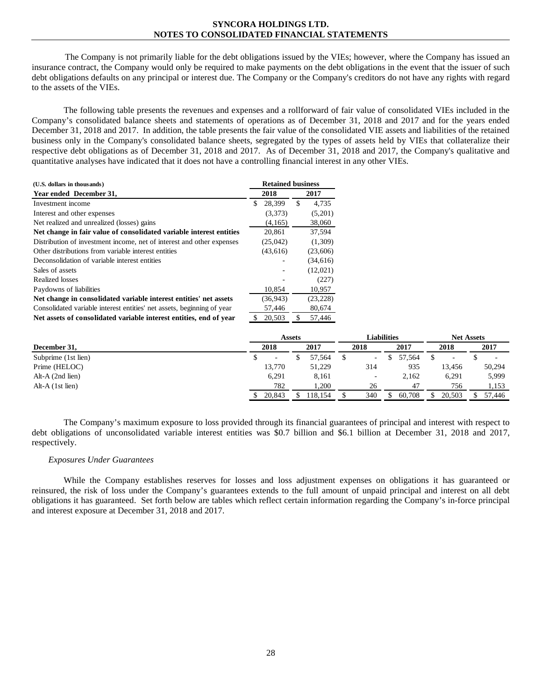The Company is not primarily liable for the debt obligations issued by the VIEs; however, where the Company has issued an insurance contract, the Company would only be required to make payments on the debt obligations in the event that the issuer of such debt obligations defaults on any principal or interest due. The Company or the Company's creditors do not have any rights with regard to the assets of the VIEs.

The following table presents the revenues and expenses and a rollforward of fair value of consolidated VIEs included in the Company's consolidated balance sheets and statements of operations as of December 31, 2018 and 2017 and for the years ended December 31, 2018 and 2017. In addition, the table presents the fair value of the consolidated VIE assets and liabilities of the retained business only in the Company's consolidated balance sheets, segregated by the types of assets held by VIEs that collateralize their respective debt obligations as of December 31, 2018 and 2017. As of December 31, 2018 and 2017, the Company's qualitative and quantitative analyses have indicated that it does not have a controlling financial interest in any other VIEs.

| (U.S. dollars in thousands)                                            |     | <b>Retained business</b> |              |
|------------------------------------------------------------------------|-----|--------------------------|--------------|
| Year ended December 31,                                                |     | 2018                     | 2017         |
| Investment income                                                      | \$. | 28.399                   | \$<br>4,735  |
| Interest and other expenses                                            |     | (3,373)                  | (5,201)      |
| Net realized and unrealized (losses) gains                             |     | (4,165)                  | 38,060       |
| Net change in fair value of consolidated variable interest entities    |     | 20,861                   | 37,594       |
| Distribution of investment income, net of interest and other expenses  |     | (25,042)                 | (1,309)      |
| Other distributions from variable interest entities                    |     | (43,616)                 | (23,606)     |
| Deconsolidation of variable interest entities                          |     |                          | (34, 616)    |
| Sales of assets                                                        |     |                          | (12,021)     |
| Realized losses                                                        |     |                          | (227)        |
| Paydowns of liabilities                                                |     | 10,854                   | 10,957       |
| Net change in consolidated variable interest entities' net assets      |     | (36,943)                 | (23, 228)    |
| Consolidated variable interest entities' net assets, beginning of year |     | 57,446                   | 80,674       |
| Net assets of consolidated variable interest entities, end of year     |     | 20.503                   | \$<br>57.446 |

|                     |                          | Assets |        | <b>Liabilities</b> |                          |  |        | <b>Net Assets</b> |        |  |                          |
|---------------------|--------------------------|--------|--------|--------------------|--------------------------|--|--------|-------------------|--------|--|--------------------------|
| December 31,        | 2018                     |        | 2017   |                    | 2018                     |  | 2017   |                   | 2018   |  | 2017                     |
| Subprime (1st lien) | $\overline{\phantom{a}}$ |        | 57,564 |                    |                          |  | 57,564 |                   | ۰      |  | $\overline{\phantom{a}}$ |
| Prime (HELOC)       | 13,770                   |        | 51,229 |                    | 314                      |  | 935    |                   | 13,456 |  | 50,294                   |
| Alt-A $(2nd$ lien)  | 6,291                    |        | 8,161  |                    | $\overline{\phantom{a}}$ |  | 2.162  |                   | 6,291  |  | 5,999                    |
| Alt-A $(1st$ lien)  | 782                      |        | 200    |                    | 26                       |  | 47     |                   | 756    |  | 1,153                    |
|                     | 20.843                   |        | 18.154 |                    | 340                      |  | 60,708 |                   | 20.503 |  | 57.446                   |

The Company's maximum exposure to loss provided through its financial guarantees of principal and interest with respect to debt obligations of unconsolidated variable interest entities was \$0.7 billion and \$6.1 billion at December 31, 2018 and 2017, respectively.

# *Exposures Under Guarantees*

While the Company establishes reserves for losses and loss adjustment expenses on obligations it has guaranteed or reinsured, the risk of loss under the Company's guarantees extends to the full amount of unpaid principal and interest on all debt obligations it has guaranteed. Set forth below are tables which reflect certain information regarding the Company's in-force principal and interest exposure at December 31, 2018 and 2017.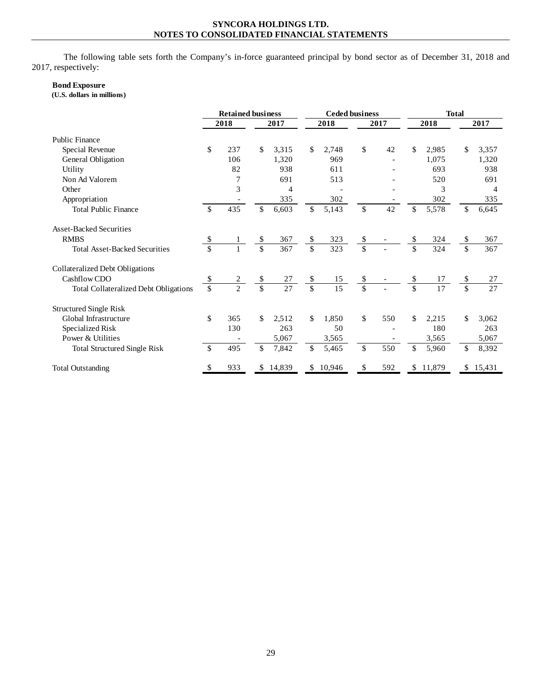The following table sets forth the Company's in-force guaranteed principal by bond sector as of December 31, 2018 and 2017, respectively:

# **Bond Exposure**

**(U.S. dollars in millions)**

|                                              |                    | <b>Retained business</b> |                         |                 |                         | <b>Ceded business</b> |                         |      |             | <b>Total</b> |          |
|----------------------------------------------|--------------------|--------------------------|-------------------------|-----------------|-------------------------|-----------------------|-------------------------|------|-------------|--------------|----------|
|                                              |                    | 2018                     |                         | 2017            |                         | 2018                  |                         | 2017 | 2018        |              | 2017     |
| Public Finance                               |                    |                          |                         |                 |                         |                       |                         |      |             |              |          |
| Special Revenue                              | \$                 | 237                      | $\mathbb{S}$            | 3,315           | \$                      | 2,748                 | \$                      | 42   | \$<br>2,985 | \$           | 3,357    |
| General Obligation                           |                    | 106                      |                         | 1,320           |                         | 969                   |                         |      | 1,075       |              | 1,320    |
| Utility                                      |                    | 82                       |                         | 938             |                         | 611                   |                         |      | 693         |              | 938      |
| Non Ad Valorem                               |                    | 7                        |                         | 691             |                         | 513                   |                         |      | 520         |              | 691      |
| Other                                        |                    | 3                        |                         | 4               |                         |                       |                         |      | 3           |              | 4        |
| Appropriation                                |                    |                          |                         | 335             |                         | 302                   |                         |      | 302         |              | 335      |
| <b>Total Public Finance</b>                  | $\mathcal{S}$      | 435                      | \$                      | 6,603           | \$                      | 5,143                 | \$                      | 42   | \$<br>5,578 | \$           | 6,645    |
| <b>Asset-Backed Securities</b>               |                    |                          |                         |                 |                         |                       |                         |      |             |              |          |
| <b>RMBS</b>                                  | \$                 |                          | \$                      | 367             | \$                      | 323                   | \$                      |      | \$<br>324   | \$           | 367      |
| <b>Total Asset-Backed Securities</b>         | \$                 |                          | \$                      | 367             | \$                      | 323                   | \$                      |      | \$<br>324   | \$           | 367      |
| Collateralized Debt Obligations              |                    |                          |                         |                 |                         |                       |                         |      |             |              |          |
| Cashflow CDO                                 | \$                 | 2                        |                         | 27              | \$                      | 15                    | \$                      |      | 17          | \$           | 27       |
| <b>Total Collateralized Debt Obligations</b> | $\mathbf{\hat{S}}$ | $\overline{2}$           | $\overline{\mathbb{S}}$ | $\overline{27}$ | $\overline{\mathbb{S}}$ | $\overline{15}$       | $\overline{\mathbb{S}}$ |      | \$<br>17    | \$           | 27       |
| <b>Structured Single Risk</b>                |                    |                          |                         |                 |                         |                       |                         |      |             |              |          |
| Global Infrastructure                        | \$                 | 365                      | \$                      | 2,512           | \$                      | 1,850                 | \$                      | 550  | \$<br>2,215 | \$           | 3,062    |
| Specialized Risk                             |                    | 130                      |                         | 263             |                         | 50                    |                         |      | 180         |              | 263      |
| Power & Utilities                            |                    |                          |                         | 5,067           |                         | 3,565                 |                         |      | 3,565       |              | 5,067    |
| <b>Total Structured Single Risk</b>          | \$                 | 495                      | \$                      | 7,842           | \$                      | 5,465                 | \$                      | 550  | \$<br>5,960 | \$           | 8,392    |
| <b>Total Outstanding</b>                     | \$                 | 933                      |                         | \$14,839        | \$                      | 10,946                | \$                      | 592  | \$11,879    |              | \$15,431 |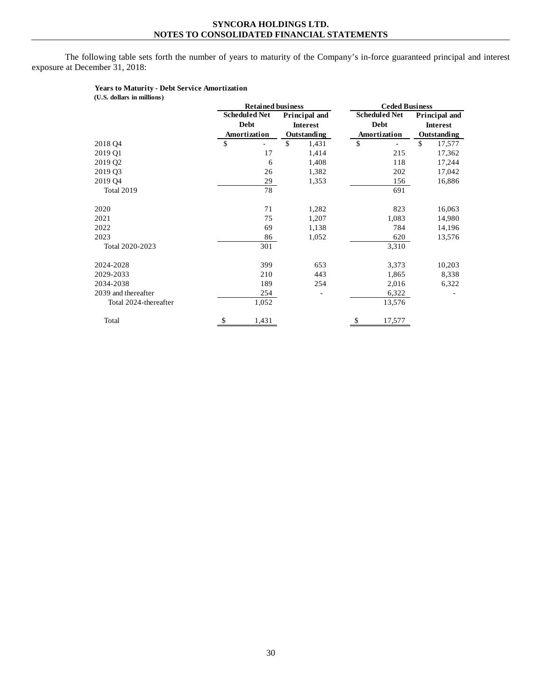The following table sets forth the number of years to maturity of the Company's in-force guaranteed principal and interest exposure at December 31, 2018:

#### **Years to Maturity - Debt Service Amortization (U.S. dollars in millions)**

|                       | <b>Retained business</b> |                 | <b>Ceded Business</b> |                 |
|-----------------------|--------------------------|-----------------|-----------------------|-----------------|
|                       | <b>Scheduled Net</b>     | Principal and   | <b>Scheduled Net</b>  | Principal and   |
|                       | <b>Debt</b>              | <b>Interest</b> | <b>Debt</b>           | <b>Interest</b> |
|                       | Amortization             | Outstanding     | Amortization          | Outstanding     |
| 2018 Q4               | \$                       | \$<br>1,431     | \$                    | \$<br>17,577    |
| 2019 Q1               | 17                       | 1,414           | 215                   | 17,362          |
| 2019 Q2               | 6                        | 1,408           | 118                   | 17,244          |
| 2019 Q3               | 26                       | 1,382           | 202                   | 17,042          |
| 2019 04               | 29                       | 1,353           | 156                   | 16,886          |
| <b>Total 2019</b>     | 78                       |                 | 691                   |                 |
| 2020                  | 71                       | 1,282           | 823                   | 16,063          |
| 2021                  | 75                       | 1,207           | 1,083                 | 14,980          |
| 2022                  | 69                       | 1,138           | 784                   | 14,196          |
| 2023                  | 86                       | 1,052           | 620                   | 13,576          |
| Total 2020-2023       | 301                      |                 | 3,310                 |                 |
| 2024-2028             | 399                      | 653             | 3,373                 | 10,203          |
| 2029-2033             | 210                      | 443             | 1,865                 | 8,338           |
| 2034-2038             | 189                      | 254             | 2,016                 | 6,322           |
| 2039 and thereafter   | 254                      |                 | 6,322                 |                 |
| Total 2024-thereafter | 1,052                    |                 | 13,576                |                 |
| Total                 | \$<br>1,431              |                 | \$<br>17,577          |                 |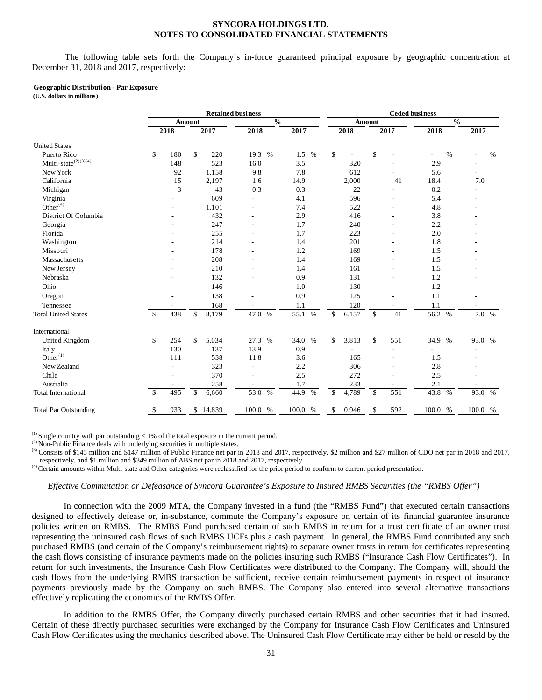The following table sets forth the Company's in-force guaranteed principal exposure by geographic concentration at December 31, 2018 and 2017, respectively:

#### **Geographic Distribution - Par Exposure**

**(U.S. dollars in millions)**

|                              |           |        |          | <b>Retained business</b> |               |              |             |              |      | <b>Ceded business</b> |               |                          |      |
|------------------------------|-----------|--------|----------|--------------------------|---------------|--------------|-------------|--------------|------|-----------------------|---------------|--------------------------|------|
|                              |           | Amount |          |                          | $\frac{0}{0}$ |              |             | Amount       |      |                       | $\frac{0}{0}$ |                          |      |
|                              | 2018      |        | 2017     | 2018                     |               | 2017         | 2018        |              | 2017 | 2018                  |               | 2017                     |      |
| <b>United States</b>         |           |        |          |                          |               |              |             |              |      |                       |               |                          |      |
| Puerto Rico                  | \$<br>180 | \$     | 220      | 19.3                     | $\%$          | 1.5<br>$\%$  | \$          | \$           |      |                       | $\%$          |                          | $\%$ |
| Multi-state $^{(2)(3)(4)}$   | 148       |        | 523      | 16.0                     |               | 3.5          | 320         |              |      | 2.9                   |               |                          |      |
| New York                     | 92        |        | 1,158    | 9.8                      |               | 7.8          | 612         |              |      | 5.6                   |               |                          |      |
| California                   | 15        |        | 2,197    | 1.6                      |               | 14.9         | 2,000       |              | 41   | 18.4                  |               | 7.0                      |      |
| Michigan                     | 3         |        | 43       | 0.3                      |               | 0.3          | 22          |              |      | 0.2                   |               |                          |      |
| Virginia                     |           |        | 609      | ٠                        |               | 4.1          | 596         |              |      | 5.4                   |               |                          |      |
| Other <sup>(4)</sup>         |           |        | 1,101    | ٠                        |               | 7.4          | 522         |              |      | 4.8                   |               |                          |      |
| District Of Columbia         |           |        | 432      | L.                       |               | 2.9          | 416         |              |      | 3.8                   |               |                          |      |
| Georgia                      |           |        | 247      | $\overline{a}$           |               | 1.7          | 240         |              |      | 2.2                   |               |                          |      |
| Florida                      |           |        | 255      | $\overline{a}$           |               | 1.7          | 223         |              |      | 2.0                   |               |                          |      |
| Washington                   |           |        | 214      |                          |               | 1.4          | 201         |              |      | 1.8                   |               |                          |      |
| Missouri                     |           |        | 178      |                          |               | 1.2          | 169         |              |      | 1.5                   |               |                          |      |
| Massachusetts                |           |        | 208      |                          |               | 1.4          | 169         |              |      | 1.5                   |               |                          |      |
| New Jersey                   |           |        | 210      |                          |               | 1.4          | 161         |              |      | 1.5                   |               |                          |      |
| Nebraska                     |           |        | 132      |                          |               | 0.9          | 131         |              |      | 1.2                   |               |                          |      |
| Ohio                         |           |        | 146      | -                        |               | 1.0          | 130         |              |      | 1.2                   |               |                          |      |
| Oregon                       |           |        | 138      | L                        |               | 0.9          | 125         |              |      | 1.1                   |               |                          |      |
| Tennessee                    | ٠         |        | 168      | ÷                        |               | 1.1          | 120         |              | ٠    | 1.1                   |               |                          |      |
| <b>Total United States</b>   | \$<br>438 | \$     | 8,179    | 47.0 %                   |               | 55.1<br>$\%$ | \$<br>6,157 | $\mathbb{S}$ | 41   | 56.2                  | $\%$          | 7.0 %                    |      |
| International                |           |        |          |                          |               |              |             |              |      |                       |               |                          |      |
| United Kingdom               | \$<br>254 | \$     | 5,034    | 27.3 %                   |               | 34.0 %       | \$<br>3,813 | \$           | 551  | 34.9                  | $\%$          | 93.0 %                   |      |
| Italy                        | 130       |        | 137      | 13.9                     |               | 0.9          |             |              |      |                       |               |                          |      |
| Other $^{(1)}$               | 111       |        | 538      | 11.8                     |               | 3.6          | 165         |              |      | 1.5                   |               |                          |      |
| New Zealand                  |           |        | 323      |                          |               | 2.2          | 306         |              |      | 2.8                   |               |                          |      |
| Chile                        |           |        | 370      |                          |               | 2.5          | 272         |              |      | 2.5                   |               |                          |      |
| Australia                    | -         |        | 258      | $\overline{\phantom{a}}$ |               | 1.7          | 233         |              | ۰.   | 2.1                   |               | $\overline{\phantom{a}}$ |      |
| <b>Total International</b>   | \$<br>495 | \$     | 6,660    | 53.0 %                   |               | 44.9<br>$\%$ | \$<br>4,789 | \$           | 551  | 43.8                  | $\%$          | 93.0 %                   |      |
| <b>Total Par Outstanding</b> | \$<br>933 |        | \$14,839 | 100.0 %                  |               | 100.0 %      | \$10,946    | \$           | 592  | 100.0 %               |               | 100.0 %                  |      |

<sup>(1)</sup> Single country with par outstanding < 1% of the total exposure in the current period. <sup>(2)</sup> Non-Public Finance deals with underlying securities in multiple states.

(3) Consists of \$145 million and \$147 million of Public Finance net par in 2018 and 2017, respectively, \$2 million and \$27 million of CDO net par in 2018 and 2017, respectively, and \$1 million and \$349 million of ABS net par in 2018 and 2017, respectively.

(4) Certain amounts within Multi-state and Other categories were reclassified for the prior period to conform to current period presentation.

# *Effective Commutation or Defeasance of Syncora Guarantee's Exposure to Insured RMBS Securities (the "RMBS Offer")*

In connection with the 2009 MTA, the Company invested in a fund (the "RMBS Fund") that executed certain transactions designed to effectively defease or, in-substance, commute the Company's exposure on certain of its financial guarantee insurance policies written on RMBS. The RMBS Fund purchased certain of such RMBS in return for a trust certificate of an owner trust representing the uninsured cash flows of such RMBS UCFs plus a cash payment. In general, the RMBS Fund contributed any such purchased RMBS (and certain of the Company's reimbursement rights) to separate owner trusts in return for certificates representing the cash flows consisting of insurance payments made on the policies insuring such RMBS ("Insurance Cash Flow Certificates"). In return for such investments, the Insurance Cash Flow Certificates were distributed to the Company. The Company will, should the cash flows from the underlying RMBS transaction be sufficient, receive certain reimbursement payments in respect of insurance payments previously made by the Company on such RMBS. The Company also entered into several alternative transactions effectively replicating the economics of the RMBS Offer.

In addition to the RMBS Offer, the Company directly purchased certain RMBS and other securities that it had insured. Certain of these directly purchased securities were exchanged by the Company for Insurance Cash Flow Certificates and Uninsured Cash Flow Certificates using the mechanics described above. The Uninsured Cash Flow Certificate may either be held or resold by the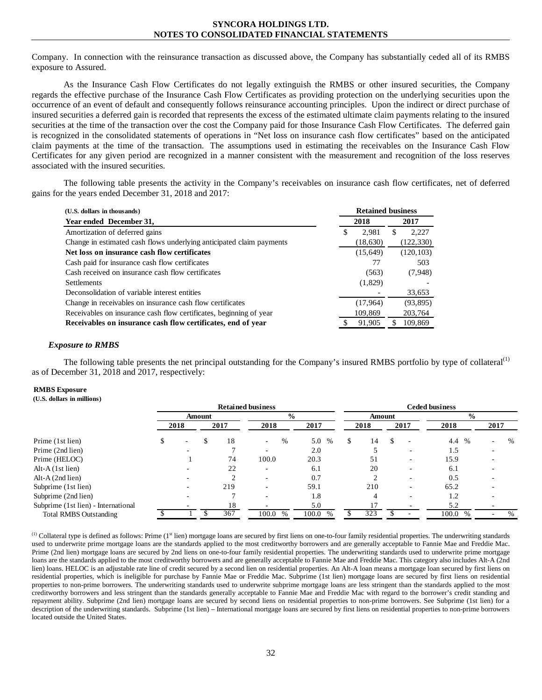Company. In connection with the reinsurance transaction as discussed above, the Company has substantially ceded all of its RMBS exposure to Assured.

As the Insurance Cash Flow Certificates do not legally extinguish the RMBS or other insured securities, the Company regards the effective purchase of the Insurance Cash Flow Certificates as providing protection on the underlying securities upon the occurrence of an event of default and consequently follows reinsurance accounting principles. Upon the indirect or direct purchase of insured securities a deferred gain is recorded that represents the excess of the estimated ultimate claim payments relating to the insured securities at the time of the transaction over the cost the Company paid for those Insurance Cash Flow Certificates. The deferred gain is recognized in the consolidated statements of operations in "Net loss on insurance cash flow certificates" based on the anticipated claim payments at the time of the transaction. The assumptions used in estimating the receivables on the Insurance Cash Flow Certificates for any given period are recognized in a manner consistent with the measurement and recognition of the loss reserves associated with the insured securities.

The following table presents the activity in the Company's receivables on insurance cash flow certificates, net of deferred gains for the years ended December 31, 2018 and 2017:

| (U.S. dollars in thousands)                                          | <b>Retained business</b> |           |   |            |  |  |  |  |
|----------------------------------------------------------------------|--------------------------|-----------|---|------------|--|--|--|--|
| Year ended December 31,                                              |                          | 2018      |   | 2017       |  |  |  |  |
| Amortization of deferred gains                                       | \$                       | 2,981     | S | 2,227      |  |  |  |  |
| Change in estimated cash flows underlying anticipated claim payments |                          | (18, 630) |   | (122, 330) |  |  |  |  |
| Net loss on insurance cash flow certificates                         |                          | (15,649)  |   | (120, 103) |  |  |  |  |
| Cash paid for insurance cash flow certificates                       |                          | 77        |   | 503        |  |  |  |  |
| Cash received on insurance cash flow certificates                    |                          | (563)     |   | (7,948)    |  |  |  |  |
| <b>Settlements</b>                                                   |                          | (1,829)   |   |            |  |  |  |  |
| Deconsolidation of variable interest entities                        |                          |           |   | 33,653     |  |  |  |  |
| Change in receivables on insurance cash flow certificates            |                          | (17,964)  |   | (93,895)   |  |  |  |  |
| Receivables on insurance cash flow certificates, beginning of year   |                          | 109.869   |   | 203,764    |  |  |  |  |
| Receivables on insurance cash flow certificates, end of year         |                          | 91,905    |   | 109,869    |  |  |  |  |

# *Exposure to RMBS*

The following table presents the net principal outstanding for the Company's insured RMBS portfolio by type of collateral<sup>(1)</sup> as of December 31, 2018 and 2017, respectively:

#### **RMBS Exposure**

**(U.S. dollars in millions)**

|                                     | <b>Retained business</b> |        |      |               |               |    |        | <b>Ceded business</b> |                          |               |      |      |  |  |  |  |
|-------------------------------------|--------------------------|--------|------|---------------|---------------|----|--------|-----------------------|--------------------------|---------------|------|------|--|--|--|--|
|                                     |                          | Amount |      | $\frac{0}{0}$ |               |    | Amount |                       |                          | $\frac{0}{0}$ |      |      |  |  |  |  |
|                                     | 2018                     |        | 2017 | 2018          | 2017          |    | 2018   |                       | 2017                     | 2018          | 2017 |      |  |  |  |  |
| Prime (1st lien)                    |                          | \$     | 18   | %             | 5.0<br>$\%$   | S. | 14     | S.                    | ٠                        | 4.4<br>$\%$   | -    | %    |  |  |  |  |
| Prime (2nd lien)                    |                          |        |      |               | 2.0           |    |        |                       | $\overline{\phantom{0}}$ | 1.5           |      |      |  |  |  |  |
| Prime (HELOC)                       |                          |        | 74   | 100.0         | 20.3          |    | 51     |                       | $\sim$                   | 15.9          |      |      |  |  |  |  |
| $Alt-A(1st \, line)$                |                          |        | 22   | -             | 6.1           |    | 20     |                       | $\overline{\phantom{a}}$ | 6.1           |      |      |  |  |  |  |
| $Alt-A(2nd$ lien)                   |                          |        |      | -             | 0.7           |    |        |                       | ۰                        | 0.5           |      |      |  |  |  |  |
| Subprime (1st lien)                 |                          |        | 219  | -             | 59.1          |    | 210    |                       | ٠                        | 65.2          |      |      |  |  |  |  |
| Subprime (2nd lien)                 |                          |        |      | -             | 1.8           |    | 4      |                       | $\overline{\phantom{0}}$ | 1.2           |      |      |  |  |  |  |
| Subprime (1st lien) - International |                          |        | 18   |               | 5.0           |    |        |                       | ۰                        | 5.2           |      |      |  |  |  |  |
| <b>Total RMBS Outstanding</b>       |                          |        | 367  | 100.0<br>$\%$ | 100.0<br>$\%$ |    | 323    |                       |                          | 100.0<br>$\%$ |      | $\%$ |  |  |  |  |

 $<sup>(1)</sup>$  Collateral type is defined as follows: Prime (1st lien) mortgage loans are secured by first liens on one-to-four family residential properties. The underwriting standards</sup> used to underwrite prime mortgage loans are the standards applied to the most creditworthy borrowers and are generally acceptable to Fannie Mae and Freddie Mac. Prime (2nd lien) mortgage loans are secured by 2nd liens on one-to-four family residential properties. The underwriting standards used to underwrite prime mortgage loans are the standards applied to the most creditworthy borrowers and are generally acceptable to Fannie Mae and Freddie Mac. This category also includes Alt-A (2nd lien) loans. HELOC is an adjustable rate line of credit secured by a second lien on residential properties. An Alt-A loan means a mortgage loan secured by first liens on residential properties, which is ineligible for purchase by Fannie Mae or Freddie Mac. Subprime (1st lien) mortgage loans are secured by first liens on residential properties to non-prime borrowers. The underwriting standards used to underwrite subprime mortgage loans are less stringent than the standards applied to the most creditworthy borrowers and less stringent than the standards generally acceptable to Fannie Mae and Freddie Mac with regard to the borrower's credit standing and repayment ability. Subprime (2nd lien) mortgage loans are secured by second liens on residential properties to non-prime borrowers. See Subprime (1st lien) for a description of the underwriting standards. Subprime (1st lien) – International mortgage loans are secured by first liens on residential properties to non-prime borrowers located outside the United States.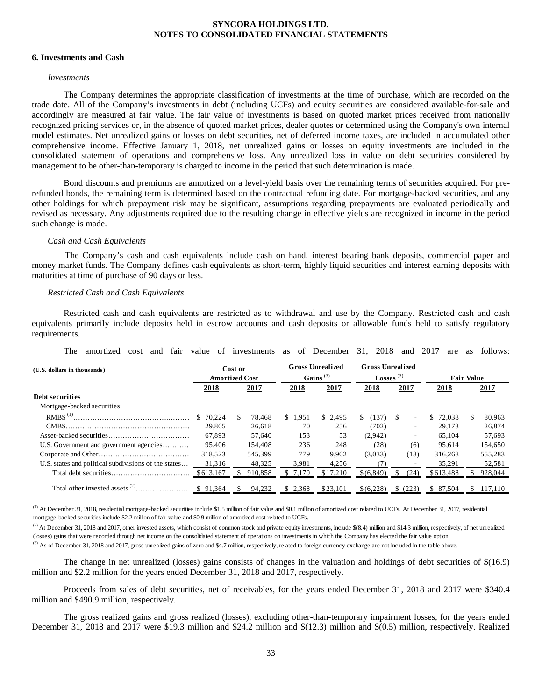# **6. Investments and Cash**

#### *Investments*

The Company determines the appropriate classification of investments at the time of purchase, which are recorded on the trade date. All of the Company's investments in debt (including UCFs) and equity securities are considered available-for-sale and accordingly are measured at fair value. The fair value of investments is based on quoted market prices received from nationally recognized pricing services or, in the absence of quoted market prices, dealer quotes or determined using the Company's own internal model estimates. Net unrealized gains or losses on debt securities, net of deferred income taxes, are included in accumulated other comprehensive income. Effective January 1, 2018, net unrealized gains or losses on equity investments are included in the consolidated statement of operations and comprehensive loss. Any unrealized loss in value on debt securities considered by management to be other-than-temporary is charged to income in the period that such determination is made.

Bond discounts and premiums are amortized on a level-yield basis over the remaining terms of securities acquired. For prerefunded bonds, the remaining term is determined based on the contractual refunding date. For mortgage-backed securities, and any other holdings for which prepayment risk may be significant, assumptions regarding prepayments are evaluated periodically and revised as necessary. Any adjustments required due to the resulting change in effective yields are recognized in income in the period such change is made.

#### *Cash and Cash Equivalents*

The Company's cash and cash equivalents include cash on hand, interest bearing bank deposits, commercial paper and money market funds. The Company defines cash equivalents as short-term, highly liquid securities and interest earning deposits with maturities at time of purchase of 90 days or less.

# *Restricted Cash and Cash Equivalents*

Restricted cash and cash equivalents are restricted as to withdrawal and use by the Company. Restricted cash and cash equivalents primarily include deposits held in escrow accounts and cash deposits or allowable funds held to satisfy regulatory requirements.

The amortized cost and fair value of investments as of December 31, 2018 and 2017 are as follows:

| (U.S. dollars in thousands)                          | Cost or<br><b>Amortized Cost</b> |    |         | <b>Gross Unrealized</b><br>Gains <sup><math>(3)</math></sup> | <b>Gross Unrealized</b><br><b>Losses</b> $(3)$ |             |      | <b>Fair Value</b> |              |     |         |
|------------------------------------------------------|----------------------------------|----|---------|--------------------------------------------------------------|------------------------------------------------|-------------|------|-------------------|--------------|-----|---------|
|                                                      | 2018                             |    | 2017    | 2018                                                         | 2017                                           | 2018        |      | 2017              | 2018         |     | 2017    |
| Debt securities                                      |                                  |    |         |                                                              |                                                |             |      |                   |              |     |         |
| Mortgage-backed securities:                          |                                  |    |         |                                                              |                                                |             |      |                   |              |     |         |
|                                                      | \$ 70.224                        | S. | 78.468  | \$1,951                                                      | \$2,495                                        | \$<br>(137) | - \$ | $\sim$            | S.<br>72,038 | \$. | 80,963  |
|                                                      | 29,805                           |    | 26.618  | 70                                                           | 256                                            | (702)       |      |                   | 29.173       |     | 26,874  |
|                                                      | 67,893                           |    | 57.640  | 153                                                          | 53                                             | (2,942)     |      |                   | 65.104       |     | 57,693  |
| U.S. Government and government agencies              | 95.406                           |    | 154,408 | 236                                                          | 248                                            | (28)        |      | (6)               | 95.614       |     | 154,650 |
|                                                      | 318,523                          |    | 545,399 | 779                                                          | 9.902                                          | (3.033)     |      | (18)              | 316,268      |     | 555,283 |
| U.S. states and political subdivisions of the states | 31.316                           |    | 48,325  | 3,981                                                        | 4,256                                          | (7          |      |                   | 35,291       |     | 52,581  |
|                                                      | \$613,167                        |    | 910,858 | 7.170                                                        | \$17.210                                       | \$ (6,849)  |      | (24)              | \$613,488    |     | 928,044 |
| Total other invested assets <sup>(2)</sup> .         | \$91,364                         |    | 94,232  | \$2,368                                                      | \$23,101                                       | \$(6,228)   |      | \$ (223)          | \$ 87,504    |     | 117,110 |

 $^{(1)}$  At December 31, 2018, residential mortgage-backed securities include \$1.5 million of fair value and \$0.1 million of amortized cost related to UCFs. At December 31, 2017, residential mortgage-backed securities include \$2.2 million of fair value and \$0.9 million of amortized cost related to UCFs.

(2) At December 31, 2018 and 2017, other invested assets, which consist of common stock and private equity investments, include  $\$(8.4)$  million and \$14.3 million, respectively, of net unrealized (losses) gains that were recorded through net income on the consolidated statement of operations on investments in which the Company has elected the fair value option.

<sup>(3)</sup> As of December 31, 2018 and 2017, gross unrealized gains of zero and \$4.7 million, respectively, related to foreign currency exchange are not included in the table above.

The change in net unrealized (losses) gains consists of changes in the valuation and holdings of debt securities of \$(16.9) million and \$2.2 million for the years ended December 31, 2018 and 2017, respectively.

Proceeds from sales of debt securities, net of receivables, for the years ended December 31, 2018 and 2017 were \$340.4 million and \$490.9 million, respectively.

The gross realized gains and gross realized (losses), excluding other-than-temporary impairment losses, for the years ended December 31, 2018 and 2017 were \$19.3 million and \$24.2 million and \$(12.3) million and \$(0.5) million, respectively. Realized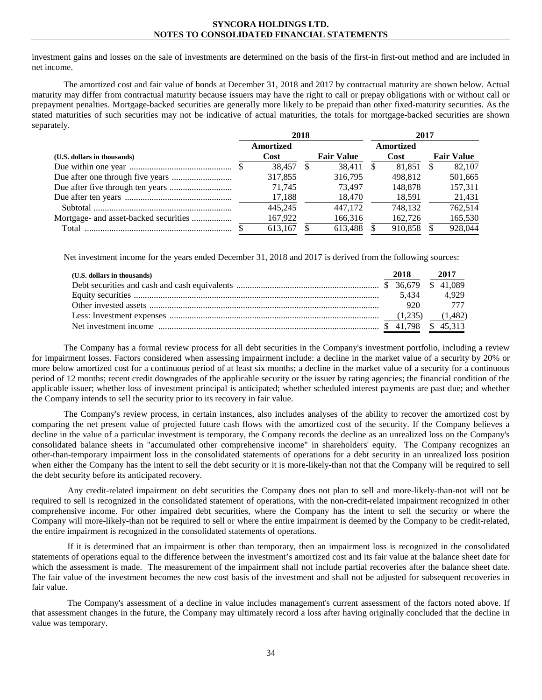investment gains and losses on the sale of investments are determined on the basis of the first-in first-out method and are included in net income.

The amortized cost and fair value of bonds at December 31, 2018 and 2017 by contractual maturity are shown below. Actual maturity may differ from contractual maturity because issuers may have the right to call or prepay obligations with or without call or prepayment penalties. Mortgage-backed securities are generally more likely to be prepaid than other fixed-maturity securities. As the stated maturities of such securities may not be indicative of actual maturities, the totals for mortgage-backed securities are shown separately.

|                             |                          | 2018 |                   | 2017 |                   |  |                   |  |  |  |
|-----------------------------|--------------------------|------|-------------------|------|-------------------|--|-------------------|--|--|--|
| (U.S. dollars in thousands) | <b>Amortized</b><br>Cost |      | <b>Fair Value</b> |      | Amortized<br>Cost |  | <b>Fair Value</b> |  |  |  |
|                             | 38.457                   | -8   | 38.411 \$         |      | 81.851            |  | 82,107            |  |  |  |
|                             | 317,855                  |      | 316,795           |      | 498.812           |  | 501,665           |  |  |  |
|                             | 71.745                   |      | 73.497            |      | 148.878           |  | 157,311           |  |  |  |
|                             | 17,188                   |      | 18.470            |      | 18,591            |  | 21,431            |  |  |  |
|                             | 445.245                  |      | 447,172           |      | 748.132           |  | 762.514           |  |  |  |
|                             | 167,922                  |      | 166.316           |      | 162.726           |  | 165,530           |  |  |  |
| Total                       | 613.167                  |      | 613.488           |      | 910.858           |  | 928,044           |  |  |  |

Net investment income for the years ended December 31, 2018 and 2017 is derived from the following sources:

| (U.S. dollars in thousands) | 2018  | 2017  |
|-----------------------------|-------|-------|
|                             |       |       |
|                             | 5.434 | 4.929 |
|                             | 920   | 777   |
|                             |       |       |
|                             |       |       |

The Company has a formal review process for all debt securities in the Company's investment portfolio, including a review for impairment losses. Factors considered when assessing impairment include: a decline in the market value of a security by 20% or more below amortized cost for a continuous period of at least six months; a decline in the market value of a security for a continuous period of 12 months; recent credit downgrades of the applicable security or the issuer by rating agencies; the financial condition of the applicable issuer; whether loss of investment principal is anticipated; whether scheduled interest payments are past due; and whether the Company intends to sell the security prior to its recovery in fair value.

The Company's review process, in certain instances, also includes analyses of the ability to recover the amortized cost by comparing the net present value of projected future cash flows with the amortized cost of the security. If the Company believes a decline in the value of a particular investment is temporary, the Company records the decline as an unrealized loss on the Company's consolidated balance sheets in "accumulated other comprehensive income" in shareholders' equity. The Company recognizes an other-than-temporary impairment loss in the consolidated statements of operations for a debt security in an unrealized loss position when either the Company has the intent to sell the debt security or it is more-likely-than not that the Company will be required to sell the debt security before its anticipated recovery.

Any credit-related impairment on debt securities the Company does not plan to sell and more-likely-than-not will not be required to sell is recognized in the consolidated statement of operations, with the non-credit-related impairment recognized in other comprehensive income. For other impaired debt securities, where the Company has the intent to sell the security or where the Company will more-likely-than not be required to sell or where the entire impairment is deemed by the Company to be credit-related, the entire impairment is recognized in the consolidated statements of operations.

If it is determined that an impairment is other than temporary, then an impairment loss is recognized in the consolidated statements of operations equal to the difference between the investment's amortized cost and its fair value at the balance sheet date for which the assessment is made. The measurement of the impairment shall not include partial recoveries after the balance sheet date. The fair value of the investment becomes the new cost basis of the investment and shall not be adjusted for subsequent recoveries in fair value.

The Company's assessment of a decline in value includes management's current assessment of the factors noted above. If that assessment changes in the future, the Company may ultimately record a loss after having originally concluded that the decline in value was temporary.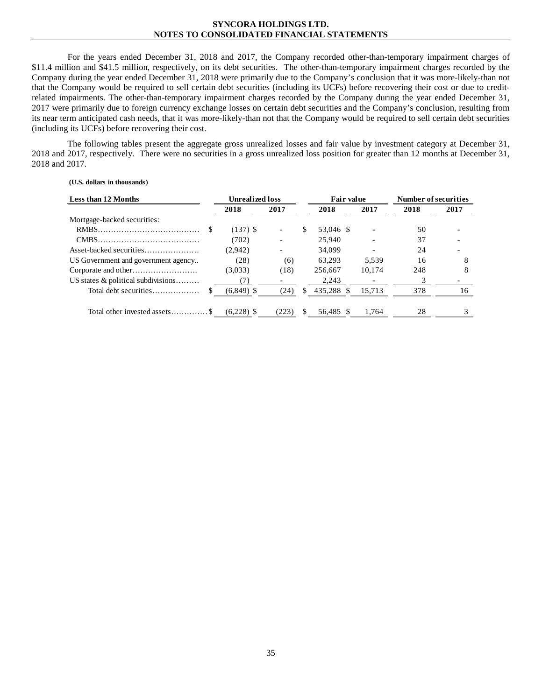For the years ended December 31, 2018 and 2017, the Company recorded other-than-temporary impairment charges of \$11.4 million and \$41.5 million, respectively, on its debt securities. The other-than-temporary impairment charges recorded by the Company during the year ended December 31, 2018 were primarily due to the Company's conclusion that it was more-likely-than not that the Company would be required to sell certain debt securities (including its UCFs) before recovering their cost or due to creditrelated impairments. The other-than-temporary impairment charges recorded by the Company during the year ended December 31, 2017 were primarily due to foreign currency exchange losses on certain debt securities and the Company's conclusion, resulting from its near term anticipated cash needs, that it was more-likely-than not that the Company would be required to sell certain debt securities (including its UCFs) before recovering their cost.

The following tables present the aggregate gross unrealized losses and fair value by investment category at December 31, 2018 and 2017, respectively. There were no securities in a gross unrealized loss position for greater than 12 months at December 31, 2018 and 2017.

#### **(U.S. dollars in thousands)**

| Less than 12 Months                   |  | <b>Unrealized loss</b> |       |   | <b>Fair value</b> |        | <b>Number of securities</b> |      |  |
|---------------------------------------|--|------------------------|-------|---|-------------------|--------|-----------------------------|------|--|
|                                       |  | 2018                   | 2017  |   | 2018              | 2017   | 2018                        | 2017 |  |
| Mortgage-backed securities:           |  |                        |       |   |                   |        |                             |      |  |
|                                       |  | $(137)$ \$             |       | S | 53,046 \$         |        | 50                          |      |  |
|                                       |  | (702)                  |       |   | 25,940            |        | 37                          |      |  |
| Asset-backed securities               |  | (2,942)                |       |   | 34,099            |        | 24                          |      |  |
| US Government and government agency   |  | (28)                   | (6)   |   | 63.293            | 5.539  | 16                          | 8    |  |
|                                       |  | (3,033)                | (18)  |   | 256,667           | 10.174 | 248                         | 8    |  |
| US states $\&$ political subdivisions |  | (7)                    |       |   | 2.243             |        |                             |      |  |
| Total debt securities                 |  | $(6,849)$ \$           | (24)  | S | 435,288 \$        | 15.713 | 378                         | 16   |  |
|                                       |  | $(6,228)$ \$           | (223) |   | 56.485 \$         | 1.764  | 28                          |      |  |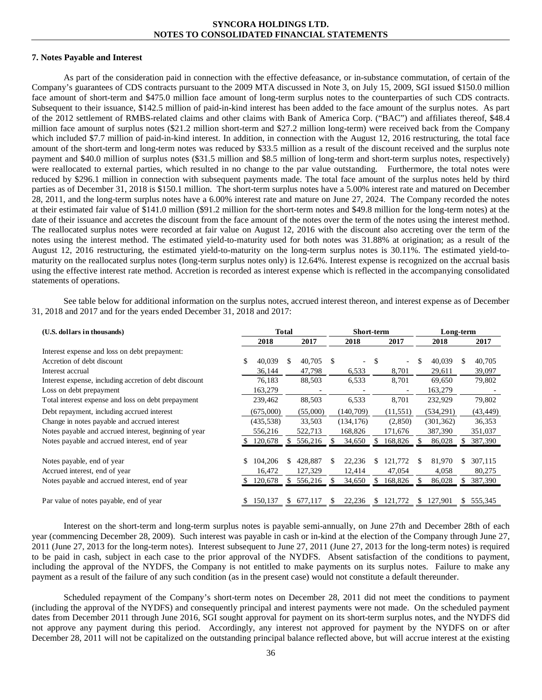# **7. Notes Payable and Interest**

As part of the consideration paid in connection with the effective defeasance, or in-substance commutation, of certain of the Company's guarantees of CDS contracts pursuant to the 2009 MTA discussed in Note 3, on July 15, 2009, SGI issued \$150.0 million face amount of short-term and \$475.0 million face amount of long-term surplus notes to the counterparties of such CDS contracts. Subsequent to their issuance, \$142.5 million of paid-in-kind interest has been added to the face amount of the surplus notes. As part of the 2012 settlement of RMBS-related claims and other claims with Bank of America Corp. ("BAC") and affiliates thereof, \$48.4 million face amount of surplus notes (\$21.2 million short-term and \$27.2 million long-term) were received back from the Company which included \$7.7 million of paid-in-kind interest. In addition, in connection with the August 12, 2016 restructuring, the total face amount of the short-term and long-term notes was reduced by \$33.5 million as a result of the discount received and the surplus note payment and \$40.0 million of surplus notes (\$31.5 million and \$8.5 million of long-term and short-term surplus notes, respectively) were reallocated to external parties, which resulted in no change to the par value outstanding. Furthermore, the total notes were reduced by \$296.1 million in connection with subsequent payments made. The total face amount of the surplus notes held by third parties as of December 31, 2018 is \$150.1 million. The short-term surplus notes have a 5.00% interest rate and matured on December 28, 2011, and the long-term surplus notes have a 6.00% interest rate and mature on June 27, 2024. The Company recorded the notes at their estimated fair value of \$141.0 million (\$91.2 million for the short-term notes and \$49.8 million for the long-term notes) at the date of their issuance and accretes the discount from the face amount of the notes over the term of the notes using the interest method. The reallocated surplus notes were recorded at fair value on August 12, 2016 with the discount also accreting over the term of the notes using the interest method. The estimated yield-to-maturity used for both notes was 31.88% at origination; as a result of the August 12, 2016 restructuring, the estimated yield-to-maturity on the long-term surplus notes is 30.11%. The estimated yield-tomaturity on the reallocated surplus notes (long-term surplus notes only) is 12.64%. Interest expense is recognized on the accrual basis using the effective interest rate method. Accretion is recorded as interest expense which is reflected in the accompanying consolidated statements of operations.

See table below for additional information on the surplus notes, accrued interest thereon, and interest expense as of December 31, 2018 and 2017 and for the years ended December 31, 2018 and 2017:

| (U.S. dollars in thousands)                            |     | <b>Total</b> |    |          | Short-term |            |    |           | Long-term |            |     |           |
|--------------------------------------------------------|-----|--------------|----|----------|------------|------------|----|-----------|-----------|------------|-----|-----------|
|                                                        |     | 2018         |    | 2017     |            | 2018       |    | 2017      |           | 2018       |     | 2017      |
| Interest expense and loss on debt prepayment:          |     |              |    |          |            |            |    |           |           |            |     |           |
| Accretion of debt discount                             | \$  | 40,039       | \$ | 40,705   | \$         | ۰          | \$ |           |           | 40,039     | \$. | 40,705    |
| Interest accrual                                       |     | 36,144       |    | 47,798   |            | 6,533      |    | 8,701     |           | 29,611     |     | 39,097    |
| Interest expense, including accretion of debt discount |     | 76,183       |    | 88,503   |            | 6,533      |    | 8,701     |           | 69,650     |     | 79,802    |
| Loss on debt prepayment                                |     | 163,279      |    |          |            |            |    |           |           | 163,279    |     |           |
| Total interest expense and loss on debt prepayment     |     | 239,462      |    | 88,503   |            | 6,533      |    | 8,701     |           | 232,929    |     | 79,802    |
| Debt repayment, including accrued interest             |     | (675,000)    |    | (55,000) |            | (140,709)  |    | (11, 551) |           | (534, 291) |     | (43, 449) |
| Change in notes payable and accrued interest           |     | (435,538)    |    | 33,503   |            | (134, 176) |    | (2,850)   |           | (301, 362) |     | 36,353    |
| Notes payable and accrued interest, beginning of year  |     | 556,216      |    | 522,713  |            | 168,826    |    | 171,676   |           | 387,390    |     | 351,037   |
| Notes payable and accrued interest, end of year        |     | 120,678      |    | 556,216  |            | 34,650     |    | 168,826   |           | 86,028     |     | 387,390   |
|                                                        |     |              |    |          |            |            |    |           |           |            |     |           |
| Notes payable, end of year                             | \$. | 104,206      | S. | 428,887  | £.         | 22,236     | \$ | 121,772   | £.        | 81,970     |     | 307,115   |
| Accrued interest, end of year                          |     | 16,472       |    | 127,329  |            | 12,414     |    | 47,054    |           | 4,058      |     | 80,275    |
| Notes payable and accrued interest, end of year        |     | 120,678      | S. | 556,216  |            | 34,650     | S  | 168,826   |           | 86,028     |     | 387,390   |
| Par value of notes payable, end of year                |     | 150.137      | S. | 677.117  | \$.        | 22,236     | S  | 121,772   | \$.       | 127,901    | S.  | 555,345   |

Interest on the short-term and long-term surplus notes is payable semi-annually, on June 27th and December 28th of each year (commencing December 28, 2009). Such interest was payable in cash or in-kind at the election of the Company through June 27, 2011 (June 27, 2013 for the long-term notes). Interest subsequent to June 27, 2011 (June 27, 2013 for the long-term notes) is required to be paid in cash, subject in each case to the prior approval of the NYDFS. Absent satisfaction of the conditions to payment, including the approval of the NYDFS, the Company is not entitled to make payments on its surplus notes. Failure to make any payment as a result of the failure of any such condition (as in the present case) would not constitute a default thereunder.

Scheduled repayment of the Company's short-term notes on December 28, 2011 did not meet the conditions to payment (including the approval of the NYDFS) and consequently principal and interest payments were not made. On the scheduled payment dates from December 2011 through June 2016, SGI sought approval for payment on its short-term surplus notes, and the NYDFS did not approve any payment during this period. Accordingly, any interest not approved for payment by the NYDFS on or after December 28, 2011 will not be capitalized on the outstanding principal balance reflected above, but will accrue interest at the existing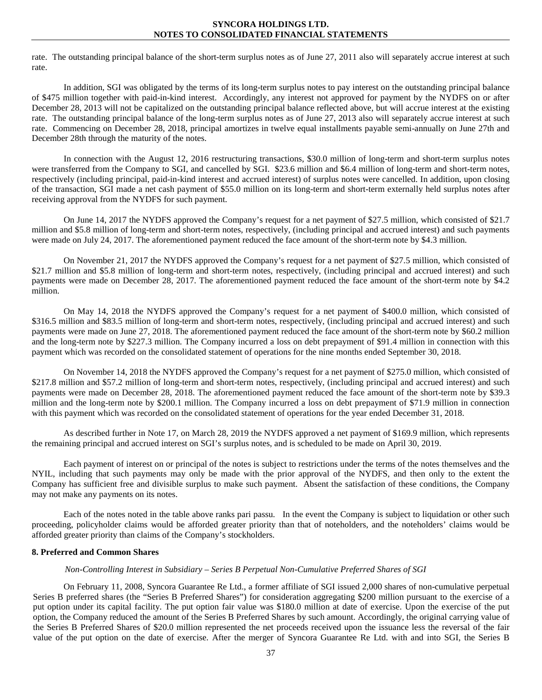rate. The outstanding principal balance of the short-term surplus notes as of June 27, 2011 also will separately accrue interest at such rate.

In addition, SGI was obligated by the terms of its long-term surplus notes to pay interest on the outstanding principal balance of \$475 million together with paid-in-kind interest. Accordingly, any interest not approved for payment by the NYDFS on or after December 28, 2013 will not be capitalized on the outstanding principal balance reflected above, but will accrue interest at the existing rate. The outstanding principal balance of the long-term surplus notes as of June 27, 2013 also will separately accrue interest at such rate. Commencing on December 28, 2018, principal amortizes in twelve equal installments payable semi-annually on June 27th and December 28th through the maturity of the notes.

In connection with the August 12, 2016 restructuring transactions, \$30.0 million of long-term and short-term surplus notes were transferred from the Company to SGI, and cancelled by SGI. \$23.6 million and \$6.4 million of long-term and short-term notes, respectively (including principal, paid-in-kind interest and accrued interest) of surplus notes were cancelled. In addition, upon closing of the transaction, SGI made a net cash payment of \$55.0 million on its long-term and short-term externally held surplus notes after receiving approval from the NYDFS for such payment.

On June 14, 2017 the NYDFS approved the Company's request for a net payment of \$27.5 million, which consisted of \$21.7 million and \$5.8 million of long-term and short-term notes, respectively, (including principal and accrued interest) and such payments were made on July 24, 2017. The aforementioned payment reduced the face amount of the short-term note by \$4.3 million.

On November 21, 2017 the NYDFS approved the Company's request for a net payment of \$27.5 million, which consisted of \$21.7 million and \$5.8 million of long-term and short-term notes, respectively, (including principal and accrued interest) and such payments were made on December 28, 2017. The aforementioned payment reduced the face amount of the short-term note by \$4.2 million.

On May 14, 2018 the NYDFS approved the Company's request for a net payment of \$400.0 million, which consisted of \$316.5 million and \$83.5 million of long-term and short-term notes, respectively, (including principal and accrued interest) and such payments were made on June 27, 2018. The aforementioned payment reduced the face amount of the short-term note by \$60.2 million and the long-term note by \$227.3 million. The Company incurred a loss on debt prepayment of \$91.4 million in connection with this payment which was recorded on the consolidated statement of operations for the nine months ended September 30, 2018.

On November 14, 2018 the NYDFS approved the Company's request for a net payment of \$275.0 million, which consisted of \$217.8 million and \$57.2 million of long-term and short-term notes, respectively, (including principal and accrued interest) and such payments were made on December 28, 2018. The aforementioned payment reduced the face amount of the short-term note by \$39.3 million and the long-term note by \$200.1 million. The Company incurred a loss on debt prepayment of \$71.9 million in connection with this payment which was recorded on the consolidated statement of operations for the year ended December 31, 2018.

As described further in Note 17, on March 28, 2019 the NYDFS approved a net payment of \$169.9 million, which represents the remaining principal and accrued interest on SGI's surplus notes, and is scheduled to be made on April 30, 2019.

Each payment of interest on or principal of the notes is subject to restrictions under the terms of the notes themselves and the NYIL, including that such payments may only be made with the prior approval of the NYDFS, and then only to the extent the Company has sufficient free and divisible surplus to make such payment. Absent the satisfaction of these conditions, the Company may not make any payments on its notes.

Each of the notes noted in the table above ranks pari passu. In the event the Company is subject to liquidation or other such proceeding, policyholder claims would be afforded greater priority than that of noteholders, and the noteholders' claims would be afforded greater priority than claims of the Company's stockholders.

# **8. Preferred and Common Shares**

# *Non-Controlling Interest in Subsidiary – Series B Perpetual Non-Cumulative Preferred Shares of SGI*

On February 11, 2008, Syncora Guarantee Re Ltd., a former affiliate of SGI issued 2,000 shares of non-cumulative perpetual Series B preferred shares (the "Series B Preferred Shares") for consideration aggregating \$200 million pursuant to the exercise of a put option under its capital facility. The put option fair value was \$180.0 million at date of exercise. Upon the exercise of the put option, the Company reduced the amount of the Series B Preferred Shares by such amount. Accordingly, the original carrying value of the Series B Preferred Shares of \$20.0 million represented the net proceeds received upon the issuance less the reversal of the fair value of the put option on the date of exercise. After the merger of Syncora Guarantee Re Ltd. with and into SGI, the Series B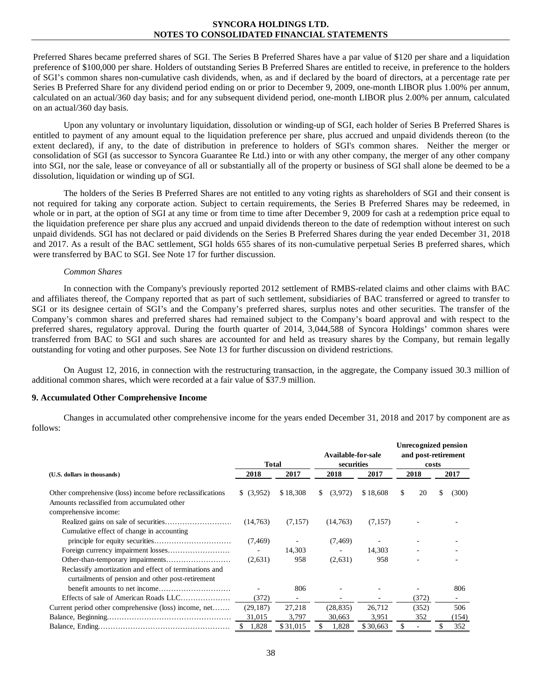Preferred Shares became preferred shares of SGI. The Series B Preferred Shares have a par value of \$120 per share and a liquidation preference of \$100,000 per share. Holders of outstanding Series B Preferred Shares are entitled to receive, in preference to the holders of SGI's common shares non-cumulative cash dividends, when, as and if declared by the board of directors, at a percentage rate per Series B Preferred Share for any dividend period ending on or prior to December 9, 2009, one-month LIBOR plus 1.00% per annum, calculated on an actual/360 day basis; and for any subsequent dividend period, one-month LIBOR plus 2.00% per annum, calculated on an actual/360 day basis.

Upon any voluntary or involuntary liquidation, dissolution or winding-up of SGI, each holder of Series B Preferred Shares is entitled to payment of any amount equal to the liquidation preference per share, plus accrued and unpaid dividends thereon (to the extent declared), if any, to the date of distribution in preference to holders of SGI's common shares. Neither the merger or consolidation of SGI (as successor to Syncora Guarantee Re Ltd.) into or with any other company, the merger of any other company into SGI, nor the sale, lease or conveyance of all or substantially all of the property or business of SGI shall alone be deemed to be a dissolution, liquidation or winding up of SGI.

The holders of the Series B Preferred Shares are not entitled to any voting rights as shareholders of SGI and their consent is not required for taking any corporate action. Subject to certain requirements, the Series B Preferred Shares may be redeemed, in whole or in part, at the option of SGI at any time or from time to time after December 9, 2009 for cash at a redemption price equal to the liquidation preference per share plus any accrued and unpaid dividends thereon to the date of redemption without interest on such unpaid dividends. SGI has not declared or paid dividends on the Series B Preferred Shares during the year ended December 31, 2018 and 2017. As a result of the BAC settlement, SGI holds 655 shares of its non-cumulative perpetual Series B preferred shares, which were transferred by BAC to SGI. See Note 17 for further discussion.

# *Common Shares*

In connection with the Company's previously reported 2012 settlement of RMBS-related claims and other claims with BAC and affiliates thereof, the Company reported that as part of such settlement, subsidiaries of BAC transferred or agreed to transfer to SGI or its designee certain of SGI's and the Company's preferred shares, surplus notes and other securities. The transfer of the Company's common shares and preferred shares had remained subject to the Company's board approval and with respect to the preferred shares, regulatory approval. During the fourth quarter of 2014, 3,044,588 of Syncora Holdings' common shares were transferred from BAC to SGI and such shares are accounted for and held as treasury shares by the Company, but remain legally outstanding for voting and other purposes. See Note 13 for further discussion on dividend restrictions.

On August 12, 2016, in connection with the restructuring transaction, in the aggregate, the Company issued 30.3 million of additional common shares, which were recorded at a fair value of \$37.9 million.

# **9. Accumulated Other Comprehensive Income**

Changes in accumulated other comprehensive income for the years ended December 31, 2018 and 2017 by component are as follows:

|                                                                                                                                    |              |                          | Available-for-sale |          | Unrecognized pension<br>and post-retirement<br>costs |    |    |       |  |
|------------------------------------------------------------------------------------------------------------------------------------|--------------|--------------------------|--------------------|----------|------------------------------------------------------|----|----|-------|--|
|                                                                                                                                    | <b>Total</b> |                          | securities         |          |                                                      |    |    |       |  |
| (U.S. dollars in thousands)                                                                                                        | 2018         | 2017                     | 2018               | 2017     | 2018                                                 |    |    | 2017  |  |
| Other comprehensive (loss) income before reclassifications<br>Amounts reclassified from accumulated other<br>comprehensive income: | \$ (3,952)   | \$18,308                 | (3,972)<br>S.      | \$18,608 | \$                                                   | 20 | \$ | (300) |  |
| Cumulative effect of change in accounting                                                                                          | (14,763)     | (7, 157)                 | (14,763)           | (7, 157) |                                                      |    |    |       |  |
|                                                                                                                                    | (7, 469)     |                          | (7, 469)           |          |                                                      |    |    |       |  |
|                                                                                                                                    |              | 14,303                   |                    | 14,303   |                                                      |    |    |       |  |
|                                                                                                                                    | (2,631)      | 958                      | (2,631)            | 958      |                                                      |    |    |       |  |
| Reclassify amortization and effect of terminations and<br>curtailments of pension and other post-retirement                        |              |                          |                    |          |                                                      |    |    |       |  |
|                                                                                                                                    |              | 806                      |                    |          |                                                      |    |    | 806   |  |
|                                                                                                                                    | (372)        | $\overline{\phantom{a}}$ |                    |          | (372)                                                |    |    |       |  |
| Current period other comprehensive (loss) income, net                                                                              | (29, 187)    | 27,218                   | (28, 835)          | 26,712   | (352)                                                |    |    | 506   |  |
|                                                                                                                                    | 31,015       | 3,797                    | 30,663             | 3,951    | 352                                                  |    |    | (154) |  |
|                                                                                                                                    | 1,828<br>\$  | \$31,015                 | \$<br>1,828        | \$30,663 |                                                      |    |    | 352   |  |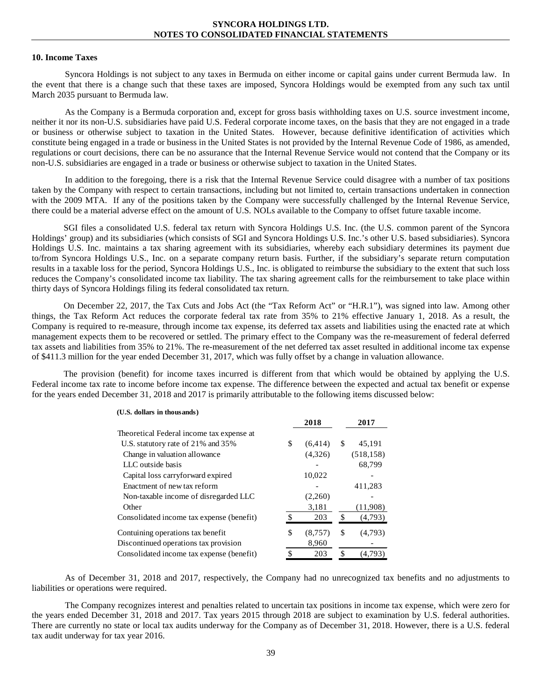# **10. Income Taxes**

Syncora Holdings is not subject to any taxes in Bermuda on either income or capital gains under current Bermuda law. In the event that there is a change such that these taxes are imposed, Syncora Holdings would be exempted from any such tax until March 2035 pursuant to Bermuda law.

As the Company is a Bermuda corporation and, except for gross basis withholding taxes on U.S. source investment income, neither it nor its non-U.S. subsidiaries have paid U.S. Federal corporate income taxes, on the basis that they are not engaged in a trade or business or otherwise subject to taxation in the United States. However, because definitive identification of activities which constitute being engaged in a trade or business in the United States is not provided by the Internal Revenue Code of 1986, as amended, regulations or court decisions, there can be no assurance that the Internal Revenue Service would not contend that the Company or its non-U.S. subsidiaries are engaged in a trade or business or otherwise subject to taxation in the United States.

In addition to the foregoing, there is a risk that the Internal Revenue Service could disagree with a number of tax positions taken by the Company with respect to certain transactions, including but not limited to, certain transactions undertaken in connection with the 2009 MTA. If any of the positions taken by the Company were successfully challenged by the Internal Revenue Service, there could be a material adverse effect on the amount of U.S. NOLs available to the Company to offset future taxable income.

SGI files a consolidated U.S. federal tax return with Syncora Holdings U.S. Inc. (the U.S. common parent of the Syncora Holdings' group) and its subsidiaries (which consists of SGI and Syncora Holdings U.S. Inc.'s other U.S. based subsidiaries). Syncora Holdings U.S. Inc. maintains a tax sharing agreement with its subsidiaries, whereby each subsidiary determines its payment due to/from Syncora Holdings U.S., Inc. on a separate company return basis. Further, if the subsidiary's separate return computation results in a taxable loss for the period, Syncora Holdings U.S., Inc. is obligated to reimburse the subsidiary to the extent that such loss reduces the Company's consolidated income tax liability. The tax sharing agreement calls for the reimbursement to take place within thirty days of Syncora Holdings filing its federal consolidated tax return.

On December 22, 2017, the Tax Cuts and Jobs Act (the "Tax Reform Act" or "H.R.1"), was signed into law. Among other things, the Tax Reform Act reduces the corporate federal tax rate from 35% to 21% effective January 1, 2018. As a result, the Company is required to re-measure, through income tax expense, its deferred tax assets and liabilities using the enacted rate at which management expects them to be recovered or settled. The primary effect to the Company was the re-measurement of federal deferred tax assets and liabilities from 35% to 21%. The re-measurement of the net deferred tax asset resulted in additional income tax expense of \$411.3 million for the year ended December 31, 2017, which was fully offset by a change in valuation allowance.

The provision (benefit) for income taxes incurred is different from that which would be obtained by applying the U.S. Federal income tax rate to income before income tax expense. The difference between the expected and actual tax benefit or expense for the years ended December 31, 2018 and 2017 is primarily attributable to the following items discussed below:

| (U.S. uonais in ulousalius)               |                |    |            |
|-------------------------------------------|----------------|----|------------|
|                                           | 2018           |    | 2017       |
| Theoretical Federal income tax expense at |                |    |            |
| U.S. statutory rate of 21% and 35%        | \$<br>(6, 414) | S  | 45,191     |
| Change in valuation allowance             | (4,326)        |    | (518, 158) |
| LLC outside basis                         |                |    | 68.799     |
| Capital loss carryforward expired         | 10,022         |    |            |
| Enactment of new tax reform               |                |    | 411,283    |
| Non-taxable income of disregarded LLC     | (2,260)        |    |            |
| Other                                     | 3,181          |    | (11,908)   |
| Consolidated income tax expense (benefit) | 203            |    | (4,793)    |
| Contuining operations tax benefit         | \$<br>(8,757)  | \$ | (4,793)    |
| Discontinued operations tax provision     | 8,960          |    |            |
| Consolidated income tax expense (benefit) | 203            | \$ | (4.793)    |

**(U.S. dollars in thousands)**

As of December 31, 2018 and 2017, respectively, the Company had no unrecognized tax benefits and no adjustments to liabilities or operations were required.

The Company recognizes interest and penalties related to uncertain tax positions in income tax expense, which were zero for the years ended December 31, 2018 and 2017. Tax years 2015 through 2018 are subject to examination by U.S. federal authorities. There are currently no state or local tax audits underway for the Company as of December 31, 2018. However, there is a U.S. federal tax audit underway for tax year 2016.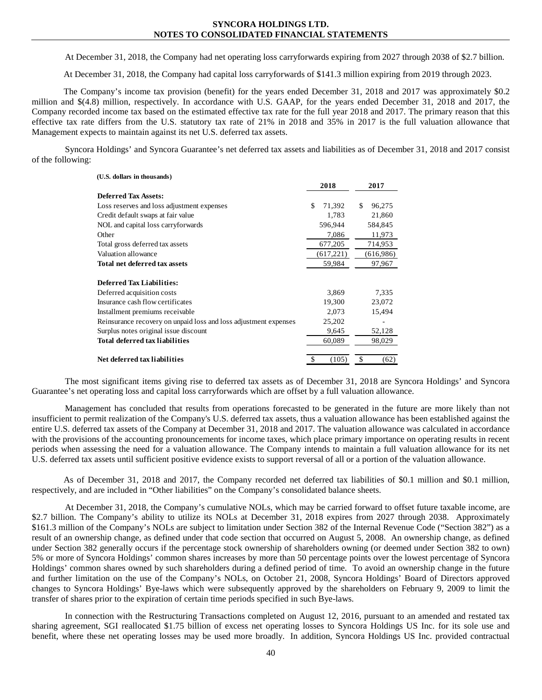At December 31, 2018, the Company had net operating loss carryforwards expiring from 2027 through 2038 of \$2.7 billion.

At December 31, 2018, the Company had capital loss carryforwards of \$141.3 million expiring from 2019 through 2023.

The Company's income tax provision (benefit) for the years ended December 31, 2018 and 2017 was approximately \$0.2 million and \$(4.8) million, respectively. In accordance with U.S. GAAP, for the years ended December 31, 2018 and 2017, the Company recorded income tax based on the estimated effective tax rate for the full year 2018 and 2017. The primary reason that this effective tax rate differs from the U.S. statutory tax rate of 21% in 2018 and 35% in 2017 is the full valuation allowance that Management expects to maintain against its net U.S. deferred tax assets.

Syncora Holdings' and Syncora Guarantee's net deferred tax assets and liabilities as of December 31, 2018 and 2017 consist of the following:

| (U.S. dollars in thousands)                                      |              |              |
|------------------------------------------------------------------|--------------|--------------|
|                                                                  | 2018         | 2017         |
| <b>Deferred Tax Assets:</b>                                      |              |              |
| Loss reserves and loss adjustment expenses                       | \$<br>71,392 | \$<br>96,275 |
| Credit default swaps at fair value                               | 1,783        | 21,860       |
| NOL and capital loss carryforwards                               | 596,944      | 584,845      |
| Other                                                            | 7,086        | 11,973       |
| Total gross deferred tax assets                                  | 677,205      | 714,953      |
| Valuation allowance                                              | (617, 221)   | (616,986)    |
| Total net deferred tax assets                                    | 59,984       | 97,967       |
| <b>Deferred Tax Liabilities:</b>                                 |              |              |
| Deferred acquisition costs                                       | 3,869        | 7,335        |
| Insurance cash flow certificates                                 | 19,300       | 23,072       |
| Installment premiums receivable                                  | 2,073        | 15,494       |
| Reinsurance recovery on unpaid loss and loss adjustment expenses | 25,202       |              |
| Surplus notes original issue discount                            | 9,645        | 52,128       |
| Total deferred tax liabilities                                   | 60,089       | 98,029       |
| Net deferred tax liabilities                                     | (105)        | \$<br>(62)   |

The most significant items giving rise to deferred tax assets as of December 31, 2018 are Syncora Holdings' and Syncora Guarantee's net operating loss and capital loss carryforwards which are offset by a full valuation allowance.

Management has concluded that results from operations forecasted to be generated in the future are more likely than not insufficient to permit realization of the Company's U.S. deferred tax assets, thus a valuation allowance has been established against the entire U.S. deferred tax assets of the Company at December 31, 2018 and 2017. The valuation allowance was calculated in accordance with the provisions of the accounting pronouncements for income taxes, which place primary importance on operating results in recent periods when assessing the need for a valuation allowance. The Company intends to maintain a full valuation allowance for its net U.S. deferred tax assets until sufficient positive evidence exists to support reversal of all or a portion of the valuation allowance.

As of December 31, 2018 and 2017, the Company recorded net deferred tax liabilities of \$0.1 million and \$0.1 million, respectively, and are included in "Other liabilities" on the Company's consolidated balance sheets.

At December 31, 2018, the Company's cumulative NOLs, which may be carried forward to offset future taxable income, are \$2.7 billion. The Company's ability to utilize its NOLs at December 31, 2018 expires from 2027 through 2038. Approximately \$161.3 million of the Company's NOLs are subject to limitation under Section 382 of the Internal Revenue Code ("Section 382") as a result of an ownership change, as defined under that code section that occurred on August 5, 2008. An ownership change, as defined under Section 382 generally occurs if the percentage stock ownership of shareholders owning (or deemed under Section 382 to own) 5% or more of Syncora Holdings' common shares increases by more than 50 percentage points over the lowest percentage of Syncora Holdings' common shares owned by such shareholders during a defined period of time. To avoid an ownership change in the future and further limitation on the use of the Company's NOLs, on October 21, 2008, Syncora Holdings' Board of Directors approved changes to Syncora Holdings' Bye-laws which were subsequently approved by the shareholders on February 9, 2009 to limit the transfer of shares prior to the expiration of certain time periods specified in such Bye-laws.

In connection with the Restructuring Transactions completed on August 12, 2016, pursuant to an amended and restated tax sharing agreement, SGI reallocated \$1.75 billion of excess net operating losses to Syncora Holdings US Inc. for its sole use and benefit, where these net operating losses may be used more broadly. In addition, Syncora Holdings US Inc. provided contractual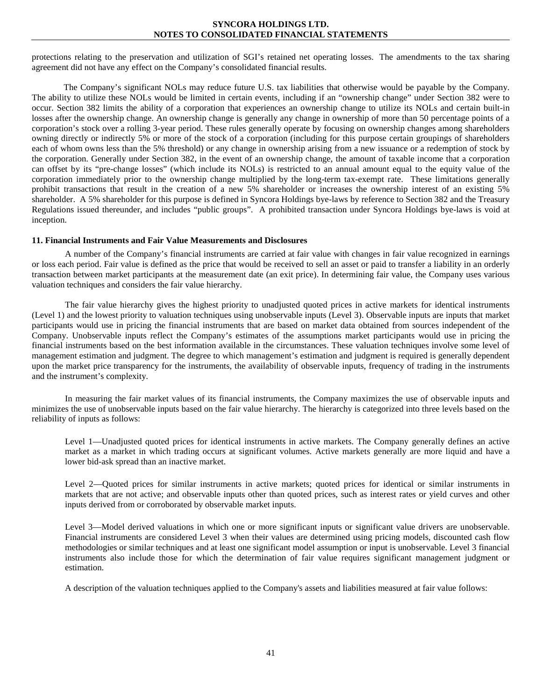protections relating to the preservation and utilization of SGI's retained net operating losses. The amendments to the tax sharing agreement did not have any effect on the Company's consolidated financial results.

The Company's significant NOLs may reduce future U.S. tax liabilities that otherwise would be payable by the Company. The ability to utilize these NOLs would be limited in certain events, including if an "ownership change" under Section 382 were to occur. Section 382 limits the ability of a corporation that experiences an ownership change to utilize its NOLs and certain built-in losses after the ownership change. An ownership change is generally any change in ownership of more than 50 percentage points of a corporation's stock over a rolling 3-year period. These rules generally operate by focusing on ownership changes among shareholders owning directly or indirectly 5% or more of the stock of a corporation (including for this purpose certain groupings of shareholders each of whom owns less than the 5% threshold) or any change in ownership arising from a new issuance or a redemption of stock by the corporation. Generally under Section 382, in the event of an ownership change, the amount of taxable income that a corporation can offset by its "pre-change losses" (which include its NOLs) is restricted to an annual amount equal to the equity value of the corporation immediately prior to the ownership change multiplied by the long-term tax-exempt rate. These limitations generally prohibit transactions that result in the creation of a new 5% shareholder or increases the ownership interest of an existing 5% shareholder. A 5% shareholder for this purpose is defined in Syncora Holdings bye-laws by reference to Section 382 and the Treasury Regulations issued thereunder, and includes "public groups". A prohibited transaction under Syncora Holdings bye-laws is void at inception.

# **11. Financial Instruments and Fair Value Measurements and Disclosures**

A number of the Company's financial instruments are carried at fair value with changes in fair value recognized in earnings or loss each period. Fair value is defined as the price that would be received to sell an asset or paid to transfer a liability in an orderly transaction between market participants at the measurement date (an exit price). In determining fair value, the Company uses various valuation techniques and considers the fair value hierarchy.

The fair value hierarchy gives the highest priority to unadjusted quoted prices in active markets for identical instruments (Level 1) and the lowest priority to valuation techniques using unobservable inputs (Level 3). Observable inputs are inputs that market participants would use in pricing the financial instruments that are based on market data obtained from sources independent of the Company. Unobservable inputs reflect the Company's estimates of the assumptions market participants would use in pricing the financial instruments based on the best information available in the circumstances. These valuation techniques involve some level of management estimation and judgment. The degree to which management's estimation and judgment is required is generally dependent upon the market price transparency for the instruments, the availability of observable inputs, frequency of trading in the instruments and the instrument's complexity.

In measuring the fair market values of its financial instruments, the Company maximizes the use of observable inputs and minimizes the use of unobservable inputs based on the fair value hierarchy. The hierarchy is categorized into three levels based on the reliability of inputs as follows:

Level 1—Unadjusted quoted prices for identical instruments in active markets. The Company generally defines an active market as a market in which trading occurs at significant volumes. Active markets generally are more liquid and have a lower bid-ask spread than an inactive market.

Level 2—Quoted prices for similar instruments in active markets; quoted prices for identical or similar instruments in markets that are not active; and observable inputs other than quoted prices, such as interest rates or yield curves and other inputs derived from or corroborated by observable market inputs.

Level 3—Model derived valuations in which one or more significant inputs or significant value drivers are unobservable. Financial instruments are considered Level 3 when their values are determined using pricing models, discounted cash flow methodologies or similar techniques and at least one significant model assumption or input is unobservable. Level 3 financial instruments also include those for which the determination of fair value requires significant management judgment or estimation.

A description of the valuation techniques applied to the Company's assets and liabilities measured at fair value follows: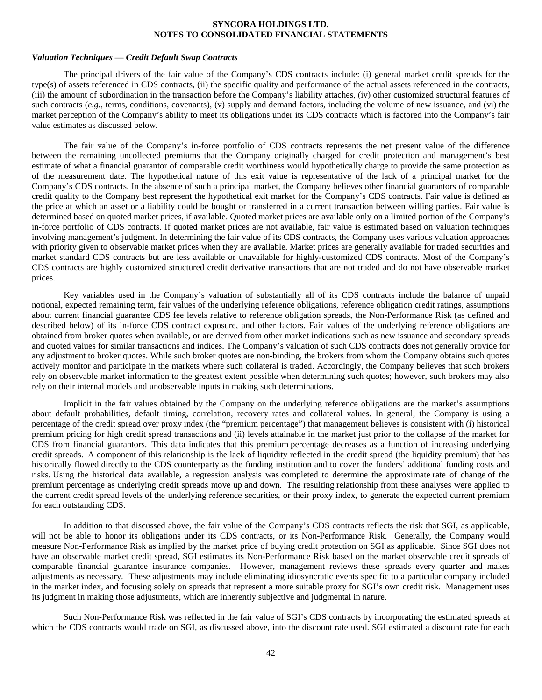#### *Valuation Techniques — Credit Default Swap Contracts*

The principal drivers of the fair value of the Company's CDS contracts include: (i) general market credit spreads for the type(s) of assets referenced in CDS contracts, (ii) the specific quality and performance of the actual assets referenced in the contracts, (iii) the amount of subordination in the transaction before the Company's liability attaches, (iv) other customized structural features of such contracts (*e.g.*, terms, conditions, covenants), (v) supply and demand factors, including the volume of new issuance, and (vi) the market perception of the Company's ability to meet its obligations under its CDS contracts which is factored into the Company's fair value estimates as discussed below.

The fair value of the Company's in-force portfolio of CDS contracts represents the net present value of the difference between the remaining uncollected premiums that the Company originally charged for credit protection and management's best estimate of what a financial guarantor of comparable credit worthiness would hypothetically charge to provide the same protection as of the measurement date. The hypothetical nature of this exit value is representative of the lack of a principal market for the Company's CDS contracts. In the absence of such a principal market, the Company believes other financial guarantors of comparable credit quality to the Company best represent the hypothetical exit market for the Company's CDS contracts. Fair value is defined as the price at which an asset or a liability could be bought or transferred in a current transaction between willing parties. Fair value is determined based on quoted market prices, if available. Quoted market prices are available only on a limited portion of the Company's in-force portfolio of CDS contracts. If quoted market prices are not available, fair value is estimated based on valuation techniques involving management's judgment. In determining the fair value of its CDS contracts, the Company uses various valuation approaches with priority given to observable market prices when they are available. Market prices are generally available for traded securities and market standard CDS contracts but are less available or unavailable for highly-customized CDS contracts. Most of the Company's CDS contracts are highly customized structured credit derivative transactions that are not traded and do not have observable market prices.

Key variables used in the Company's valuation of substantially all of its CDS contracts include the balance of unpaid notional, expected remaining term, fair values of the underlying reference obligations, reference obligation credit ratings, assumptions about current financial guarantee CDS fee levels relative to reference obligation spreads, the Non-Performance Risk (as defined and described below) of its in-force CDS contract exposure, and other factors. Fair values of the underlying reference obligations are obtained from broker quotes when available, or are derived from other market indications such as new issuance and secondary spreads and quoted values for similar transactions and indices. The Company's valuation of such CDS contracts does not generally provide for any adjustment to broker quotes. While such broker quotes are non-binding, the brokers from whom the Company obtains such quotes actively monitor and participate in the markets where such collateral is traded. Accordingly, the Company believes that such brokers rely on observable market information to the greatest extent possible when determining such quotes; however, such brokers may also rely on their internal models and unobservable inputs in making such determinations.

Implicit in the fair values obtained by the Company on the underlying reference obligations are the market's assumptions about default probabilities, default timing, correlation, recovery rates and collateral values. In general, the Company is using a percentage of the credit spread over proxy index (the "premium percentage") that management believes is consistent with (i) historical premium pricing for high credit spread transactions and (ii) levels attainable in the market just prior to the collapse of the market for CDS from financial guarantors. This data indicates that this premium percentage decreases as a function of increasing underlying credit spreads. A component of this relationship is the lack of liquidity reflected in the credit spread (the liquidity premium) that has historically flowed directly to the CDS counterparty as the funding institution and to cover the funders' additional funding costs and risks. Using the historical data available, a regression analysis was completed to determine the approximate rate of change of the premium percentage as underlying credit spreads move up and down. The resulting relationship from these analyses were applied to the current credit spread levels of the underlying reference securities, or their proxy index, to generate the expected current premium for each outstanding CDS.

In addition to that discussed above, the fair value of the Company's CDS contracts reflects the risk that SGI, as applicable, will not be able to honor its obligations under its CDS contracts, or its Non-Performance Risk. Generally, the Company would measure Non-Performance Risk as implied by the market price of buying credit protection on SGI as applicable. Since SGI does not have an observable market credit spread, SGI estimates its Non-Performance Risk based on the market observable credit spreads of comparable financial guarantee insurance companies. However, management reviews these spreads every quarter and makes adjustments as necessary. These adjustments may include eliminating idiosyncratic events specific to a particular company included in the market index, and focusing solely on spreads that represent a more suitable proxy for SGI's own credit risk. Management uses its judgment in making those adjustments, which are inherently subjective and judgmental in nature.

Such Non-Performance Risk was reflected in the fair value of SGI's CDS contracts by incorporating the estimated spreads at which the CDS contracts would trade on SGI, as discussed above, into the discount rate used. SGI estimated a discount rate for each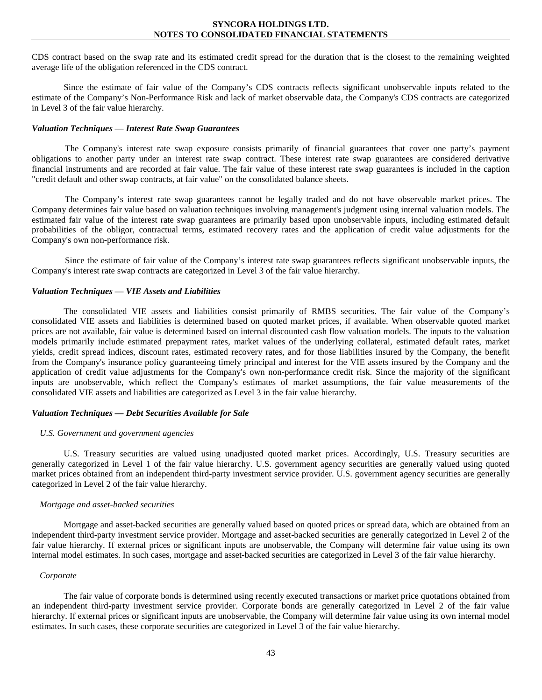CDS contract based on the swap rate and its estimated credit spread for the duration that is the closest to the remaining weighted average life of the obligation referenced in the CDS contract.

Since the estimate of fair value of the Company's CDS contracts reflects significant unobservable inputs related to the estimate of the Company's Non-Performance Risk and lack of market observable data, the Company's CDS contracts are categorized in Level 3 of the fair value hierarchy.

## *Valuation Techniques — Interest Rate Swap Guarantees*

The Company's interest rate swap exposure consists primarily of financial guarantees that cover one party's payment obligations to another party under an interest rate swap contract. These interest rate swap guarantees are considered derivative financial instruments and are recorded at fair value. The fair value of these interest rate swap guarantees is included in the caption "credit default and other swap contracts, at fair value" on the consolidated balance sheets.

The Company's interest rate swap guarantees cannot be legally traded and do not have observable market prices. The Company determines fair value based on valuation techniques involving management's judgment using internal valuation models. The estimated fair value of the interest rate swap guarantees are primarily based upon unobservable inputs, including estimated default probabilities of the obligor, contractual terms, estimated recovery rates and the application of credit value adjustments for the Company's own non-performance risk.

Since the estimate of fair value of the Company's interest rate swap guarantees reflects significant unobservable inputs, the Company's interest rate swap contracts are categorized in Level 3 of the fair value hierarchy.

## *Valuation Techniques — VIE Assets and Liabilities*

The consolidated VIE assets and liabilities consist primarily of RMBS securities. The fair value of the Company's consolidated VIE assets and liabilities is determined based on quoted market prices, if available. When observable quoted market prices are not available, fair value is determined based on internal discounted cash flow valuation models. The inputs to the valuation models primarily include estimated prepayment rates, market values of the underlying collateral, estimated default rates, market yields, credit spread indices, discount rates, estimated recovery rates, and for those liabilities insured by the Company, the benefit from the Company's insurance policy guaranteeing timely principal and interest for the VIE assets insured by the Company and the application of credit value adjustments for the Company's own non-performance credit risk. Since the majority of the significant inputs are unobservable, which reflect the Company's estimates of market assumptions, the fair value measurements of the consolidated VIE assets and liabilities are categorized as Level 3 in the fair value hierarchy.

# *Valuation Techniques — Debt Securities Available for Sale*

#### *U.S. Government and government agencies*

U.S. Treasury securities are valued using unadjusted quoted market prices. Accordingly, U.S. Treasury securities are generally categorized in Level 1 of the fair value hierarchy. U.S. government agency securities are generally valued using quoted market prices obtained from an independent third-party investment service provider. U.S. government agency securities are generally categorized in Level 2 of the fair value hierarchy.

#### *Mortgage and asset-backed securities*

Mortgage and asset-backed securities are generally valued based on quoted prices or spread data, which are obtained from an independent third-party investment service provider. Mortgage and asset-backed securities are generally categorized in Level 2 of the fair value hierarchy. If external prices or significant inputs are unobservable, the Company will determine fair value using its own internal model estimates. In such cases, mortgage and asset-backed securities are categorized in Level 3 of the fair value hierarchy.

#### *Corporate*

The fair value of corporate bonds is determined using recently executed transactions or market price quotations obtained from an independent third-party investment service provider. Corporate bonds are generally categorized in Level 2 of the fair value hierarchy. If external prices or significant inputs are unobservable, the Company will determine fair value using its own internal model estimates. In such cases, these corporate securities are categorized in Level 3 of the fair value hierarchy.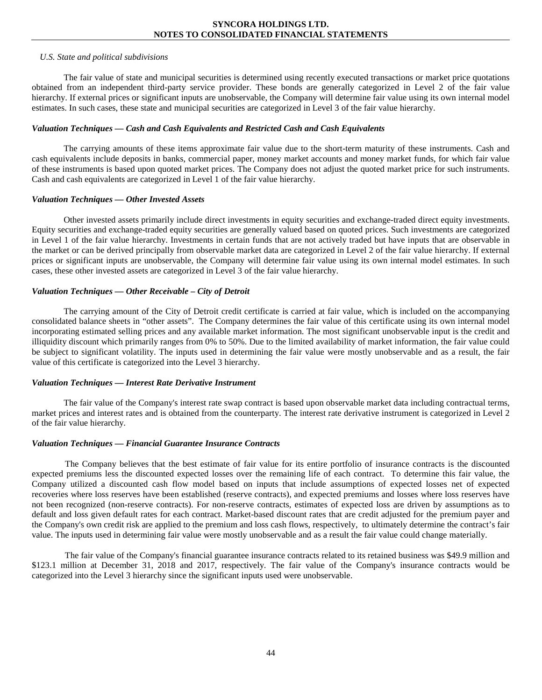# *U.S. State and political subdivisions*

The fair value of state and municipal securities is determined using recently executed transactions or market price quotations obtained from an independent third-party service provider. These bonds are generally categorized in Level 2 of the fair value hierarchy. If external prices or significant inputs are unobservable, the Company will determine fair value using its own internal model estimates. In such cases, these state and municipal securities are categorized in Level 3 of the fair value hierarchy.

# *Valuation Techniques — Cash and Cash Equivalents and Restricted Cash and Cash Equivalents*

The carrying amounts of these items approximate fair value due to the short-term maturity of these instruments. Cash and cash equivalents include deposits in banks, commercial paper, money market accounts and money market funds, for which fair value of these instruments is based upon quoted market prices. The Company does not adjust the quoted market price for such instruments. Cash and cash equivalents are categorized in Level 1 of the fair value hierarchy.

# *Valuation Techniques — Other Invested Assets*

Other invested assets primarily include direct investments in equity securities and exchange-traded direct equity investments. Equity securities and exchange-traded equity securities are generally valued based on quoted prices. Such investments are categorized in Level 1 of the fair value hierarchy. Investments in certain funds that are not actively traded but have inputs that are observable in the market or can be derived principally from observable market data are categorized in Level 2 of the fair value hierarchy. If external prices or significant inputs are unobservable, the Company will determine fair value using its own internal model estimates. In such cases, these other invested assets are categorized in Level 3 of the fair value hierarchy.

# *Valuation Techniques — Other Receivable – City of Detroit*

The carrying amount of the City of Detroit credit certificate is carried at fair value, which is included on the accompanying consolidated balance sheets in "other assets". The Company determines the fair value of this certificate using its own internal model incorporating estimated selling prices and any available market information. The most significant unobservable input is the credit and illiquidity discount which primarily ranges from 0% to 50%. Due to the limited availability of market information, the fair value could be subject to significant volatility. The inputs used in determining the fair value were mostly unobservable and as a result, the fair value of this certificate is categorized into the Level 3 hierarchy.

# *Valuation Techniques — Interest Rate Derivative Instrument*

The fair value of the Company's interest rate swap contract is based upon observable market data including contractual terms, market prices and interest rates and is obtained from the counterparty. The interest rate derivative instrument is categorized in Level 2 of the fair value hierarchy.

# *Valuation Techniques — Financial Guarantee Insurance Contracts*

The Company believes that the best estimate of fair value for its entire portfolio of insurance contracts is the discounted expected premiums less the discounted expected losses over the remaining life of each contract. To determine this fair value, the Company utilized a discounted cash flow model based on inputs that include assumptions of expected losses net of expected recoveries where loss reserves have been established (reserve contracts), and expected premiums and losses where loss reserves have not been recognized (non-reserve contracts). For non-reserve contracts, estimates of expected loss are driven by assumptions as to default and loss given default rates for each contract. Market-based discount rates that are credit adjusted for the premium payer and the Company's own credit risk are applied to the premium and loss cash flows, respectively, to ultimately determine the contract's fair value. The inputs used in determining fair value were mostly unobservable and as a result the fair value could change materially.

The fair value of the Company's financial guarantee insurance contracts related to its retained business was \$49.9 million and \$123.1 million at December 31, 2018 and 2017, respectively. The fair value of the Company's insurance contracts would be categorized into the Level 3 hierarchy since the significant inputs used were unobservable.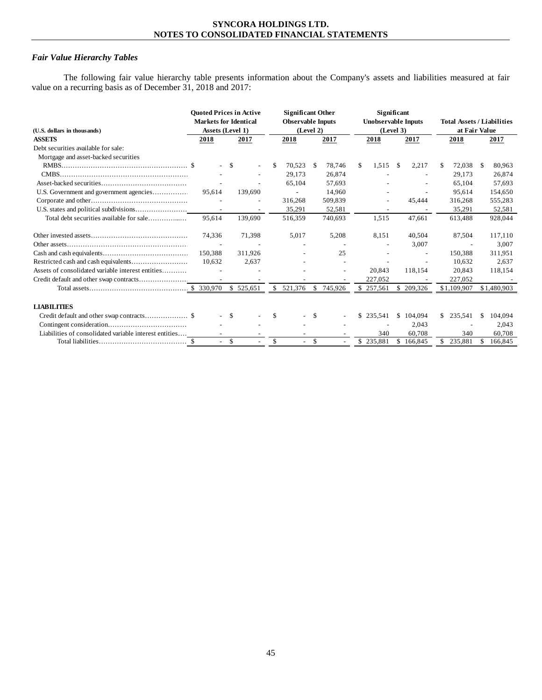# *Fair Value Hierarchy Tables*

The following fair value hierarchy table presents information about the Company's assets and liabilities measured at fair value on a recurring basis as of December 31, 2018 and 2017:

| (U.S. dollars in thousands)                            | <b>Ouoted Prices in Active</b><br><b>Markets for Identical</b><br>Assets (Level 1) |           |     | <b>Significant Other</b><br><b>Observable Inputs</b><br>(Level 2) |      | Significant<br><b>Unobservable Inputs</b><br>(Level 3) |    |           |     |           | <b>Total Assets / Liabilities</b><br>at Fair Value |             |     |             |
|--------------------------------------------------------|------------------------------------------------------------------------------------|-----------|-----|-------------------------------------------------------------------|------|--------------------------------------------------------|----|-----------|-----|-----------|----------------------------------------------------|-------------|-----|-------------|
| <b>ASSETS</b>                                          | 2018                                                                               | 2017      |     | 2018                                                              |      | 2017                                                   |    | 2018      |     | 2017      |                                                    | 2018        |     | 2017        |
| Debt securities available for sale:                    |                                                                                    |           |     |                                                                   |      |                                                        |    |           |     |           |                                                    |             |     |             |
| Mortgage and asset-backed securities                   |                                                                                    |           |     |                                                                   |      |                                                        |    |           |     |           |                                                    |             |     |             |
|                                                        |                                                                                    | -S        | \$. | 70,523                                                            | - \$ | 78,746                                                 | \$ | 1,515     | -S  | 2,217     | \$                                                 | 72,038      | -S  | 80,963      |
|                                                        |                                                                                    |           |     | 29,173                                                            |      | 26,874                                                 |    |           |     |           |                                                    | 29,173      |     | 26,874      |
|                                                        |                                                                                    |           |     | 65,104                                                            |      | 57,693                                                 |    |           |     |           |                                                    | 65.104      |     | 57,693      |
| U.S. Government and government agencies                | 95.614                                                                             | 139,690   |     |                                                                   |      | 14,960                                                 |    |           |     |           |                                                    | 95,614      |     | 154,650     |
|                                                        |                                                                                    |           |     | 316,268                                                           |      | 509,839                                                |    |           |     | 45,444    |                                                    | 316,268     |     | 555,283     |
|                                                        | $\sim$                                                                             |           |     | 35,291                                                            |      | 52,581                                                 |    |           |     |           |                                                    | 35,291      |     | 52,581      |
| Total debt securities available for sale               | 95.614                                                                             | 139.690   |     | 516,359                                                           |      | 740,693                                                |    | 1,515     |     | 47,661    |                                                    | 613,488     |     | 928,044     |
|                                                        | 74,336                                                                             | 71,398    |     | 5,017                                                             |      | 5,208                                                  |    | 8,151     |     | 40,504    |                                                    | 87,504      |     | 117,110     |
|                                                        |                                                                                    |           |     |                                                                   |      |                                                        |    |           |     | 3,007     |                                                    |             |     | 3,007       |
|                                                        | 150,388                                                                            | 311,926   |     |                                                                   |      | 25                                                     |    |           |     |           |                                                    | 150,388     |     | 311,951     |
|                                                        | 10.632                                                                             | 2,637     |     |                                                                   |      |                                                        |    |           |     |           |                                                    | 10.632      |     | 2,637       |
| Assets of consolidated variable interest entities      |                                                                                    |           |     |                                                                   |      |                                                        |    | 20,843    |     | 118,154   |                                                    | 20,843      |     | 118,154     |
|                                                        | $\sim$                                                                             |           |     |                                                                   |      |                                                        |    | 227,052   |     |           |                                                    | 227,052     |     |             |
|                                                        |                                                                                    | \$525,651 |     | \$521,376                                                         | -S   | 745,926                                                |    | \$257,561 |     | \$209,326 |                                                    | \$1,109,907 |     | \$1,480,903 |
| <b>LIABILITIES</b>                                     |                                                                                    |           |     |                                                                   |      |                                                        |    |           |     |           |                                                    |             |     |             |
|                                                        |                                                                                    | - \$      | \$. |                                                                   | -S   |                                                        |    | \$235,541 | \$. | 104.094   | S.                                                 | 235,541     | \$. | 104.094     |
|                                                        |                                                                                    |           |     |                                                                   |      |                                                        |    |           |     | 2,043     |                                                    |             |     | 2,043       |
| Liabilities of consolidated variable interest entities |                                                                                    |           |     |                                                                   |      |                                                        |    | 340       |     | 60.708    |                                                    | 340         |     | 60.708      |
|                                                        | $\sim$                                                                             | \$        | \$  | $\sim$                                                            | \$   |                                                        |    | \$235,881 | \$  | 166,845   | \$                                                 | 235,881     | -S  | 166,845     |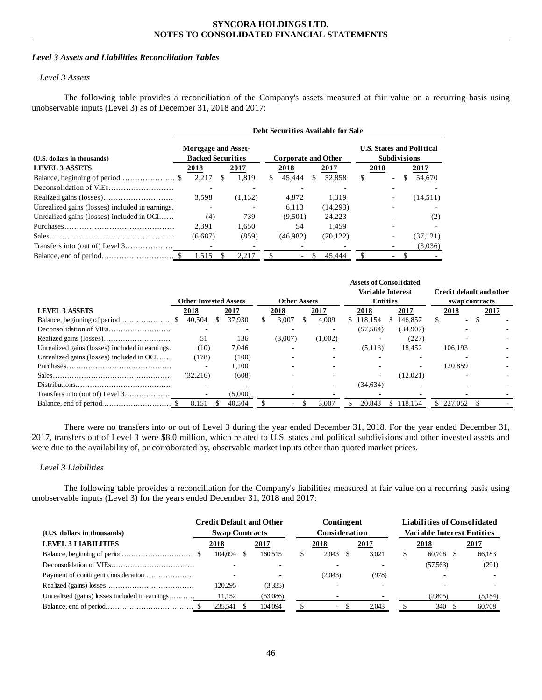# *Level 3 Assets and Liabilities Reconciliation Tables*

# *Level 3 Assets*

The following table provides a reconciliation of the Company's assets measured at fair value on a recurring basis using unobservable inputs (Level 3) as of December 31, 2018 and 2017:

|                                                 | Debt Securities Available for Sale |                                                        |    |         |  |                            |    |           |     |      |                |                     |                                  |  |  |
|-------------------------------------------------|------------------------------------|--------------------------------------------------------|----|---------|--|----------------------------|----|-----------|-----|------|----------------|---------------------|----------------------------------|--|--|
| (U.S. dollars in thousands)                     |                                    | <b>Mortgage and Asset-</b><br><b>Backed Securities</b> |    |         |  | <b>Corporate and Other</b> |    |           |     |      |                | <b>Subdivisions</b> | <b>U.S. States and Political</b> |  |  |
| <b>LEVEL 3 ASSETS</b>                           |                                    | 2018                                                   |    | 2017    |  | 2018                       |    | 2017      |     | 2018 |                |                     | 2017                             |  |  |
|                                                 |                                    | 2.217                                                  | S. | 1.819   |  | 45.444                     | S. | 52,858    | S.  |      | ä,             | \$                  | 54,670                           |  |  |
|                                                 |                                    |                                                        |    |         |  |                            |    |           |     |      |                |                     |                                  |  |  |
|                                                 |                                    | 3.598                                                  |    | (1,132) |  | 4,872                      |    | 1.319     |     |      |                |                     | (14,511)                         |  |  |
| Unrealized gains (losses) included in earnings. |                                    |                                                        |    |         |  | 6,113                      |    | (14,293)  |     |      |                |                     |                                  |  |  |
| Unrealized gains (losses) included in OCI       |                                    | (4)                                                    |    | 739     |  | (9,501)                    |    | 24.223    |     |      |                |                     | (2)                              |  |  |
|                                                 |                                    | 2.391                                                  |    | 1,650   |  | 54                         |    | 1.459     |     |      |                |                     |                                  |  |  |
|                                                 |                                    | (6,687)                                                |    | (859)   |  | (46,982)                   |    | (20, 122) |     |      |                |                     | (37, 121)                        |  |  |
|                                                 |                                    |                                                        |    |         |  |                            |    |           |     |      |                |                     | (3,036)                          |  |  |
|                                                 |                                    | 1,515                                                  |    | 2.217   |  | $\sim$                     |    | 45,444    | \$. |      | $\overline{a}$ |                     |                                  |  |  |

|                                                 |                              |      |         |                     |   |         |    | <b>Assets of Consolidated</b> |           |                          |      |  |
|-------------------------------------------------|------------------------------|------|---------|---------------------|---|---------|----|-------------------------------|-----------|--------------------------|------|--|
|                                                 |                              |      |         |                     |   |         |    | <b>Variable Interest</b>      |           | Credit default and other |      |  |
|                                                 | <b>Other Invested Assets</b> |      |         | <b>Other Assets</b> |   |         |    | <b>Entities</b>               |           | swap contracts           |      |  |
| <b>LEVEL 3 ASSETS</b>                           | 2018                         | 2017 |         | 2018                |   | 2017    |    | 2018                          | 2017      | 2018                     | 2017 |  |
|                                                 | 40.504                       |      | 37.930  | 3.007               | ъ | 4.009   | S. | 118.154                       | \$146,857 | $\overline{\phantom{a}}$ |      |  |
|                                                 |                              |      |         |                     |   |         |    | (57, 564)                     | (34,907)  |                          |      |  |
|                                                 | 51                           |      | 136     | (3.007)             |   | (1,002) |    |                               | (227)     |                          |      |  |
| Unrealized gains (losses) included in earnings. | (10)                         |      | 7.046   |                     |   |         |    | (5,113)                       | 18,452    | 106,193                  |      |  |
| Unrealized gains (losses) included in OCI       | (178)                        |      | (100)   |                     |   |         |    |                               | ۰         |                          |      |  |
|                                                 |                              |      | 1.100   | $\sim$              |   |         |    |                               | $\sim$    | 120.859                  |      |  |
|                                                 | (32,216)                     |      | (608)   |                     |   |         |    |                               | (12,021)  |                          |      |  |
|                                                 |                              |      |         |                     |   |         |    | (34, 634)                     |           |                          |      |  |
|                                                 |                              |      | (5,000) |                     |   |         |    |                               |           |                          |      |  |
|                                                 | 8,151                        |      | 40.504  | $\sim$              |   | 3,007   | ъ  | 20.843                        | \$118,154 | \$227,052                |      |  |

There were no transfers into or out of Level 3 during the year ended December 31, 2018. For the year ended December 31, 2017, transfers out of Level 3 were \$8.0 million, which related to U.S. states and political subdivisions and other invested assets and were due to the availability of, or corroborated by, observable market inputs other than quoted market prices.

# *Level 3 Liabilities*

The following table provides a reconciliation for the Company's liabilities measured at fair value on a recurring basis using unobservable inputs (Level 3) for the years ended December 31, 2018 and 2017:

| (U.S. dollars in thousands)                    | <b>Credit Default and Other</b><br><b>Swap Contracts</b> |     |          |   | Contingent<br>Consideration |       | <b>Liabilities of Consolidated</b><br><b>Variable Interest Entities</b> |         |  |
|------------------------------------------------|----------------------------------------------------------|-----|----------|---|-----------------------------|-------|-------------------------------------------------------------------------|---------|--|
| <b>LEVEL 3 LIABILITIES</b>                     | 2018                                                     |     | 2017     |   | 2018                        | 2017  | 2018                                                                    | 2017    |  |
|                                                | 104,094                                                  | \$. | 160.515  | S | 2.043                       | 3,021 | 60,708                                                                  | 66,183  |  |
|                                                |                                                          |     |          |   |                             |       | (57,563)                                                                | (291)   |  |
|                                                | -                                                        |     |          |   | (2.043)                     | (978) | ۰                                                                       |         |  |
|                                                | 120.295                                                  |     | (3,335)  |   |                             |       |                                                                         |         |  |
| Unrealized (gains) losses included in earnings | 11,152                                                   |     | (53,086) |   | $\sim$                      |       | (2,805)                                                                 | (5,184) |  |
|                                                | 235.541                                                  |     | 104.094  |   | ۰.                          | 2.043 | 340                                                                     | 60.708  |  |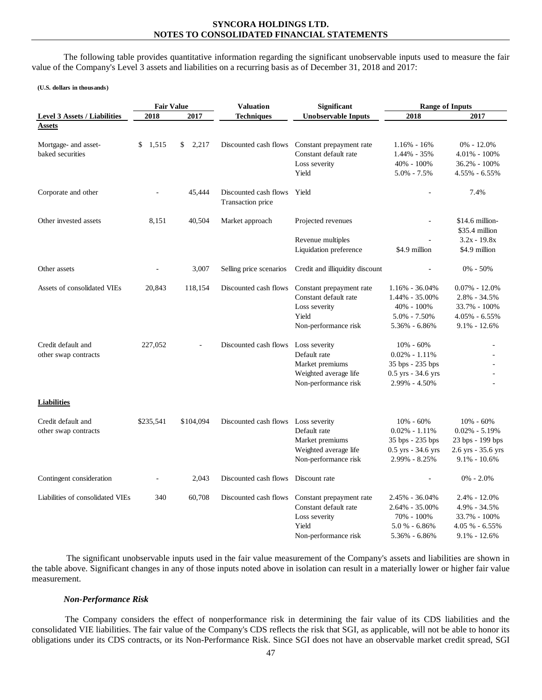The following table provides quantitative information regarding the significant unobservable inputs used to measure the fair value of the Company's Level 3 assets and liabilities on a recurring basis as of December 31, 2018 and 2017:

**(U.S. dollars in thousands)**

|                                            | <b>Fair Value</b> |             | <b>Valuation</b>                           | <b>Significant</b>                                                                                  |                                                                                                 | <b>Range of Inputs</b>                                                                                             |  |  |
|--------------------------------------------|-------------------|-------------|--------------------------------------------|-----------------------------------------------------------------------------------------------------|-------------------------------------------------------------------------------------------------|--------------------------------------------------------------------------------------------------------------------|--|--|
| <b>Level 3 Assets / Liabilities</b>        | 2018              | 2017        | <b>Techniques</b>                          | <b>Unobservable Inputs</b>                                                                          | 2018                                                                                            | 2017                                                                                                               |  |  |
| <b>Assets</b>                              |                   |             |                                            |                                                                                                     |                                                                                                 |                                                                                                                    |  |  |
| Mortgage- and asset-<br>baked securities   | 1,515<br>\$       | 2,217<br>\$ | Discounted cash flows                      | Constant prepayment rate<br>Constant default rate<br>Loss severity<br>Yield                         | $1.16\% - 16\%$<br>1.44% - 35%<br>40% - 100%<br>$5.0\% - 7.5\%$                                 | $0\% - 12.0\%$<br>$4.01\% - 100\%$<br>36.2% - 100%<br>4.55% - 6.55%                                                |  |  |
| Corporate and other                        |                   | 45,444      | Discounted cash flows<br>Transaction price | Yield                                                                                               |                                                                                                 | 7.4%                                                                                                               |  |  |
| Other invested assets                      | 8,151             | 40,504      | Market approach                            | Projected revenues                                                                                  |                                                                                                 | \$14.6 million-<br>\$35.4 million                                                                                  |  |  |
|                                            |                   |             |                                            | Revenue multiples<br>Liquidation preference                                                         | \$4.9 million                                                                                   | $3.2x - 19.8x$<br>\$4.9 million                                                                                    |  |  |
| Other assets                               |                   | 3,007       | Selling price scenarios                    | Credit and illiquidity discount                                                                     |                                                                                                 | $0\% - 50\%$                                                                                                       |  |  |
| Assets of consolidated VIEs                | 20,843            | 118,154     | Discounted cash flows                      | Constant prepayment rate<br>Constant default rate<br>Loss severity<br>Yield<br>Non-performance risk | $1.16\% - 36.04\%$<br>1.44% - 35.00%<br>40% - 100%<br>$5.0\% - 7.50\%$<br>5.36% - 6.86%         | $0.07\% - 12.0\%$<br>$2.8\% - 34.5\%$<br>33.7% - 100%<br>$4.05\% - 6.55\%$<br>$9.1\% - 12.6\%$                     |  |  |
| Credit default and<br>other swap contracts | 227,052           |             | Discounted cash flows                      | Loss severity<br>Default rate<br>Market premiums<br>Weighted average life<br>Non-performance risk   | $10\% - 60\%$<br>$0.02\% - 1.11\%$<br>35 bps - 235 bps<br>$0.5$ yrs - 34.6 yrs<br>2.99% - 4.50% |                                                                                                                    |  |  |
| <b>Liabilities</b>                         |                   |             |                                            |                                                                                                     |                                                                                                 |                                                                                                                    |  |  |
| Credit default and<br>other swap contracts | \$235,541         | \$104,094   | Discounted cash flows                      | Loss severity<br>Default rate<br>Market premiums<br>Weighted average life<br>Non-performance risk   | $10\% - 60\%$<br>$0.02\% - 1.11\%$<br>35 bps - 235 bps<br>$0.5$ yrs - 34.6 yrs<br>2.99% - 8.25% | $10\% - 60\%$<br>$0.02\% - 5.19\%$<br>$23 \text{ bps} - 199 \text{ bps}$<br>2.6 yrs - 35.6 yrs<br>$9.1\% - 10.6\%$ |  |  |
| Contingent consideration                   |                   | 2,043       | Discounted cash flows                      | Discount rate                                                                                       |                                                                                                 | $0\% - 2.0\%$                                                                                                      |  |  |
| Liabilities of consolidated VIEs           | 340               | 60,708      | Discounted cash flows                      | Constant prepayment rate<br>Constant default rate<br>Loss severity<br>Yield<br>Non-performance risk | $2.45\% - 36.04\%$<br>2.64% - 35.00%<br>70% - 100%<br>$5.0 % - 6.86%$<br>$5.36\% - 6.86\%$      | $2.4\% - 12.0\%$<br>4.9% - 34.5%<br>33.7% - 100%<br>4.05 % - 6.55%<br>$9.1\% - 12.6\%$                             |  |  |

The significant unobservable inputs used in the fair value measurement of the Company's assets and liabilities are shown in the table above. Significant changes in any of those inputs noted above in isolation can result in a materially lower or higher fair value measurement.

### *Non-Performance Risk*

The Company considers the effect of nonperformance risk in determining the fair value of its CDS liabilities and the consolidated VIE liabilities. The fair value of the Company's CDS reflects the risk that SGI, as applicable, will not be able to honor its obligations under its CDS contracts, or its Non-Performance Risk. Since SGI does not have an observable market credit spread, SGI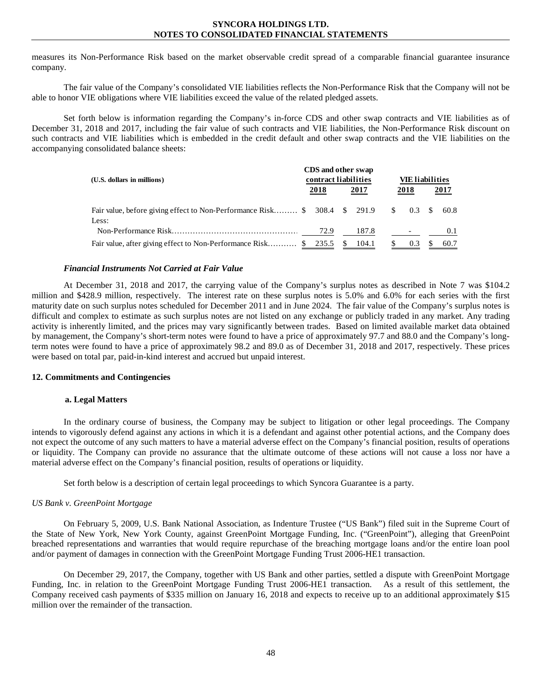measures its Non-Performance Risk based on the market observable credit spread of a comparable financial guarantee insurance company.

The fair value of the Company's consolidated VIE liabilities reflects the Non-Performance Risk that the Company will not be able to honor VIE obligations where VIE liabilities exceed the value of the related pledged assets.

Set forth below is information regarding the Company's in-force CDS and other swap contracts and VIE liabilities as of December 31, 2018 and 2017, including the fair value of such contracts and VIE liabilities, the Non-Performance Risk discount on such contracts and VIE liabilities which is embedded in the credit default and other swap contracts and the VIE liabilities on the accompanying consolidated balance sheets:

|                                                                                      | CDS and other swap   |       |                          |       |
|--------------------------------------------------------------------------------------|----------------------|-------|--------------------------|-------|
| (U.S. dollars in millions)                                                           | contract liabilities |       | <b>VIE</b> liabilities   |       |
|                                                                                      | 2018                 | 2017  | 2018                     | 2017  |
| Fair value, before giving effect to Non-Performance Risk \$308.4 \$291.9 \$<br>Less: |                      |       | $0.3 \quad$ \$           | -60.8 |
|                                                                                      | 72.9                 | 187.8 | $\overline{\phantom{a}}$ | 0.1   |
| Fair value, after giving effect to Non-Performance Risk \$235.5 \$104.1              |                      |       | 0.3                      | 60.7  |

# *Financial Instruments Not Carried at Fair Value*

At December 31, 2018 and 2017, the carrying value of the Company's surplus notes as described in Note 7 was \$104.2 million and \$428.9 million, respectively. The interest rate on these surplus notes is 5.0% and 6.0% for each series with the first maturity date on such surplus notes scheduled for December 2011 and in June 2024. The fair value of the Company's surplus notes is difficult and complex to estimate as such surplus notes are not listed on any exchange or publicly traded in any market. Any trading activity is inherently limited, and the prices may vary significantly between trades. Based on limited available market data obtained by management, the Company's short-term notes were found to have a price of approximately 97.7 and 88.0 and the Company's longterm notes were found to have a price of approximately 98.2 and 89.0 as of December 31, 2018 and 2017, respectively. These prices were based on total par, paid-in-kind interest and accrued but unpaid interest.

# **12. Commitments and Contingencies**

# **a. Legal Matters**

In the ordinary course of business, the Company may be subject to litigation or other legal proceedings. The Company intends to vigorously defend against any actions in which it is a defendant and against other potential actions, and the Company does not expect the outcome of any such matters to have a material adverse effect on the Company's financial position, results of operations or liquidity. The Company can provide no assurance that the ultimate outcome of these actions will not cause a loss nor have a material adverse effect on the Company's financial position, results of operations or liquidity.

Set forth below is a description of certain legal proceedings to which Syncora Guarantee is a party.

# *US Bank v. GreenPoint Mortgage*

On February 5, 2009, U.S. Bank National Association, as Indenture Trustee ("US Bank") filed suit in the Supreme Court of the State of New York, New York County, against GreenPoint Mortgage Funding, Inc. ("GreenPoint"), alleging that GreenPoint breached representations and warranties that would require repurchase of the breaching mortgage loans and/or the entire loan pool and/or payment of damages in connection with the GreenPoint Mortgage Funding Trust 2006-HE1 transaction.

On December 29, 2017, the Company, together with US Bank and other parties, settled a dispute with GreenPoint Mortgage Funding, Inc. in relation to the GreenPoint Mortgage Funding Trust 2006-HE1 transaction. As a result of this settlement, the Company received cash payments of \$335 million on January 16, 2018 and expects to receive up to an additional approximately \$15 million over the remainder of the transaction.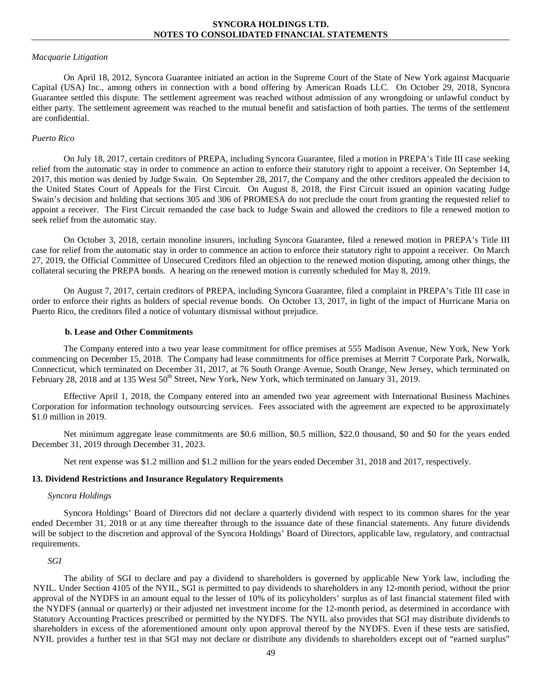# *Macquarie Litigation*

On April 18, 2012, Syncora Guarantee initiated an action in the Supreme Court of the State of New York against Macquarie Capital (USA) Inc., among others in connection with a bond offering by American Roads LLC. On October 29, 2018, Syncora Guarantee settled this dispute. The settlement agreement was reached without admission of any wrongdoing or unlawful conduct by either party. The settlement agreement was reached to the mutual benefit and satisfaction of both parties. The terms of the settlement are confidential.

## *Puerto Rico*

On July 18, 2017, certain creditors of PREPA, including Syncora Guarantee, filed a motion in PREPA's Title III case seeking relief from the automatic stay in order to commence an action to enforce their statutory right to appoint a receiver. On September 14, 2017, this motion was denied by Judge Swain. On September 28, 2017, the Company and the other creditors appealed the decision to the United States Court of Appeals for the First Circuit. On August 8, 2018, the First Circuit issued an opinion vacating Judge Swain's decision and holding that sections 305 and 306 of PROMESA do not preclude the court from granting the requested relief to appoint a receiver. The First Circuit remanded the case back to Judge Swain and allowed the creditors to file a renewed motion to seek relief from the automatic stay.

On October 3, 2018, certain monoline insurers, including Syncora Guarantee, filed a renewed motion in PREPA's Title III case for relief from the automatic stay in order to commence an action to enforce their statutory right to appoint a receiver. On March 27, 2019, the Official Committee of Unsecured Creditors filed an objection to the renewed motion disputing, among other things, the collateral securing the PREPA bonds. A hearing on the renewed motion is currently scheduled for May 8, 2019.

On August 7, 2017, certain creditors of PREPA, including Syncora Guarantee, filed a complaint in PREPA's Title III case in order to enforce their rights as holders of special revenue bonds. On October 13, 2017, in light of the impact of Hurricane Maria on Puerto Rico, the creditors filed a notice of voluntary dismissal without prejudice.

### **b. Lease and Other Commitments**

The Company entered into a two year lease commitment for office premises at 555 Madison Avenue, New York, New York commencing on December 15, 2018. The Company had lease commitments for office premises at Merritt 7 Corporate Park, Norwalk, Connecticut, which terminated on December 31, 2017, at 76 South Orange Avenue, South Orange, New Jersey, which terminated on February 28, 2018 and at 135 West 50<sup>th</sup> Street, New York, New York, which terminated on January 31, 2019.

Effective April 1, 2018, the Company entered into an amended two year agreement with International Business Machines Corporation for information technology outsourcing services. Fees associated with the agreement are expected to be approximately \$1.0 million in 2019.

Net minimum aggregate lease commitments are \$0.6 million, \$0.5 million, \$22.0 thousand, \$0 and \$0 for the years ended December 31, 2019 through December 31, 2023.

Net rent expense was \$1.2 million and \$1.2 million for the years ended December 31, 2018 and 2017, respectively.

# **13. Dividend Restrictions and Insurance Regulatory Requirements**

# *Syncora Holdings*

Syncora Holdings' Board of Directors did not declare a quarterly dividend with respect to its common shares for the year ended December 31, 2018 or at any time thereafter through to the issuance date of these financial statements. Any future dividends will be subject to the discretion and approval of the Syncora Holdings' Board of Directors, applicable law, regulatory, and contractual requirements.

#### *SGI*

The ability of SGI to declare and pay a dividend to shareholders is governed by applicable New York law, including the NYIL. Under Section 4105 of the NYIL, SGI is permitted to pay dividends to shareholders in any 12-month period, without the prior approval of the NYDFS in an amount equal to the lesser of 10% of its policyholders' surplus as of last financial statement filed with the NYDFS (annual or quarterly) or their adjusted net investment income for the 12-month period, as determined in accordance with Statutory Accounting Practices prescribed or permitted by the NYDFS. The NYIL also provides that SGI may distribute dividends to shareholders in excess of the aforementioned amount only upon approval thereof by the NYDFS. Even if these tests are satisfied, NYIL provides a further test in that SGI may not declare or distribute any dividends to shareholders except out of "earned surplus"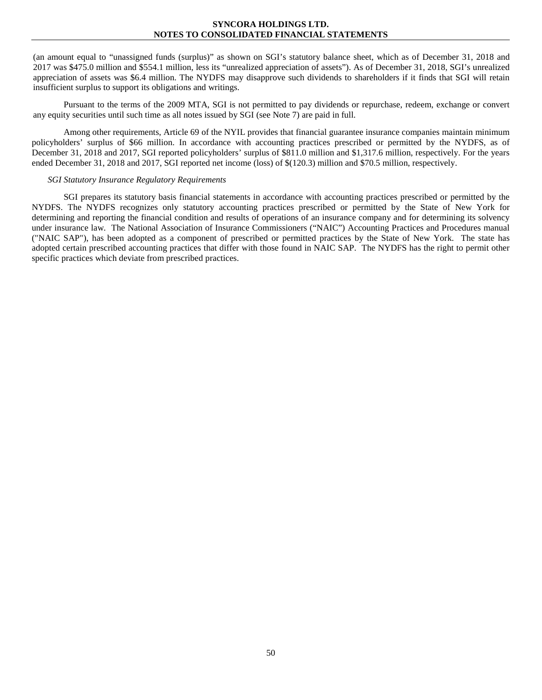(an amount equal to "unassigned funds (surplus)" as shown on SGI's statutory balance sheet, which as of December 31, 2018 and 2017 was \$475.0 million and \$554.1 million, less its "unrealized appreciation of assets"). As of December 31, 2018, SGI's unrealized appreciation of assets was \$6.4 million. The NYDFS may disapprove such dividends to shareholders if it finds that SGI will retain insufficient surplus to support its obligations and writings.

Pursuant to the terms of the 2009 MTA, SGI is not permitted to pay dividends or repurchase, redeem, exchange or convert any equity securities until such time as all notes issued by SGI (see Note 7) are paid in full.

Among other requirements, Article 69 of the NYIL provides that financial guarantee insurance companies maintain minimum policyholders' surplus of \$66 million. In accordance with accounting practices prescribed or permitted by the NYDFS, as of December 31, 2018 and 2017, SGI reported policyholders' surplus of \$811.0 million and \$1,317.6 million, respectively. For the years ended December 31, 2018 and 2017, SGI reported net income (loss) of \$(120.3) million and \$70.5 million, respectively.

# *SGI Statutory Insurance Regulatory Requirements*

SGI prepares its statutory basis financial statements in accordance with accounting practices prescribed or permitted by the NYDFS. The NYDFS recognizes only statutory accounting practices prescribed or permitted by the State of New York for determining and reporting the financial condition and results of operations of an insurance company and for determining its solvency under insurance law. The National Association of Insurance Commissioners ("NAIC") Accounting Practices and Procedures manual ("NAIC SAP"), has been adopted as a component of prescribed or permitted practices by the State of New York. The state has adopted certain prescribed accounting practices that differ with those found in NAIC SAP. The NYDFS has the right to permit other specific practices which deviate from prescribed practices.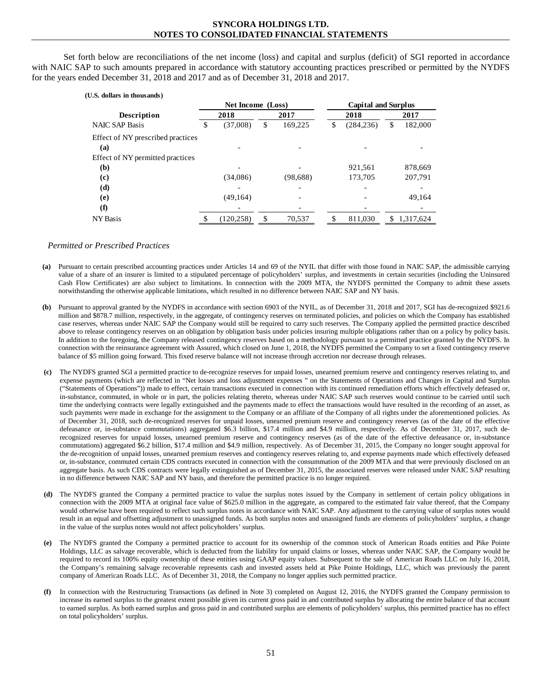Set forth below are reconciliations of the net income (loss) and capital and surplus (deficit) of SGI reported in accordance with NAIC SAP to such amounts prepared in accordance with statutory accounting practices prescribed or permitted by the NYDFS for the years ended December 31, 2018 and 2017 and as of December 31, 2018 and 2017.

| (U.S. dollars in thousands)              |   |                   |               |                            |            |    |           |  |  |
|------------------------------------------|---|-------------------|---------------|----------------------------|------------|----|-----------|--|--|
|                                          |   | Net Income (Loss) |               | <b>Capital and Surplus</b> |            |    |           |  |  |
| Description                              |   | 2018              | 2017          |                            | 2018       |    | 2017      |  |  |
| <b>NAIC SAP Basis</b>                    | S | (37,008)          | \$<br>169,225 | S                          | (284, 236) | S  | 182,000   |  |  |
| Effect of NY prescribed practices<br>(a) |   |                   |               |                            |            |    |           |  |  |
| Effect of NY permitted practices         |   |                   |               |                            |            |    |           |  |  |
| (b)                                      |   |                   |               |                            | 921,561    |    | 878,669   |  |  |
| $\left( \mathbf{c} \right)$              |   | (34,086)          | (98, 688)     |                            | 173.705    |    | 207.791   |  |  |
| (d)                                      |   |                   |               |                            |            |    |           |  |  |
| (e)                                      |   | (49,164)          |               |                            |            |    | 49,164    |  |  |
| $\mathbf f$                              |   |                   |               |                            |            |    |           |  |  |
| NY Basis                                 |   | (120, 258)        | \$<br>70,537  | \$                         | 811.030    | \$ | 1,317,624 |  |  |

#### *Permitted or Prescribed Practices*

- **(a)** Pursuant to certain prescribed accounting practices under Articles 14 and 69 of the NYIL that differ with those found in NAIC SAP, the admissible carrying value of a share of an insurer is limited to a stipulated percentage of policyholders' surplus, and investments in certain securities (including the Uninsured Cash Flow Certificates) are also subject to limitations. In connection with the 2009 MTA, the NYDFS permitted the Company to admit these assets notwithstanding the otherwise applicable limitations, which resulted in no difference between NAIC SAP and NY basis.
- **(b)** Pursuant to approval granted by the NYDFS in accordance with section 6903 of the NYIL, as of December 31, 2018 and 2017, SGI has de-recognized \$921.6 million and \$878.7 million, respectively, in the aggregate, of contingency reserves on terminated policies, and policies on which the Company has established case reserves, whereas under NAIC SAP the Company would still be required to carry such reserves. The Company applied the permitted practice described above to release contingency reserves on an obligation by obligation basis under policies insuring multiple obligations rather than on a policy by policy basis. In addition to the foregoing, the Company released contingency reserves based on a methodology pursuant to a permitted practice granted by the NYDFS. In connection with the reinsurance agreement with Assured, which closed on June 1, 2018, the NYDFS permitted the Company to set a fixed contingency reserve balance of \$5 million going forward. This fixed reserve balance will not increase through accretion nor decrease through releases.
- **(c)** The NYDFS granted SGI a permitted practice to de-recognize reserves for unpaid losses, unearned premium reserve and contingency reserves relating to, and expense payments (which are reflected in "Net losses and loss adjustment expenses " on the Statements of Operations and Changes in Capital and Surplus ("Statements of Operations")) made to effect, certain transactions executed in connection with its continued remediation efforts which effectively defeased or, in-substance, commuted, in whole or in part, the policies relating thereto, whereas under NAIC SAP such reserves would continue to be carried until such time the underlying contracts were legally extinguished and the payments made to effect the transactions would have resulted in the recording of an asset, as such payments were made in exchange for the assignment to the Company or an affiliate of the Company of all rights under the aforementioned policies. As of December 31, 2018, such de-recognized reserves for unpaid losses, unearned premium reserve and contingency reserves (as of the date of the effective defeasance or, in-substance commutations) aggregated \$6.3 billion, \$17.4 million and \$4.9 million, respectively. As of December 31, 2017, such derecognized reserves for unpaid losses, unearned premium reserve and contingency reserves (as of the date of the effective defeasance or, in-substance commutations) aggregated \$6.2 billion, \$17.4 million and \$4.9 million, respectively. As of December 31, 2015, the Company no longer sought approval for the de-recognition of unpaid losses, unearned premium reserves and contingency reserves relating to, and expense payments made which effectively defeased or, in-substance, commuted certain CDS contracts executed in connection with the consummation of the 2009 MTA and that were previously disclosed on an aggregate basis. As such CDS contracts were legally extinguished as of December 31, 2015, the associated reserves were released under NAIC SAP resulting in no difference between NAIC SAP and NY basis, and therefore the permitted practice is no longer required.
- **(d)** The NYDFS granted the Company a permitted practice to value the surplus notes issued by the Company in settlement of certain policy obligations in connection with the 2009 MTA at original face value of \$625.0 million in the aggregate, as compared to the estimated fair value thereof, that the Company would otherwise have been required to reflect such surplus notes in accordance with NAIC SAP. Any adjustment to the carrying value of surplus notes would result in an equal and offsetting adjustment to unassigned funds. As both surplus notes and unassigned funds are elements of policyholders' surplus, a change in the value of the surplus notes would not affect policyholders' surplus.
- **(e)** The NYDFS granted the Company a permitted practice to account for its ownership of the common stock of American Roads entities and Pike Pointe Holdings, LLC as salvage recoverable, which is deducted from the liability for unpaid claims or losses, whereas under NAIC SAP, the Company would be required to record its 100% equity ownership of these entities using GAAP equity values. Subsequent to the sale of American Roads LLC on July 16, 2018, the Company's remaining salvage recoverable represents cash and invested assets held at Pike Pointe Holdings, LLC, which was previously the parent company of American Roads LLC. As of December 31, 2018, the Company no longer applies such permitted practice.
- **(f)** In connection with the Restructuring Transactions (as defined in Note 3) completed on August 12, 2016, the NYDFS granted the Company permission to increase its earned surplus to the greatest extent possible given its current gross paid in and contributed surplus by allocating the entire balance of that account to earned surplus. As both earned surplus and gross paid in and contributed surplus are elements of policyholders' surplus, this permitted practice has no effect on total policyholders' surplus.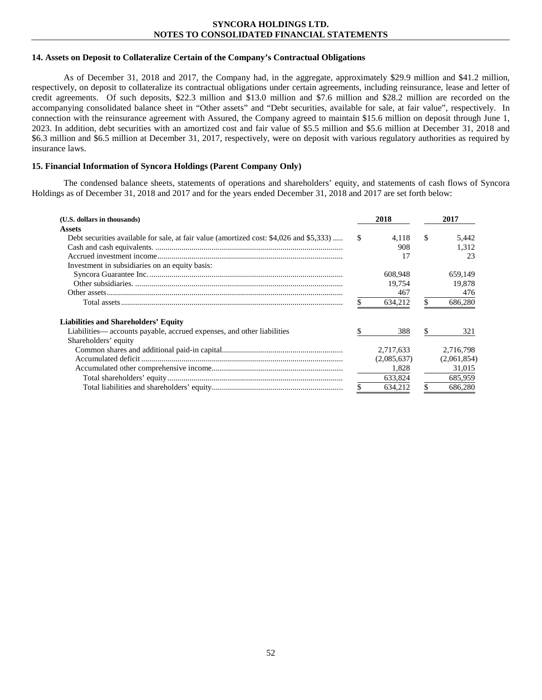# **14. Assets on Deposit to Collateralize Certain of the Company's Contractual Obligations**

As of December 31, 2018 and 2017, the Company had, in the aggregate, approximately \$29.9 million and \$41.2 million, respectively, on deposit to collateralize its contractual obligations under certain agreements, including reinsurance, lease and letter of credit agreements. Of such deposits, \$22.3 million and \$13.0 million and \$7.6 million and \$28.2 million are recorded on the accompanying consolidated balance sheet in "Other assets" and "Debt securities, available for sale, at fair value", respectively. In connection with the reinsurance agreement with Assured, the Company agreed to maintain \$15.6 million on deposit through June 1, 2023. In addition, debt securities with an amortized cost and fair value of \$5.5 million and \$5.6 million at December 31, 2018 and \$6.3 million and \$6.5 million at December 31, 2017, respectively, were on deposit with various regulatory authorities as required by insurance laws.

# **15. Financial Information of Syncora Holdings (Parent Company Only)**

The condensed balance sheets, statements of operations and shareholders' equity, and statements of cash flows of Syncora Holdings as of December 31, 2018 and 2017 and for the years ended December 31, 2018 and 2017 are set forth below:

| (U.S. dollars in thousands)                                                             | 2018 |             | 2017          |             |
|-----------------------------------------------------------------------------------------|------|-------------|---------------|-------------|
| <b>Assets</b>                                                                           |      |             |               |             |
| Debt securities available for sale, at fair value (amortized cost: \$4,026 and \$5,333) | -8   | 4.118       | <sup>\$</sup> | 5.442       |
|                                                                                         |      | 908         |               | 1.312       |
|                                                                                         |      | 17          |               | 23          |
| Investment in subsidiaries on an equity basis:                                          |      |             |               |             |
|                                                                                         |      | 608,948     |               | 659.149     |
|                                                                                         |      | 19,754      |               | 19.878      |
|                                                                                         |      | 467         |               | 476         |
|                                                                                         |      | 634,212     |               | 686,280     |
| Liabilities and Shareholders' Equity                                                    |      |             |               |             |
| Liabilities—accounts payable, accrued expenses, and other liabilities                   |      | 388         | \$.           | 321         |
| Shareholders' equity                                                                    |      |             |               |             |
|                                                                                         |      | 2,717,633   |               | 2.716.798   |
|                                                                                         |      | (2,085,637) |               | (2,061,854) |
|                                                                                         |      | 1.828       |               | 31,015      |
|                                                                                         |      | 633.824     |               | 685,959     |
|                                                                                         |      | 634.212     |               | 686,280     |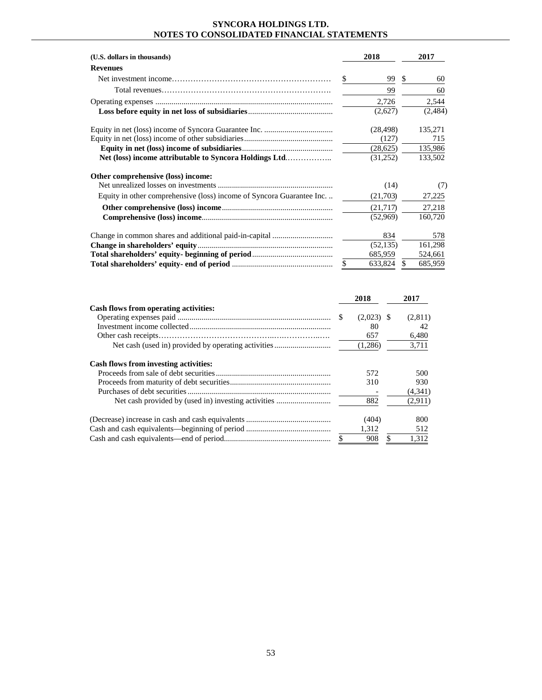| SYNCORA HOLDINGS LTD.                      |
|--------------------------------------------|
| NOTES TO CONSOLIDATED FINANCIAL STATEMENTS |

| (U.S. dollars in thousands)                                           |          |           | 2018      |         | 2017     |  |
|-----------------------------------------------------------------------|----------|-----------|-----------|---------|----------|--|
| <b>Revenues</b>                                                       |          |           |           |         |          |  |
|                                                                       | \$       |           | 99        | \$      | 60       |  |
|                                                                       |          |           | 99        |         | 60       |  |
|                                                                       |          |           | 2,726     |         | 2,544    |  |
|                                                                       |          |           | (2,627)   |         | (2, 484) |  |
|                                                                       |          |           | (28, 498) |         | 135,271  |  |
|                                                                       |          |           | (127)     |         | 715      |  |
|                                                                       |          |           | (28, 625) |         | 135.986  |  |
|                                                                       |          |           | (31,252)  |         | 133,502  |  |
| Other comprehensive (loss) income:                                    |          |           | (14)      |         | (7)      |  |
|                                                                       |          |           |           |         | 27,225   |  |
| Equity in other comprehensive (loss) income of Syncora Guarantee Inc. |          |           | (21,703)  |         |          |  |
|                                                                       |          |           | (21,717)  |         | 27,218   |  |
|                                                                       |          |           | (52,969)  |         | 160,720  |  |
| Change in common shares and additional paid-in-capital                | 834      |           |           | 578     |          |  |
|                                                                       | (52.135) |           |           | 161,298 |          |  |
|                                                                       |          | 685,959   |           |         | 524,661  |  |
|                                                                       | \$       | 633,824   |           | \$      | 685,959  |  |
|                                                                       |          |           |           |         |          |  |
|                                                                       |          | 2018      |           | 2017    |          |  |
| Cash flows from operating activities:                                 |          |           |           |         |          |  |
|                                                                       | \$       | (2,023)   | \$        |         | (2,811)  |  |
|                                                                       |          | 80<br>657 |           |         | 42       |  |
|                                                                       |          |           |           |         | 6,480    |  |
|                                                                       |          | (1,286)   |           |         | 3.711    |  |
| Cash flows from investing activities:                                 |          |           |           |         |          |  |
|                                                                       |          | 572       |           |         | 500      |  |
|                                                                       |          | 310       |           |         | 930      |  |
|                                                                       |          |           |           |         | (4,341)  |  |
|                                                                       |          | 882       |           |         | (2,911)  |  |
|                                                                       |          | (404)     |           |         | 800      |  |
|                                                                       |          | 1,312     |           |         | 512      |  |
|                                                                       | \$       | 908       | \$        |         | 1.312    |  |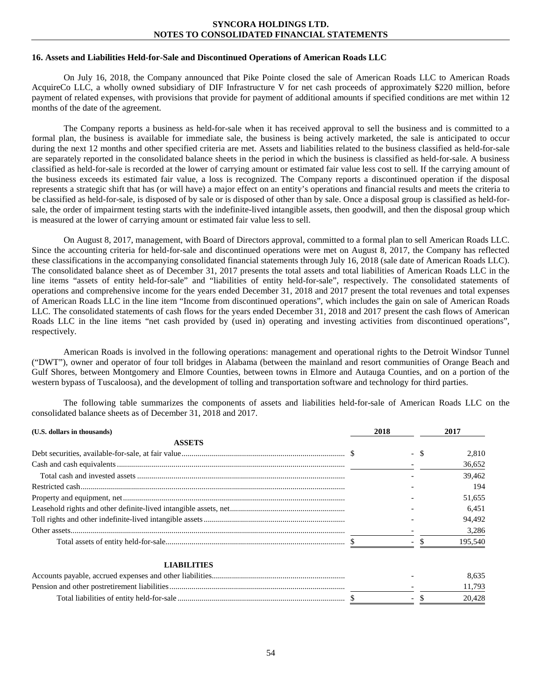# **16. Assets and Liabilities Held-for-Sale and Discontinued Operations of American Roads LLC**

On July 16, 2018, the Company announced that Pike Pointe closed the sale of American Roads LLC to American Roads AcquireCo LLC, a wholly owned subsidiary of DIF Infrastructure V for net cash proceeds of approximately \$220 million, before payment of related expenses, with provisions that provide for payment of additional amounts if specified conditions are met within 12 months of the date of the agreement.

The Company reports a business as held-for-sale when it has received approval to sell the business and is committed to a formal plan, the business is available for immediate sale, the business is being actively marketed, the sale is anticipated to occur during the next 12 months and other specified criteria are met. Assets and liabilities related to the business classified as held-for-sale are separately reported in the consolidated balance sheets in the period in which the business is classified as held-for-sale. A business classified as held-for-sale is recorded at the lower of carrying amount or estimated fair value less cost to sell. If the carrying amount of the business exceeds its estimated fair value, a loss is recognized. The Company reports a discontinued operation if the disposal represents a strategic shift that has (or will have) a major effect on an entity's operations and financial results and meets the criteria to be classified as held-for-sale, is disposed of by sale or is disposed of other than by sale. Once a disposal group is classified as held-forsale, the order of impairment testing starts with the indefinite-lived intangible assets, then goodwill, and then the disposal group which is measured at the lower of carrying amount or estimated fair value less to sell.

On August 8, 2017, management, with Board of Directors approval, committed to a formal plan to sell American Roads LLC. Since the accounting criteria for held-for-sale and discontinued operations were met on August 8, 2017, the Company has reflected these classifications in the accompanying consolidated financial statements through July 16, 2018 (sale date of American Roads LLC). The consolidated balance sheet as of December 31, 2017 presents the total assets and total liabilities of American Roads LLC in the line items "assets of entity held-for-sale" and "liabilities of entity held-for-sale", respectively. The consolidated statements of operations and comprehensive income for the years ended December 31, 2018 and 2017 present the total revenues and total expenses of American Roads LLC in the line item "Income from discontinued operations", which includes the gain on sale of American Roads LLC. The consolidated statements of cash flows for the years ended December 31, 2018 and 2017 present the cash flows of American Roads LLC in the line items "net cash provided by (used in) operating and investing activities from discontinued operations", respectively.

American Roads is involved in the following operations: management and operational rights to the Detroit Windsor Tunnel ("DWT"), owner and operator of four toll bridges in Alabama (between the mainland and resort communities of Orange Beach and Gulf Shores, between Montgomery and Elmore Counties, between towns in Elmore and Autauga Counties, and on a portion of the western bypass of Tuscaloosa), and the development of tolling and transportation software and technology for third parties.

The following table summarizes the components of assets and liabilities held-for-sale of American Roads LLC on the consolidated balance sheets as of December 31, 2018 and 2017.

| (U.S. dollars in thousands)                                                                                                                                                                                                                                                                      | 2018 |      | 2017    |
|--------------------------------------------------------------------------------------------------------------------------------------------------------------------------------------------------------------------------------------------------------------------------------------------------|------|------|---------|
| <b>ASSETS</b>                                                                                                                                                                                                                                                                                    |      |      |         |
|                                                                                                                                                                                                                                                                                                  |      | - \$ | 2.810   |
|                                                                                                                                                                                                                                                                                                  |      |      | 36,652  |
|                                                                                                                                                                                                                                                                                                  |      |      | 39.462  |
|                                                                                                                                                                                                                                                                                                  |      |      | 194     |
|                                                                                                                                                                                                                                                                                                  |      |      | 51.655  |
|                                                                                                                                                                                                                                                                                                  |      |      | 6.451   |
|                                                                                                                                                                                                                                                                                                  |      |      | 94,492  |
|                                                                                                                                                                                                                                                                                                  |      |      | 3,286   |
|                                                                                                                                                                                                                                                                                                  |      |      | 195,540 |
| <b>LIABILITIES</b>                                                                                                                                                                                                                                                                               |      |      |         |
| $\mathbf{A}$ and $\mathbf{A}$ and $\mathbf{A}$ and $\mathbf{A}$ and $\mathbf{A}$ and $\mathbf{A}$ and $\mathbf{A}$ and $\mathbf{A}$ and $\mathbf{A}$ and $\mathbf{A}$ and $\mathbf{A}$ and $\mathbf{A}$ and $\mathbf{A}$ and $\mathbf{A}$ and $\mathbf{A}$ and $\mathbf{A}$ and $\mathbf{A}$ and |      |      | 0.725   |

|  |  | 20.428 |
|--|--|--------|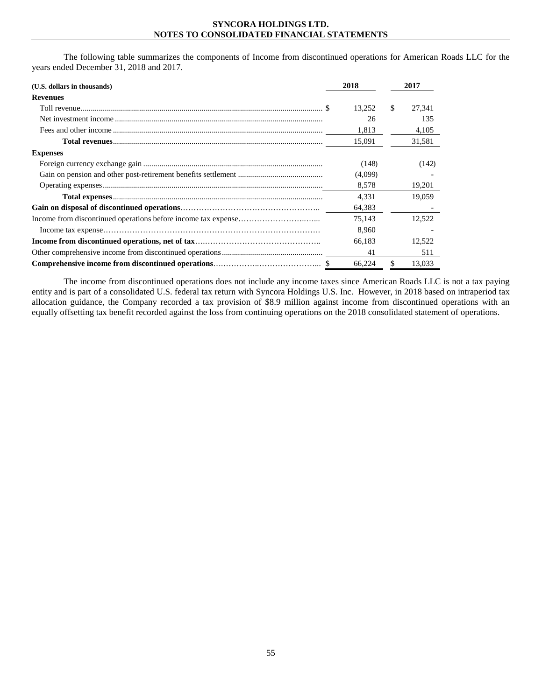The following table summarizes the components of Income from discontinued operations for American Roads LLC for the years ended December 31, 2018 and 2017.

| (U.S. dollars in thousands) | 2018    | 2017 |        |
|-----------------------------|---------|------|--------|
| <b>Revenues</b>             |         |      |        |
|                             | 13.252  | \$   | 27.341 |
|                             | 26      |      | 135    |
|                             | 1,813   |      | 4,105  |
|                             | 15,091  |      | 31,581 |
| <b>Expenses</b>             |         |      |        |
|                             | (148)   |      | (142)  |
|                             | (4,099) |      |        |
|                             | 8,578   |      | 19,201 |
|                             | 4.331   |      | 19,059 |
|                             | 64,383  |      |        |
|                             | 75,143  |      | 12,522 |
|                             | 8,960   |      |        |
|                             | 66.183  |      | 12.522 |
|                             | 41      |      | 511    |
|                             | 66.224  | \$.  | 13.033 |

The income from discontinued operations does not include any income taxes since American Roads LLC is not a tax paying entity and is part of a consolidated U.S. federal tax return with Syncora Holdings U.S. Inc. However, in 2018 based on intraperiod tax allocation guidance, the Company recorded a tax provision of \$8.9 million against income from discontinued operations with an equally offsetting tax benefit recorded against the loss from continuing operations on the 2018 consolidated statement of operations.